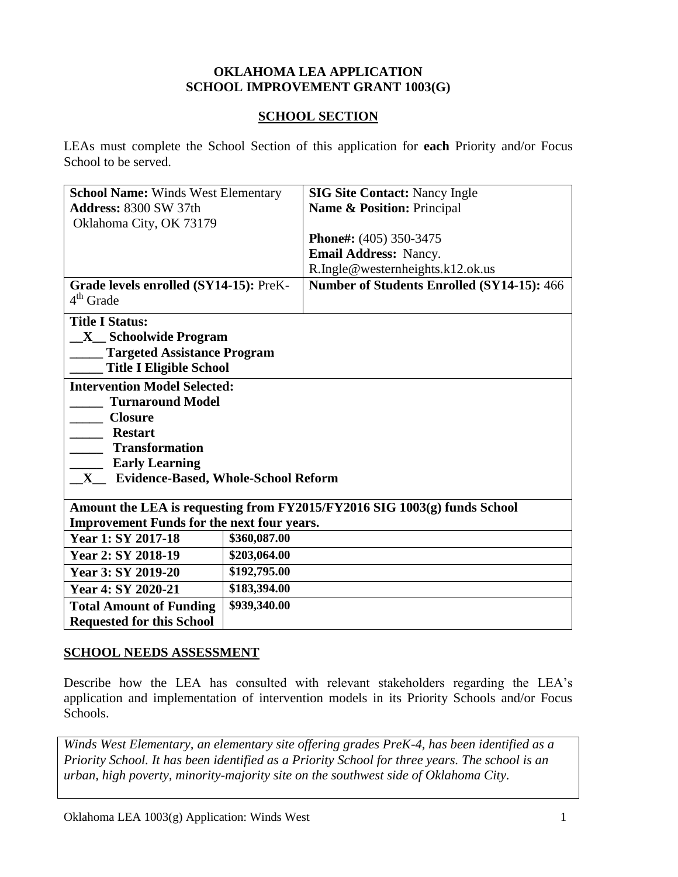#### **OKLAHOMA LEA APPLICATION SCHOOL IMPROVEMENT GRANT 1003(G)**

#### **SCHOOL SECTION**

LEAs must complete the School Section of this application for **each** Priority and/or Focus School to be served.

| <b>School Name: Winds West Elementary</b>                                |                            | <b>SIG Site Contact: Nancy Ingle</b>       |  |
|--------------------------------------------------------------------------|----------------------------|--------------------------------------------|--|
| <b>Address: 8300 SW 37th</b>                                             | Name & Position: Principal |                                            |  |
| Oklahoma City, OK 73179                                                  |                            |                                            |  |
|                                                                          |                            | Phone#: (405) 350-3475                     |  |
|                                                                          |                            | Email Address: Nancy.                      |  |
|                                                                          |                            | R.Ingle@westernheights.k12.ok.us           |  |
| Grade levels enrolled (SY14-15): PreK-<br>$4th$ Grade                    |                            | Number of Students Enrolled (SY14-15): 466 |  |
| <b>Title I Status:</b>                                                   |                            |                                            |  |
| <b>X</b> Schoolwide Program                                              |                            |                                            |  |
| <b>Targeted Assistance Program</b>                                       |                            |                                            |  |
| <b>Title I Eligible School</b>                                           |                            |                                            |  |
| <b>Intervention Model Selected:</b>                                      |                            |                                            |  |
| <b>Turnaround Model</b>                                                  |                            |                                            |  |
| <b>Closure</b>                                                           |                            |                                            |  |
| <b>Restart</b>                                                           |                            |                                            |  |
| <b>Transformation</b>                                                    |                            |                                            |  |
| <b>Early Learning</b>                                                    |                            |                                            |  |
| Evidence-Based, Whole-School Reform<br>$\mathbf{X}_{\underline{\ } }$    |                            |                                            |  |
|                                                                          |                            |                                            |  |
| Amount the LEA is requesting from FY2015/FY2016 SIG 1003(g) funds School |                            |                                            |  |
| <b>Improvement Funds for the next four years.</b>                        |                            |                                            |  |
| Year 1: SY 2017-18                                                       | \$360,087.00               |                                            |  |
| Year 2: SY 2018-19                                                       | \$203,064.00               |                                            |  |
| Year 3: SY 2019-20                                                       | \$192,795.00               |                                            |  |
| Year 4: SY 2020-21                                                       | \$183,394.00               |                                            |  |
| <b>Total Amount of Funding</b>                                           | \$939,340.00               |                                            |  |
| <b>Requested for this School</b>                                         |                            |                                            |  |

#### **SCHOOL NEEDS ASSESSMENT**

Describe how the LEA has consulted with relevant stakeholders regarding the LEA's application and implementation of intervention models in its Priority Schools and/or Focus Schools.

*Winds West Elementary, an elementary site offering grades PreK-4, has been identified as a Priority School. It has been identified as a Priority School for three years. The school is an urban, high poverty, minority-majority site on the southwest side of Oklahoma City.*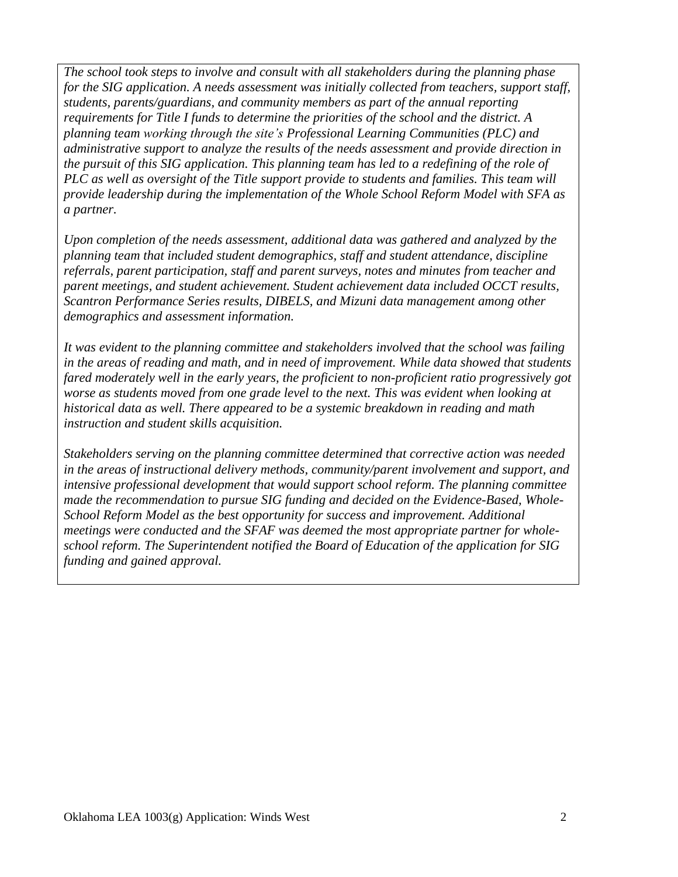*The school took steps to involve and consult with all stakeholders during the planning phase for the SIG application. A needs assessment was initially collected from teachers, support staff, students, parents/guardians, and community members as part of the annual reporting requirements for Title I funds to determine the priorities of the school and the district. A planning team working through the site's Professional Learning Communities (PLC) and administrative support to analyze the results of the needs assessment and provide direction in the pursuit of this SIG application. This planning team has led to a redefining of the role of PLC as well as oversight of the Title support provide to students and families. This team will provide leadership during the implementation of the Whole School Reform Model with SFA as a partner.* 

*Upon completion of the needs assessment, additional data was gathered and analyzed by the planning team that included student demographics, staff and student attendance, discipline referrals, parent participation, staff and parent surveys, notes and minutes from teacher and parent meetings, and student achievement. Student achievement data included OCCT results, Scantron Performance Series results, DIBELS, and Mizuni data management among other demographics and assessment information.* 

*It was evident to the planning committee and stakeholders involved that the school was failing in the areas of reading and math, and in need of improvement. While data showed that students fared moderately well in the early years, the proficient to non-proficient ratio progressively got worse as students moved from one grade level to the next. This was evident when looking at historical data as well. There appeared to be a systemic breakdown in reading and math instruction and student skills acquisition.* 

*Stakeholders serving on the planning committee determined that corrective action was needed in the areas of instructional delivery methods, community/parent involvement and support, and intensive professional development that would support school reform. The planning committee made the recommendation to pursue SIG funding and decided on the Evidence-Based, Whole-School Reform Model as the best opportunity for success and improvement. Additional meetings were conducted and the SFAF was deemed the most appropriate partner for wholeschool reform. The Superintendent notified the Board of Education of the application for SIG funding and gained approval.*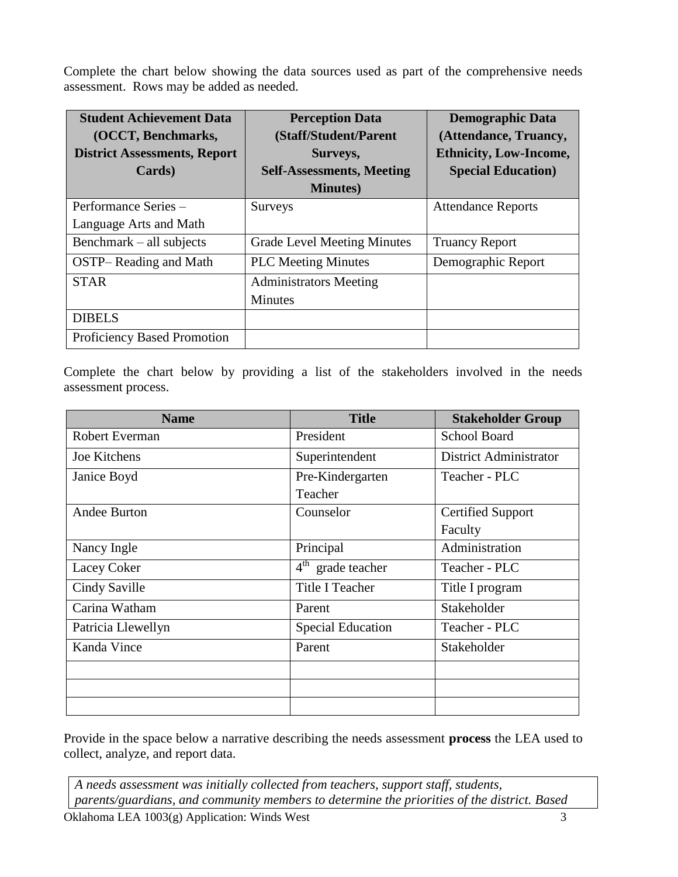Complete the chart below showing the data sources used as part of the comprehensive needs assessment. Rows may be added as needed.

| <b>Student Achievement Data</b>     | <b>Perception Data</b>             | <b>Demographic Data</b>       |
|-------------------------------------|------------------------------------|-------------------------------|
| (OCCT, Benchmarks,                  | (Staff/Student/Parent              | (Attendance, Truancy,         |
| <b>District Assessments, Report</b> | Surveys,                           | <b>Ethnicity, Low-Income,</b> |
| Cards)                              | <b>Self-Assessments, Meeting</b>   | <b>Special Education</b> )    |
|                                     | <b>Minutes</b> )                   |                               |
| Performance Series -                | Surveys                            | <b>Attendance Reports</b>     |
| Language Arts and Math              |                                    |                               |
| Benchmark – all subjects            | <b>Grade Level Meeting Minutes</b> | <b>Truancy Report</b>         |
| <b>OSTP-Reading and Math</b>        | <b>PLC</b> Meeting Minutes         | Demographic Report            |
| <b>STAR</b>                         | <b>Administrators Meeting</b>      |                               |
|                                     | Minutes                            |                               |
| <b>DIBELS</b>                       |                                    |                               |
| <b>Proficiency Based Promotion</b>  |                                    |                               |

Complete the chart below by providing a list of the stakeholders involved in the needs assessment process.

| <b>Name</b>        | <b>Title</b>                             | <b>Stakeholder Group</b> |
|--------------------|------------------------------------------|--------------------------|
| Robert Everman     | President                                | <b>School Board</b>      |
| Joe Kitchens       | Superintendent                           | District Administrator   |
| Janice Boyd        | Pre-Kindergarten                         | Teacher - PLC            |
|                    | Teacher                                  |                          |
| Andee Burton       | Counselor                                | <b>Certified Support</b> |
|                    |                                          | Faculty                  |
| Nancy Ingle        | Principal                                | Administration           |
| Lacey Coker        | $\overline{4}^{\text{th}}$ grade teacher | Teacher - PLC            |
| Cindy Saville      | <b>Title I Teacher</b>                   | Title I program          |
| Carina Watham      | Parent                                   | Stakeholder              |
| Patricia Llewellyn | <b>Special Education</b>                 | Teacher - PLC            |
| Kanda Vince        | Parent                                   | Stakeholder              |
|                    |                                          |                          |
|                    |                                          |                          |
|                    |                                          |                          |

Provide in the space below a narrative describing the needs assessment **process** the LEA used to collect, analyze, and report data.

*A needs assessment was initially collected from teachers, support staff, students, parents/guardians, and community members to determine the priorities of the district. Based*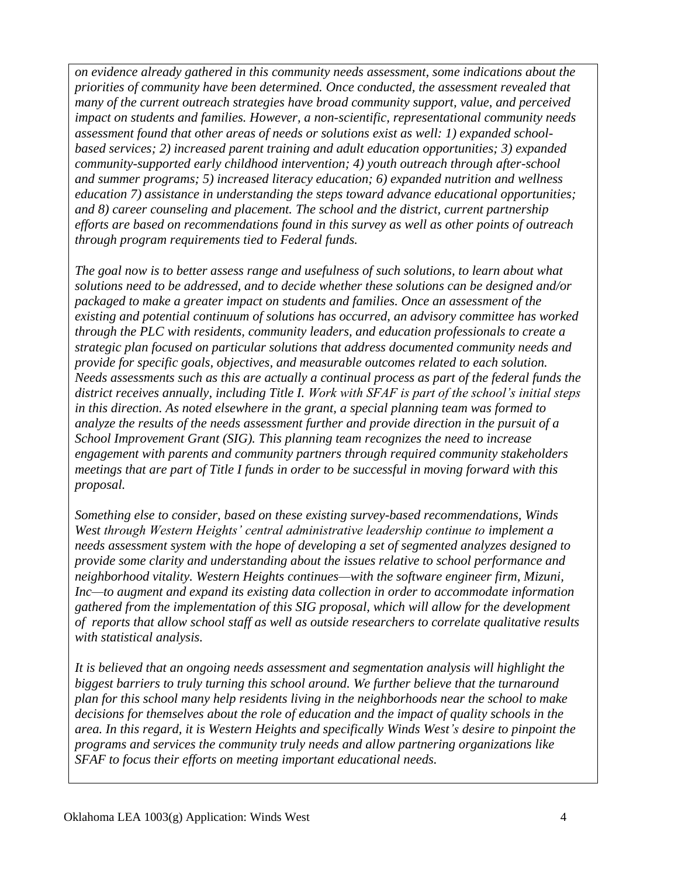*on evidence already gathered in this community needs assessment, some indications about the priorities of community have been determined. Once conducted, the assessment revealed that many of the current outreach strategies have broad community support, value, and perceived impact on students and families. However, a non-scientific, representational community needs assessment found that other areas of needs or solutions exist as well: 1) expanded schoolbased services; 2) increased parent training and adult education opportunities; 3) expanded community-supported early childhood intervention; 4) youth outreach through after-school and summer programs; 5) increased literacy education; 6) expanded nutrition and wellness education 7) assistance in understanding the steps toward advance educational opportunities; and 8) career counseling and placement. The school and the district, current partnership efforts are based on recommendations found in this survey as well as other points of outreach through program requirements tied to Federal funds.* 

*The goal now is to better assess range and usefulness of such solutions, to learn about what solutions need to be addressed, and to decide whether these solutions can be designed and/or packaged to make a greater impact on students and families. Once an assessment of the existing and potential continuum of solutions has occurred, an advisory committee has worked through the PLC with residents, community leaders, and education professionals to create a strategic plan focused on particular solutions that address documented community needs and provide for specific goals, objectives, and measurable outcomes related to each solution. Needs assessments such as this are actually a continual process as part of the federal funds the district receives annually, including Title I. Work with SFAF is part of the school's initial steps in this direction. As noted elsewhere in the grant, a special planning team was formed to analyze the results of the needs assessment further and provide direction in the pursuit of a School Improvement Grant (SIG). This planning team recognizes the need to increase engagement with parents and community partners through required community stakeholders meetings that are part of Title I funds in order to be successful in moving forward with this proposal.*

*Something else to consider, based on these existing survey-based recommendations, Winds West through Western Heights' central administrative leadership continue to implement a needs assessment system with the hope of developing a set of segmented analyzes designed to provide some clarity and understanding about the issues relative to school performance and neighborhood vitality. Western Heights continues—with the software engineer firm, Mizuni, Inc—to augment and expand its existing data collection in order to accommodate information gathered from the implementation of this SIG proposal, which will allow for the development of reports that allow school staff as well as outside researchers to correlate qualitative results with statistical analysis.* 

*It is believed that an ongoing needs assessment and segmentation analysis will highlight the biggest barriers to truly turning this school around. We further believe that the turnaround plan for this school many help residents living in the neighborhoods near the school to make decisions for themselves about the role of education and the impact of quality schools in the area. In this regard, it is Western Heights and specifically Winds West's desire to pinpoint the programs and services the community truly needs and allow partnering organizations like SFAF to focus their efforts on meeting important educational needs.*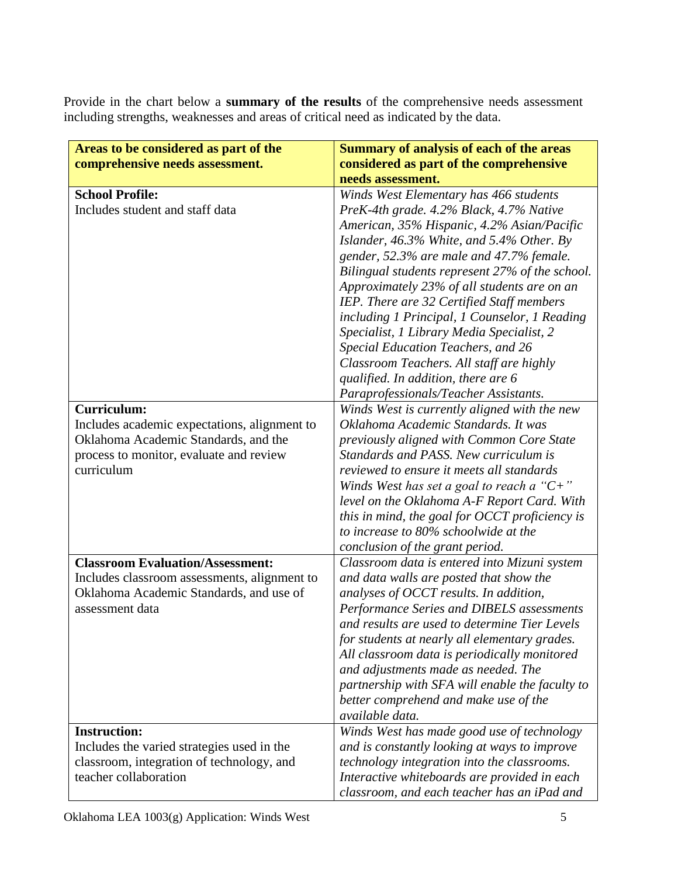Provide in the chart below a **summary of the results** of the comprehensive needs assessment including strengths, weaknesses and areas of critical need as indicated by the data.

| Areas to be considered as part of the        | <b>Summary of analysis of each of the areas</b> |  |
|----------------------------------------------|-------------------------------------------------|--|
| comprehensive needs assessment.              | considered as part of the comprehensive         |  |
|                                              | needs assessment.                               |  |
| <b>School Profile:</b>                       | Winds West Elementary has 466 students          |  |
| Includes student and staff data              | PreK-4th grade. 4.2% Black, 4.7% Native         |  |
|                                              | American, 35% Hispanic, 4.2% Asian/Pacific      |  |
|                                              | Islander, $46.3\%$ White, and $5.4\%$ Other. By |  |
|                                              | gender, 52.3% are male and 47.7% female.        |  |
|                                              | Bilingual students represent 27% of the school. |  |
|                                              | Approximately 23% of all students are on an     |  |
|                                              | IEP. There are 32 Certified Staff members       |  |
|                                              | including 1 Principal, 1 Counselor, 1 Reading   |  |
|                                              | Specialist, 1 Library Media Specialist, 2       |  |
|                                              | Special Education Teachers, and 26              |  |
|                                              | Classroom Teachers. All staff are highly        |  |
|                                              | qualified. In addition, there are 6             |  |
|                                              | Paraprofessionals/Teacher Assistants.           |  |
| <b>Curriculum:</b>                           | Winds West is currently aligned with the new    |  |
| Includes academic expectations, alignment to | Oklahoma Academic Standards. It was             |  |
| Oklahoma Academic Standards, and the         | previously aligned with Common Core State       |  |
| process to monitor, evaluate and review      | Standards and PASS. New curriculum is           |  |
| curriculum                                   | reviewed to ensure it meets all standards       |  |
|                                              | Winds West has set a goal to reach a " $C+$ "   |  |
|                                              | level on the Oklahoma A-F Report Card. With     |  |
|                                              | this in mind, the goal for OCCT proficiency is  |  |
|                                              | to increase to 80% schoolwide at the            |  |
|                                              | conclusion of the grant period.                 |  |
| <b>Classroom Evaluation/Assessment:</b>      | Classroom data is entered into Mizuni system    |  |
| Includes classroom assessments, alignment to | and data walls are posted that show the         |  |
| Oklahoma Academic Standards, and use of      | analyses of OCCT results. In addition,          |  |
| assessment data                              | Performance Series and DIBELS assessments       |  |
|                                              | and results are used to determine Tier Levels   |  |
|                                              | for students at nearly all elementary grades.   |  |
|                                              | All classroom data is periodically monitored    |  |
|                                              | and adjustments made as needed. The             |  |
|                                              | partnership with SFA will enable the faculty to |  |
|                                              | better comprehend and make use of the           |  |
|                                              | available data.                                 |  |
| <b>Instruction:</b>                          | Winds West has made good use of technology      |  |
| Includes the varied strategies used in the   | and is constantly looking at ways to improve    |  |
| classroom, integration of technology, and    | technology integration into the classrooms.     |  |
| teacher collaboration                        | Interactive whiteboards are provided in each    |  |
|                                              | classroom, and each teacher has an iPad and     |  |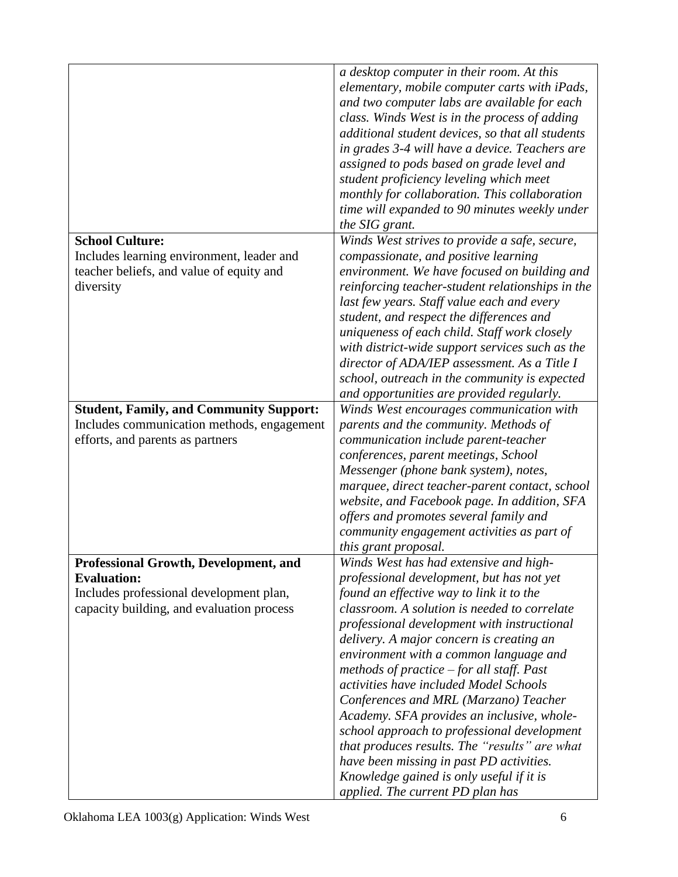|                                                | a desktop computer in their room. At this                                                                                                                                           |
|------------------------------------------------|-------------------------------------------------------------------------------------------------------------------------------------------------------------------------------------|
|                                                | elementary, mobile computer carts with iPads,                                                                                                                                       |
|                                                |                                                                                                                                                                                     |
|                                                | and two computer labs are available for each                                                                                                                                        |
|                                                | class. Winds West is in the process of adding                                                                                                                                       |
|                                                | additional student devices, so that all students                                                                                                                                    |
|                                                | in grades 3-4 will have a device. Teachers are                                                                                                                                      |
|                                                | assigned to pods based on grade level and                                                                                                                                           |
|                                                | student proficiency leveling which meet                                                                                                                                             |
|                                                | monthly for collaboration. This collaboration                                                                                                                                       |
|                                                | time will expanded to 90 minutes weekly under                                                                                                                                       |
|                                                | the SIG grant.                                                                                                                                                                      |
| <b>School Culture:</b>                         | Winds West strives to provide a safe, secure,                                                                                                                                       |
| Includes learning environment, leader and      | compassionate, and positive learning                                                                                                                                                |
|                                                |                                                                                                                                                                                     |
| teacher beliefs, and value of equity and       | environment. We have focused on building and                                                                                                                                        |
| diversity                                      | reinforcing teacher-student relationships in the                                                                                                                                    |
|                                                | last few years. Staff value each and every                                                                                                                                          |
|                                                | student, and respect the differences and                                                                                                                                            |
|                                                | uniqueness of each child. Staff work closely                                                                                                                                        |
|                                                | with district-wide support services such as the                                                                                                                                     |
|                                                | director of ADA/IEP assessment. As a Title I                                                                                                                                        |
|                                                | school, outreach in the community is expected                                                                                                                                       |
|                                                | and opportunities are provided regularly.                                                                                                                                           |
| <b>Student, Family, and Community Support:</b> | Winds West encourages communication with                                                                                                                                            |
| Includes communication methods, engagement     | parents and the community. Methods of                                                                                                                                               |
| efforts, and parents as partners               | communication include parent-teacher                                                                                                                                                |
|                                                | conferences, parent meetings, School                                                                                                                                                |
|                                                | Messenger (phone bank system), notes,                                                                                                                                               |
|                                                | marquee, direct teacher-parent contact, school                                                                                                                                      |
|                                                | website, and Facebook page. In addition, SFA                                                                                                                                        |
|                                                | offers and promotes several family and                                                                                                                                              |
|                                                | community engagement activities as part of                                                                                                                                          |
|                                                | this grant proposal.                                                                                                                                                                |
| <b>Professional Growth, Development, and</b>   | Winds West has had extensive and high-                                                                                                                                              |
| <b>Evaluation:</b>                             | professional development, but has not yet                                                                                                                                           |
| Includes professional development plan,        | found an effective way to link it to the                                                                                                                                            |
| capacity building, and evaluation process      | classroom. A solution is needed to correlate                                                                                                                                        |
|                                                | professional development with instructional                                                                                                                                         |
|                                                | delivery. A major concern is creating an                                                                                                                                            |
|                                                | environment with a common language and                                                                                                                                              |
|                                                | methods of practice $-$ for all staff. Past                                                                                                                                         |
|                                                | activities have included Model Schools                                                                                                                                              |
|                                                |                                                                                                                                                                                     |
|                                                |                                                                                                                                                                                     |
|                                                |                                                                                                                                                                                     |
|                                                |                                                                                                                                                                                     |
|                                                | have been missing in past PD activities.                                                                                                                                            |
|                                                | Knowledge gained is only useful if it is                                                                                                                                            |
|                                                | applied. The current PD plan has                                                                                                                                                    |
|                                                | Conferences and MRL (Marzano) Teacher<br>Academy. SFA provides an inclusive, whole-<br>school approach to professional development<br>that produces results. The "results" are what |
|                                                |                                                                                                                                                                                     |
|                                                |                                                                                                                                                                                     |
|                                                |                                                                                                                                                                                     |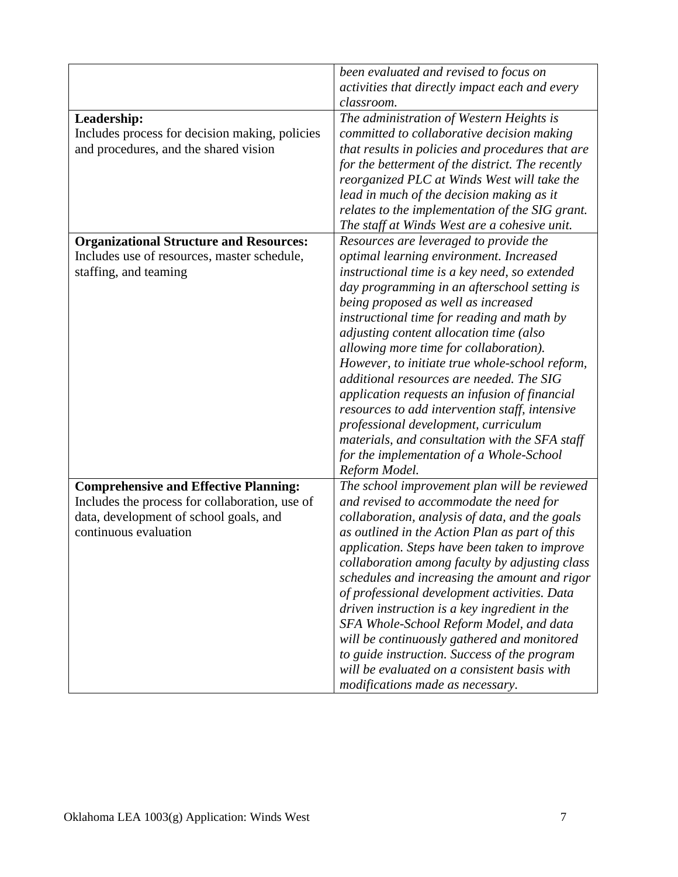|                                                | been evaluated and revised to focus on           |
|------------------------------------------------|--------------------------------------------------|
|                                                | activities that directly impact each and every   |
|                                                | classroom.                                       |
| Leadership:                                    | The administration of Western Heights is         |
| Includes process for decision making, policies | committed to collaborative decision making       |
| and procedures, and the shared vision          | that results in policies and procedures that are |
|                                                | for the betterment of the district. The recently |
|                                                | reorganized PLC at Winds West will take the      |
|                                                | lead in much of the decision making as it        |
|                                                | relates to the implementation of the SIG grant.  |
|                                                |                                                  |
|                                                | The staff at Winds West are a cohesive unit.     |
| <b>Organizational Structure and Resources:</b> | Resources are leveraged to provide the           |
| Includes use of resources, master schedule,    | optimal learning environment. Increased          |
| staffing, and teaming                          | instructional time is a key need, so extended    |
|                                                | day programming in an afterschool setting is     |
|                                                | being proposed as well as increased              |
|                                                | instructional time for reading and math by       |
|                                                | adjusting content allocation time (also          |
|                                                | allowing more time for collaboration).           |
|                                                | However, to initiate true whole-school reform,   |
|                                                | additional resources are needed. The SIG         |
|                                                | application requests an infusion of financial    |
|                                                | resources to add intervention staff, intensive   |
|                                                | professional development, curriculum             |
|                                                | materials, and consultation with the SFA staff   |
|                                                | for the implementation of a Whole-School         |
|                                                | Reform Model.                                    |
| <b>Comprehensive and Effective Planning:</b>   | The school improvement plan will be reviewed     |
| Includes the process for collaboration, use of | and revised to accommodate the need for          |
| data, development of school goals, and         | collaboration, analysis of data, and the goals   |
| continuous evaluation                          | as outlined in the Action Plan as part of this   |
|                                                | application. Steps have been taken to improve    |
|                                                | collaboration among faculty by adjusting class   |
|                                                | schedules and increasing the amount and rigor    |
|                                                | of professional development activities. Data     |
|                                                | driven instruction is a key ingredient in the    |
|                                                | SFA Whole-School Reform Model, and data          |
|                                                | will be continuously gathered and monitored      |
|                                                | to guide instruction. Success of the program     |
|                                                | will be evaluated on a consistent basis with     |
|                                                | modifications made as necessary.                 |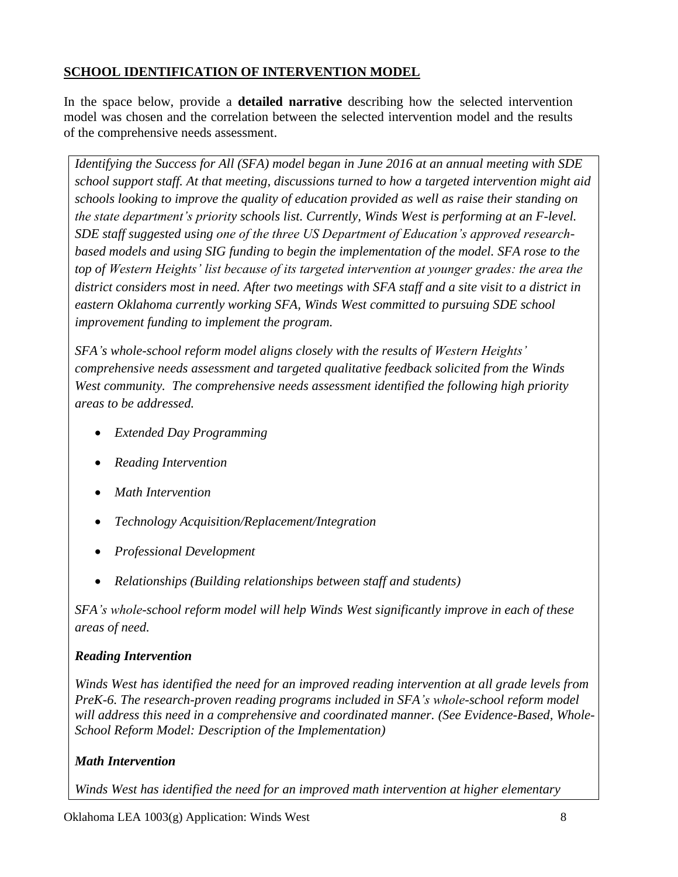## **SCHOOL IDENTIFICATION OF INTERVENTION MODEL**

In the space below, provide a **detailed narrative** describing how the selected intervention model was chosen and the correlation between the selected intervention model and the results of the comprehensive needs assessment.

*Identifying the Success for All (SFA) model began in June 2016 at an annual meeting with SDE school support staff. At that meeting, discussions turned to how a targeted intervention might aid schools looking to improve the quality of education provided as well as raise their standing on the state department's priority schools list. Currently, Winds West is performing at an F-level. SDE staff suggested using one of the three US Department of Education's approved researchbased models and using SIG funding to begin the implementation of the model. SFA rose to the top of Western Heights' list because of its targeted intervention at younger grades: the area the district considers most in need. After two meetings with SFA staff and a site visit to a district in eastern Oklahoma currently working SFA, Winds West committed to pursuing SDE school improvement funding to implement the program.*

*SFA's whole-school reform model aligns closely with the results of Western Heights' comprehensive needs assessment and targeted qualitative feedback solicited from the Winds West community. The comprehensive needs assessment identified the following high priority areas to be addressed.*

- *Extended Day Programming*
- *Reading Intervention*
- *Math Intervention*
- *Technology Acquisition/Replacement/Integration*
- *Professional Development*
- *Relationships (Building relationships between staff and students)*

*SFA's whole-school reform model will help Winds West significantly improve in each of these areas of need.*

## *Reading Intervention*

*Winds West has identified the need for an improved reading intervention at all grade levels from PreK-6. The research-proven reading programs included in SFA's whole-school reform model will address this need in a comprehensive and coordinated manner. (See Evidence-Based, Whole-School Reform Model: Description of the Implementation)*

# *Math Intervention*

*Winds West has identified the need for an improved math intervention at higher elementary*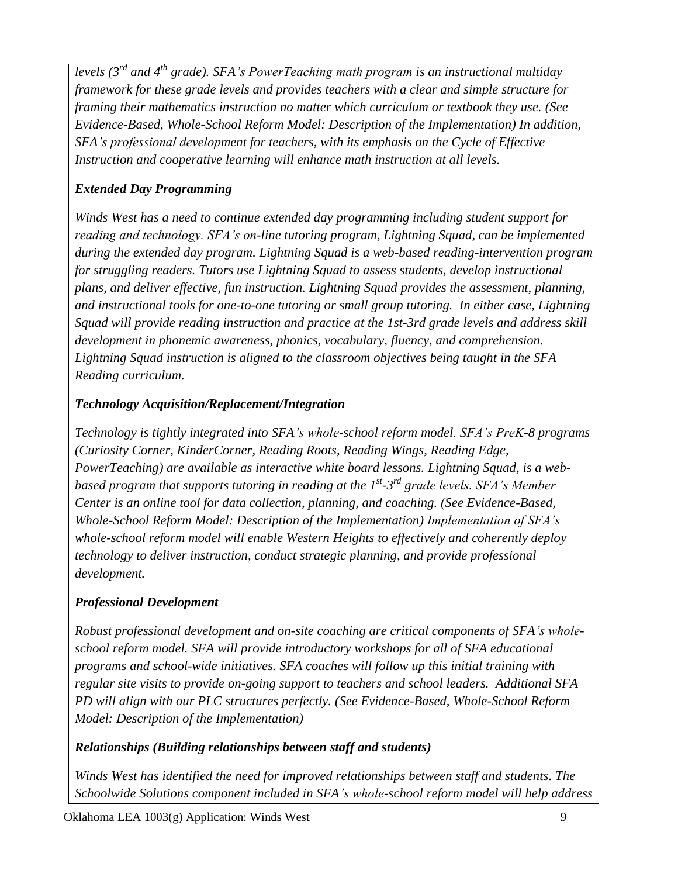*levels (3rd and 4th grade). SFA's PowerTeaching math program is an instructional multiday framework for these grade levels and provides teachers with a clear and simple structure for framing their mathematics instruction no matter which curriculum or textbook they use. (See Evidence-Based, Whole-School Reform Model: Description of the Implementation) In addition, SFA's professional development for teachers, with its emphasis on the Cycle of Effective Instruction and cooperative learning will enhance math instruction at all levels.*

## *Extended Day Programming*

*Winds West has a need to continue extended day programming including student support for reading and technology. SFA's on-line tutoring program, Lightning Squad, can be implemented during the extended day program. Lightning Squad is a web-based reading-intervention program for struggling readers. Tutors use Lightning Squad to assess students, develop instructional plans, and deliver effective, fun instruction. Lightning Squad provides the assessment, planning, and instructional tools for one-to-one tutoring or small group tutoring. In either case, Lightning Squad will provide reading instruction and practice at the 1st-3rd grade levels and address skill development in phonemic awareness, phonics, vocabulary, fluency, and comprehension. Lightning Squad instruction is aligned to the classroom objectives being taught in the SFA Reading curriculum.*

## *Technology Acquisition/Replacement/Integration*

*Technology is tightly integrated into SFA's whole-school reform model. SFA's PreK-8 programs (Curiosity Corner, KinderCorner, Reading Roots, Reading Wings, Reading Edge, PowerTeaching) are available as interactive white board lessons. Lightning Squad, is a web*based program that supports tutoring in reading at the 1<sup>st</sup>-3<sup>rd</sup> grade levels. SFA's Member *Center is an online tool for data collection, planning, and coaching. (See Evidence-Based, Whole-School Reform Model: Description of the Implementation) Implementation of SFA's whole-school reform model will enable Western Heights to effectively and coherently deploy technology to deliver instruction, conduct strategic planning, and provide professional development.* 

## *Professional Development*

*Robust professional development and on-site coaching are critical components of SFA's wholeschool reform model. SFA will provide introductory workshops for all of SFA educational programs and school-wide initiatives. SFA coaches will follow up this initial training with regular site visits to provide on-going support to teachers and school leaders. Additional SFA PD will align with our PLC structures perfectly. (See Evidence-Based, Whole-School Reform Model: Description of the Implementation)*

### *Relationships (Building relationships between staff and students)*

*Winds West has identified the need for improved relationships between staff and students. The Schoolwide Solutions component included in SFA's whole-school reform model will help address*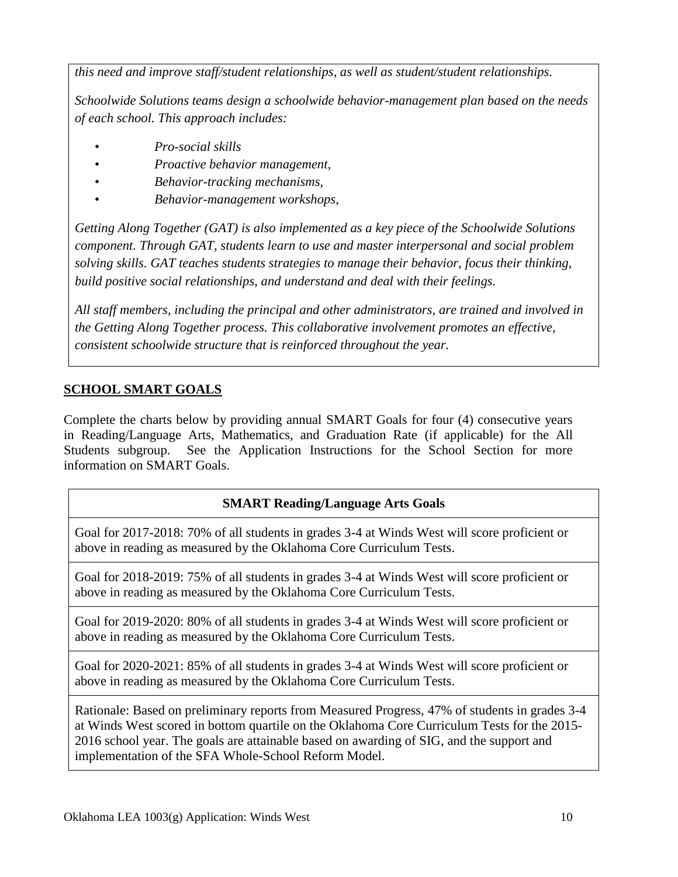*this need and improve staff/student relationships, as well as student/student relationships.* 

*Schoolwide Solutions teams design a schoolwide behavior-management plan based on the needs of each school. This approach includes:*

- *Pro-social skills*
- *Proactive behavior management,*
- *Behavior-tracking mechanisms,*
- *Behavior-management workshops,*

*Getting Along Together (GAT) is also implemented as a key piece of the Schoolwide Solutions component. Through GAT, students learn to use and master interpersonal and social problem solving skills. GAT teaches students strategies to manage their behavior, focus their thinking, build positive social relationships, and understand and deal with their feelings.*

*All staff members, including the principal and other administrators, are trained and involved in the Getting Along Together process. This collaborative involvement promotes an effective, consistent schoolwide structure that is reinforced throughout the year.*

# **SCHOOL SMART GOALS**

Complete the charts below by providing annual SMART Goals for four (4) consecutive years in Reading/Language Arts, Mathematics, and Graduation Rate (if applicable) for the All Students subgroup. See the Application Instructions for the School Section for more information on SMART Goals.

## **SMART Reading/Language Arts Goals**

Goal for 2017-2018: 70% of all students in grades 3-4 at Winds West will score proficient or above in reading as measured by the Oklahoma Core Curriculum Tests.

Goal for 2018-2019: 75% of all students in grades 3-4 at Winds West will score proficient or above in reading as measured by the Oklahoma Core Curriculum Tests.

Goal for 2019-2020: 80% of all students in grades 3-4 at Winds West will score proficient or above in reading as measured by the Oklahoma Core Curriculum Tests.

Goal for 2020-2021: 85% of all students in grades 3-4 at Winds West will score proficient or above in reading as measured by the Oklahoma Core Curriculum Tests.

Rationale: Based on preliminary reports from Measured Progress, 47% of students in grades 3-4 at Winds West scored in bottom quartile on the Oklahoma Core Curriculum Tests for the 2015- 2016 school year. The goals are attainable based on awarding of SIG, and the support and implementation of the SFA Whole-School Reform Model.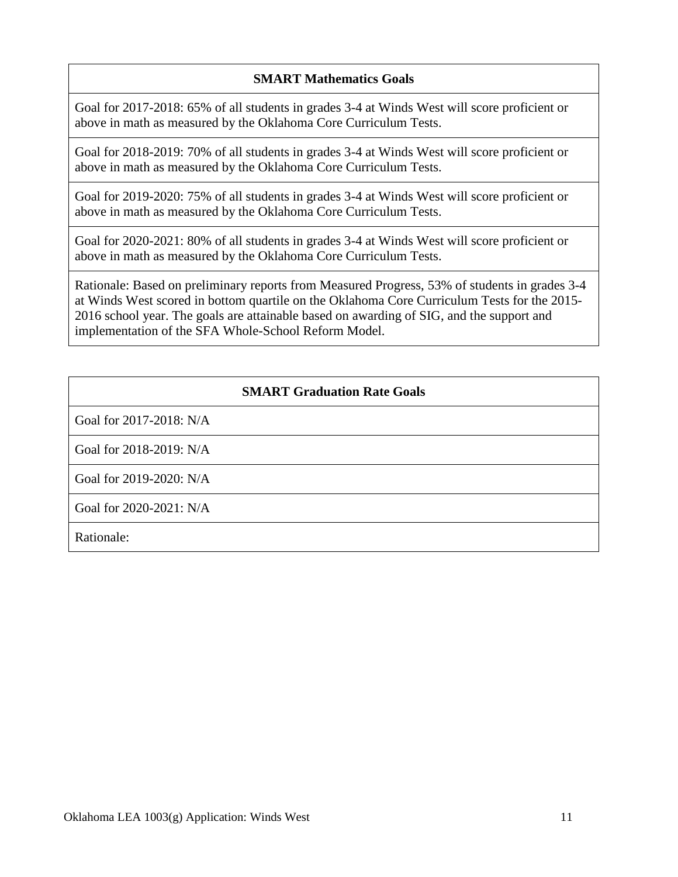### **SMART Mathematics Goals**

Goal for 2017-2018: 65% of all students in grades 3-4 at Winds West will score proficient or above in math as measured by the Oklahoma Core Curriculum Tests.

Goal for 2018-2019: 70% of all students in grades 3-4 at Winds West will score proficient or above in math as measured by the Oklahoma Core Curriculum Tests.

Goal for 2019-2020: 75% of all students in grades 3-4 at Winds West will score proficient or above in math as measured by the Oklahoma Core Curriculum Tests.

Goal for 2020-2021: 80% of all students in grades 3-4 at Winds West will score proficient or above in math as measured by the Oklahoma Core Curriculum Tests.

Rationale: Based on preliminary reports from Measured Progress, 53% of students in grades 3-4 at Winds West scored in bottom quartile on the Oklahoma Core Curriculum Tests for the 2015- 2016 school year. The goals are attainable based on awarding of SIG, and the support and implementation of the SFA Whole-School Reform Model.

#### **SMART Graduation Rate Goals**

Goal for 2017-2018: N/A

Goal for 2018-2019: N/A

Goal for 2019-2020: N/A

Goal for 2020-2021: N/A

Rationale: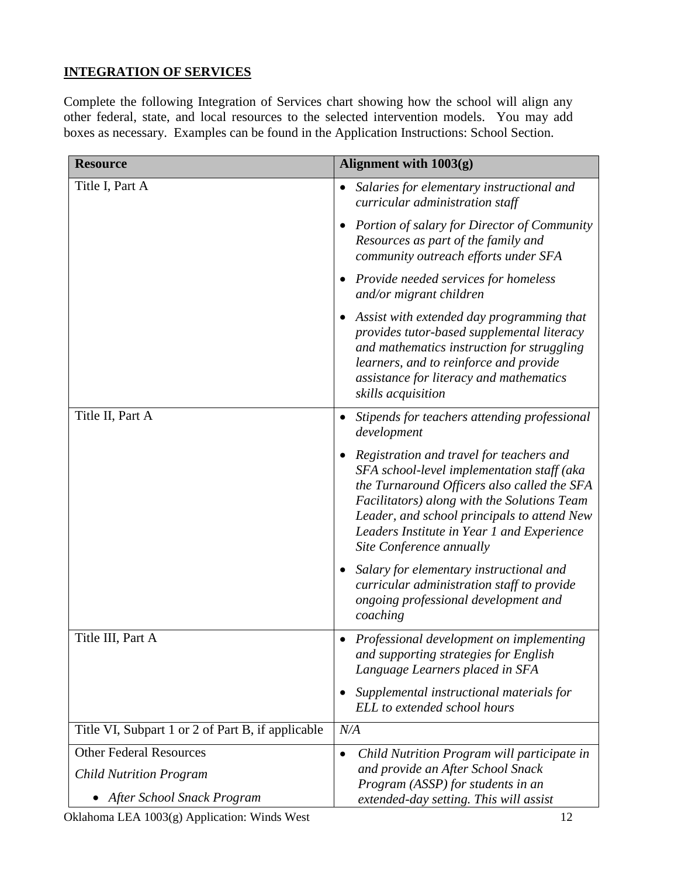## **INTEGRATION OF SERVICES**

Complete the following Integration of Services chart showing how the school will align any other federal, state, and local resources to the selected intervention models. You may add boxes as necessary. Examples can be found in the Application Instructions: School Section.

| <b>Resource</b>                                   | Alignment with 1003(g)                                                                                                                                                                                                                                                                                        |
|---------------------------------------------------|---------------------------------------------------------------------------------------------------------------------------------------------------------------------------------------------------------------------------------------------------------------------------------------------------------------|
| Title I, Part A                                   | Salaries for elementary instructional and<br>curricular administration staff                                                                                                                                                                                                                                  |
|                                                   | <b>Portion of salary for Director of Community</b><br>Resources as part of the family and<br>community outreach efforts under SFA                                                                                                                                                                             |
|                                                   | Provide needed services for homeless<br>and/or migrant children                                                                                                                                                                                                                                               |
|                                                   | Assist with extended day programming that<br>provides tutor-based supplemental literacy<br>and mathematics instruction for struggling<br>learners, and to reinforce and provide<br>assistance for literacy and mathematics<br>skills acquisition                                                              |
| Title II, Part A                                  | Stipends for teachers attending professional<br>$\bullet$<br>development                                                                                                                                                                                                                                      |
|                                                   | Registration and travel for teachers and<br>SFA school-level implementation staff (aka<br>the Turnaround Officers also called the SFA<br>Facilitators) along with the Solutions Team<br>Leader, and school principals to attend New<br>Leaders Institute in Year 1 and Experience<br>Site Conference annually |
|                                                   | Salary for elementary instructional and<br>curricular administration staff to provide<br>ongoing professional development and<br>coaching                                                                                                                                                                     |
| Title III, Part A                                 | Professional development on implementing<br>and supporting strategies for English<br>Language Learners placed in SFA                                                                                                                                                                                          |
|                                                   | Supplemental instructional materials for<br>ELL to extended school hours                                                                                                                                                                                                                                      |
| Title VI, Subpart 1 or 2 of Part B, if applicable | N/A                                                                                                                                                                                                                                                                                                           |
| <b>Other Federal Resources</b>                    | Child Nutrition Program will participate in<br>$\bullet$                                                                                                                                                                                                                                                      |
| <b>Child Nutrition Program</b>                    | and provide an After School Snack<br>Program (ASSP) for students in an                                                                                                                                                                                                                                        |
| After School Snack Program                        | extended-day setting. This will assist                                                                                                                                                                                                                                                                        |

Oklahoma LEA 1003(g) Application: Winds West 12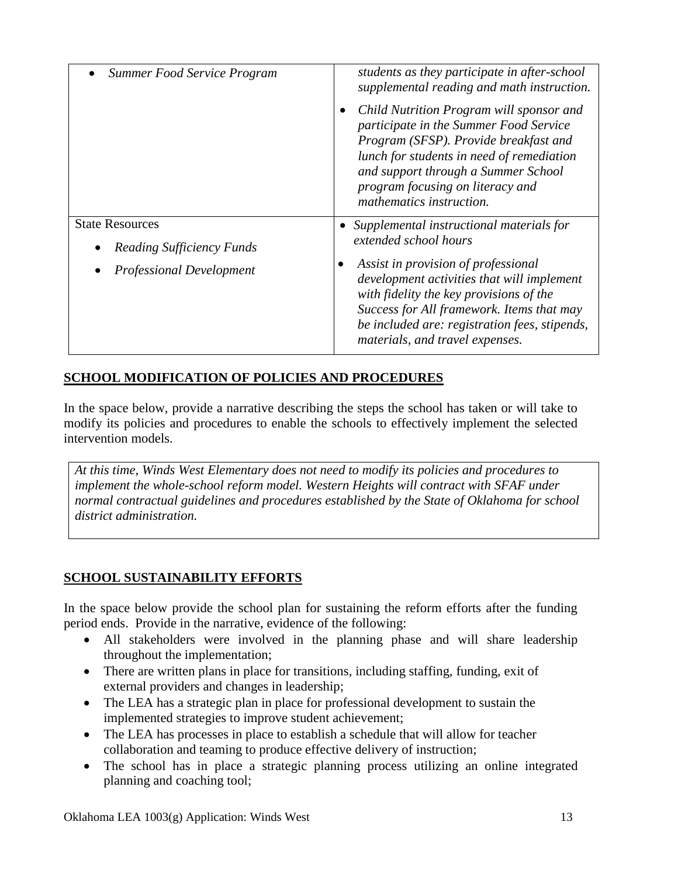| Summer Food Service Program                                | students as they participate in after-school<br>supplemental reading and math instruction.                                                                                                                                                                                      |  |  |
|------------------------------------------------------------|---------------------------------------------------------------------------------------------------------------------------------------------------------------------------------------------------------------------------------------------------------------------------------|--|--|
|                                                            | Child Nutrition Program will sponsor and<br>participate in the Summer Food Service<br>Program (SFSP). Provide breakfast and<br>lunch for students in need of remediation<br>and support through a Summer School<br>program focusing on literacy and<br>mathematics instruction. |  |  |
| <b>State Resources</b><br><b>Reading Sufficiency Funds</b> | Supplemental instructional materials for<br>extended school hours                                                                                                                                                                                                               |  |  |
| <b>Professional Development</b>                            | Assist in provision of professional<br>development activities that will implement<br>with fidelity the key provisions of the<br>Success for All framework. Items that may<br>be included are: registration fees, stipends,<br>materials, and travel expenses.                   |  |  |

## **SCHOOL MODIFICATION OF POLICIES AND PROCEDURES**

In the space below, provide a narrative describing the steps the school has taken or will take to modify its policies and procedures to enable the schools to effectively implement the selected intervention models.

*At this time, Winds West Elementary does not need to modify its policies and procedures to implement the whole-school reform model. Western Heights will contract with SFAF under normal contractual guidelines and procedures established by the State of Oklahoma for school district administration.*

### **SCHOOL SUSTAINABILITY EFFORTS**

In the space below provide the school plan for sustaining the reform efforts after the funding period ends. Provide in the narrative, evidence of the following:

- All stakeholders were involved in the planning phase and will share leadership throughout the implementation;
- There are written plans in place for transitions, including staffing, funding, exit of external providers and changes in leadership;
- The LEA has a strategic plan in place for professional development to sustain the implemented strategies to improve student achievement;
- The LEA has processes in place to establish a schedule that will allow for teacher collaboration and teaming to produce effective delivery of instruction;
- The school has in place a strategic planning process utilizing an online integrated planning and coaching tool;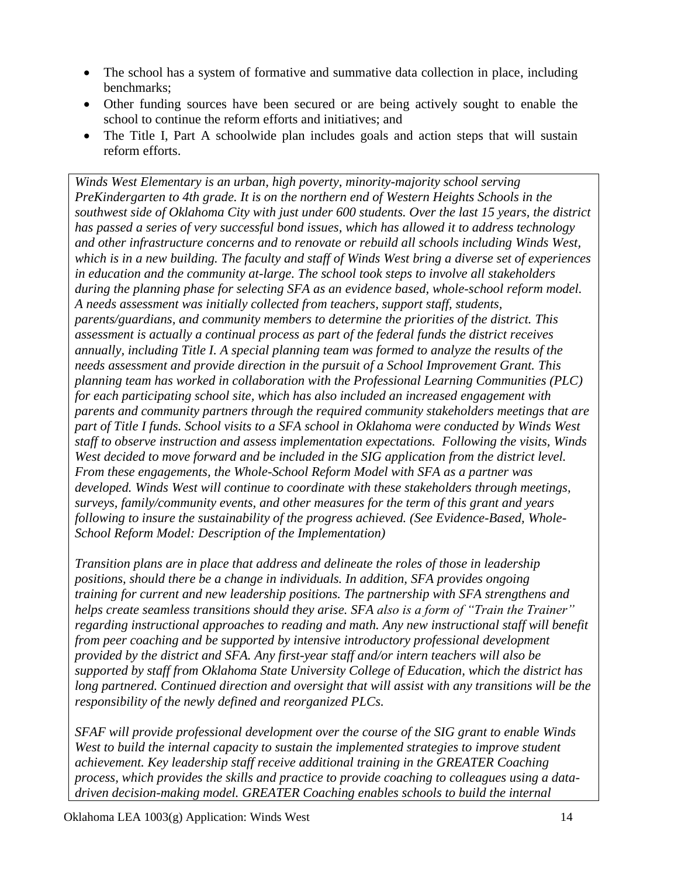- The school has a system of formative and summative data collection in place, including benchmarks;
- Other funding sources have been secured or are being actively sought to enable the school to continue the reform efforts and initiatives; and
- The Title I, Part A schoolwide plan includes goals and action steps that will sustain reform efforts.

*Winds West Elementary is an urban, high poverty, minority-majority school serving PreKindergarten to 4th grade. It is on the northern end of Western Heights Schools in the southwest side of Oklahoma City with just under 600 students. Over the last 15 years, the district has passed a series of very successful bond issues, which has allowed it to address technology and other infrastructure concerns and to renovate or rebuild all schools including Winds West, which is in a new building. The faculty and staff of Winds West bring a diverse set of experiences in education and the community at-large. The school took steps to involve all stakeholders during the planning phase for selecting SFA as an evidence based, whole-school reform model. A needs assessment was initially collected from teachers, support staff, students, parents/guardians, and community members to determine the priorities of the district. This assessment is actually a continual process as part of the federal funds the district receives annually, including Title I. A special planning team was formed to analyze the results of the needs assessment and provide direction in the pursuit of a School Improvement Grant. This planning team has worked in collaboration with the Professional Learning Communities (PLC) for each participating school site, which has also included an increased engagement with parents and community partners through the required community stakeholders meetings that are part of Title I funds. School visits to a SFA school in Oklahoma were conducted by Winds West staff to observe instruction and assess implementation expectations. Following the visits, Winds West decided to move forward and be included in the SIG application from the district level. From these engagements, the Whole-School Reform Model with SFA as a partner was developed. Winds West will continue to coordinate with these stakeholders through meetings, surveys, family/community events, and other measures for the term of this grant and years following to insure the sustainability of the progress achieved. (See Evidence-Based, Whole-School Reform Model: Description of the Implementation)* 

*Transition plans are in place that address and delineate the roles of those in leadership positions, should there be a change in individuals. In addition, SFA provides ongoing training for current and new leadership positions. The partnership with SFA strengthens and helps create seamless transitions should they arise. SFA also is a form of "Train the Trainer" regarding instructional approaches to reading and math. Any new instructional staff will benefit from peer coaching and be supported by intensive introductory professional development provided by the district and SFA. Any first-year staff and/or intern teachers will also be supported by staff from Oklahoma State University College of Education, which the district has long partnered. Continued direction and oversight that will assist with any transitions will be the responsibility of the newly defined and reorganized PLCs.*

*SFAF will provide professional development over the course of the SIG grant to enable Winds West to build the internal capacity to sustain the implemented strategies to improve student achievement. Key leadership staff receive additional training in the GREATER Coaching process, which provides the skills and practice to provide coaching to colleagues using a datadriven decision-making model. GREATER Coaching enables schools to build the internal*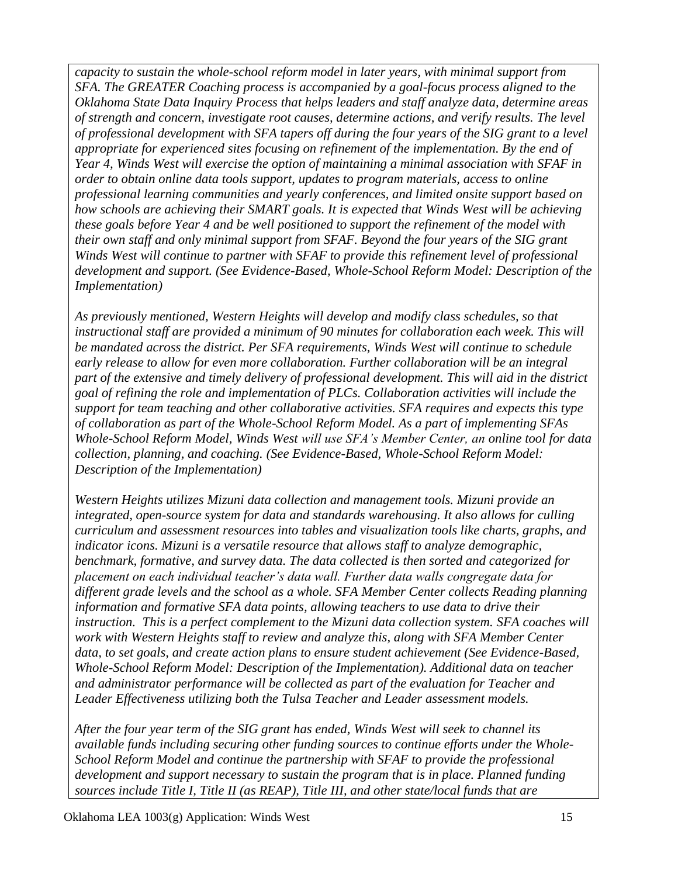*capacity to sustain the whole-school reform model in later years, with minimal support from SFA. The GREATER Coaching process is accompanied by a goal-focus process aligned to the Oklahoma State Data Inquiry Process that helps leaders and staff analyze data, determine areas of strength and concern, investigate root causes, determine actions, and verify results. The level of professional development with SFA tapers off during the four years of the SIG grant to a level appropriate for experienced sites focusing on refinement of the implementation. By the end of Year 4, Winds West will exercise the option of maintaining a minimal association with SFAF in order to obtain online data tools support, updates to program materials, access to online professional learning communities and yearly conferences, and limited onsite support based on how schools are achieving their SMART goals. It is expected that Winds West will be achieving these goals before Year 4 and be well positioned to support the refinement of the model with their own staff and only minimal support from SFAF. Beyond the four years of the SIG grant Winds West will continue to partner with SFAF to provide this refinement level of professional development and support. (See Evidence-Based, Whole-School Reform Model: Description of the Implementation)* 

*As previously mentioned, Western Heights will develop and modify class schedules, so that instructional staff are provided a minimum of 90 minutes for collaboration each week. This will be mandated across the district. Per SFA requirements, Winds West will continue to schedule early release to allow for even more collaboration. Further collaboration will be an integral part of the extensive and timely delivery of professional development. This will aid in the district goal of refining the role and implementation of PLCs. Collaboration activities will include the support for team teaching and other collaborative activities. SFA requires and expects this type of collaboration as part of the Whole-School Reform Model. As a part of implementing SFAs Whole-School Reform Model, Winds West will use SFA's Member Center, an online tool for data collection, planning, and coaching. (See Evidence-Based, Whole-School Reform Model: Description of the Implementation)*

*Western Heights utilizes Mizuni data collection and management tools. Mizuni provide an integrated, open-source system for data and standards warehousing. It also allows for culling curriculum and assessment resources into tables and visualization tools like charts, graphs, and indicator icons. Mizuni is a versatile resource that allows staff to analyze demographic, benchmark, formative, and survey data. The data collected is then sorted and categorized for placement on each individual teacher's data wall. Further data walls congregate data for different grade levels and the school as a whole. SFA Member Center collects Reading planning information and formative SFA data points, allowing teachers to use data to drive their instruction. This is a perfect complement to the Mizuni data collection system. SFA coaches will work with Western Heights staff to review and analyze this, along with SFA Member Center data, to set goals, and create action plans to ensure student achievement (See Evidence-Based, Whole-School Reform Model: Description of the Implementation). Additional data on teacher and administrator performance will be collected as part of the evaluation for Teacher and Leader Effectiveness utilizing both the Tulsa Teacher and Leader assessment models.* 

*After the four year term of the SIG grant has ended, Winds West will seek to channel its available funds including securing other funding sources to continue efforts under the Whole-School Reform Model and continue the partnership with SFAF to provide the professional development and support necessary to sustain the program that is in place. Planned funding sources include Title I, Title II (as REAP), Title III, and other state/local funds that are*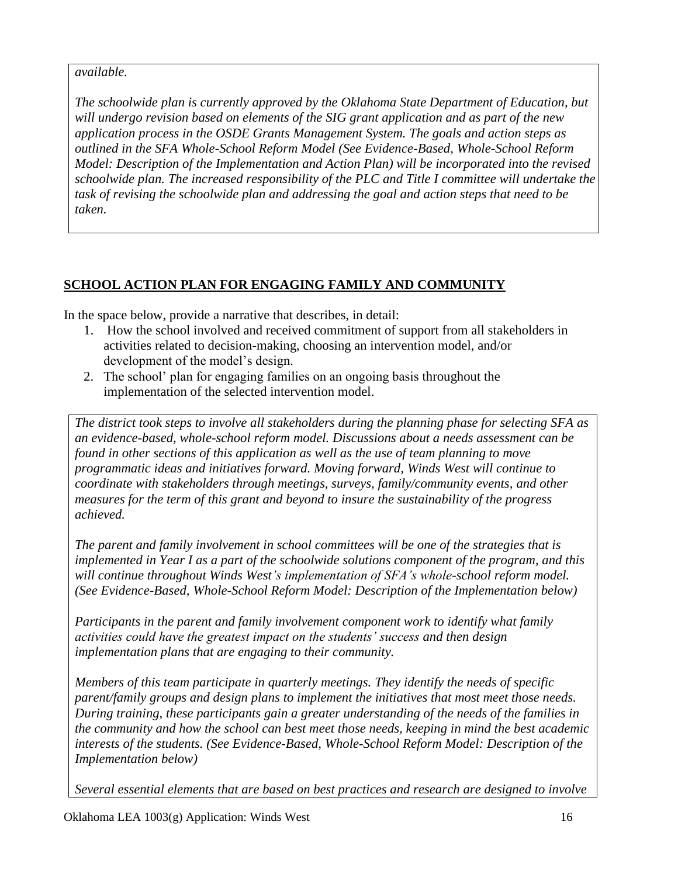### *available.*

*The schoolwide plan is currently approved by the Oklahoma State Department of Education, but will undergo revision based on elements of the SIG grant application and as part of the new application process in the OSDE Grants Management System. The goals and action steps as outlined in the SFA Whole-School Reform Model (See Evidence-Based, Whole-School Reform Model: Description of the Implementation and Action Plan) will be incorporated into the revised schoolwide plan. The increased responsibility of the PLC and Title I committee will undertake the task of revising the schoolwide plan and addressing the goal and action steps that need to be taken.*

# **SCHOOL ACTION PLAN FOR ENGAGING FAMILY AND COMMUNITY**

In the space below, provide a narrative that describes, in detail:

- 1. How the school involved and received commitment of support from all stakeholders in activities related to decision-making, choosing an intervention model, and/or development of the model's design.
- 2. The school' plan for engaging families on an ongoing basis throughout the implementation of the selected intervention model.

*The district took steps to involve all stakeholders during the planning phase for selecting SFA as an evidence-based, whole-school reform model. Discussions about a needs assessment can be found in other sections of this application as well as the use of team planning to move programmatic ideas and initiatives forward. Moving forward, Winds West will continue to coordinate with stakeholders through meetings, surveys, family/community events, and other measures for the term of this grant and beyond to insure the sustainability of the progress achieved.*

*The parent and family involvement in school committees will be one of the strategies that is implemented in Year I as a part of the schoolwide solutions component of the program, and this will continue throughout Winds West's implementation of SFA's whole-school reform model. (See Evidence-Based, Whole-School Reform Model: Description of the Implementation below)*

*Participants in the parent and family involvement component work to identify what family activities could have the greatest impact on the students' success and then design implementation plans that are engaging to their community.*

*Members of this team participate in quarterly meetings. They identify the needs of specific parent/family groups and design plans to implement the initiatives that most meet those needs. During training, these participants gain a greater understanding of the needs of the families in the community and how the school can best meet those needs, keeping in mind the best academic interests of the students. (See Evidence-Based, Whole-School Reform Model: Description of the Implementation below)*

*Several essential elements that are based on best practices and research are designed to involve*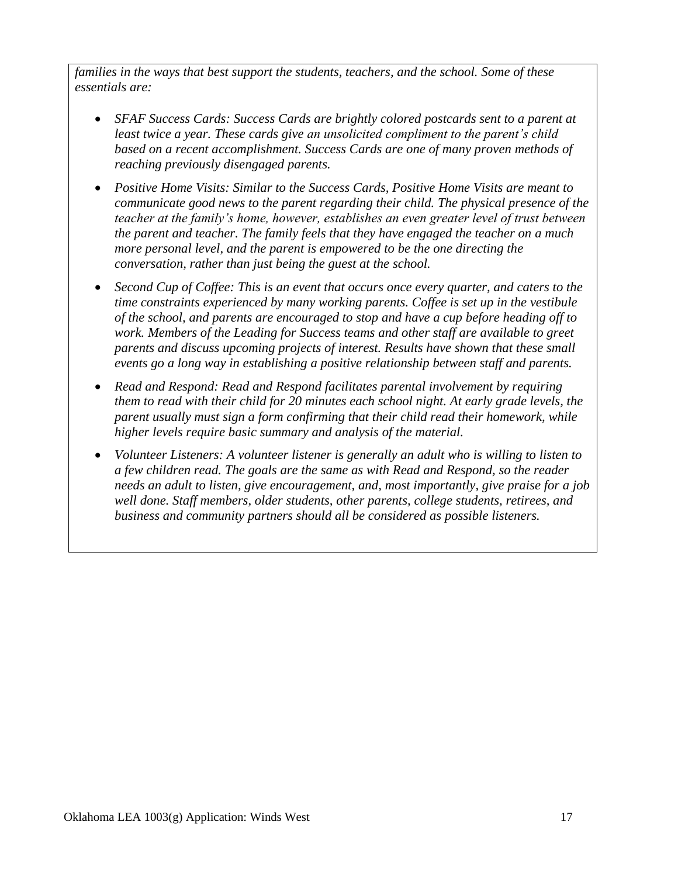*families in the ways that best support the students, teachers, and the school. Some of these essentials are:*

- SFAF Success Cards: Success Cards are brightly colored postcards sent to a parent at *least twice a year. These cards give an unsolicited compliment to the parent's child based on a recent accomplishment. Success Cards are one of many proven methods of reaching previously disengaged parents.*
- *Positive Home Visits: Similar to the Success Cards, Positive Home Visits are meant to communicate good news to the parent regarding their child. The physical presence of the teacher at the family's home, however, establishes an even greater level of trust between the parent and teacher. The family feels that they have engaged the teacher on a much more personal level, and the parent is empowered to be the one directing the conversation, rather than just being the guest at the school.*
- *Second Cup of Coffee: This is an event that occurs once every quarter, and caters to the time constraints experienced by many working parents. Coffee is set up in the vestibule of the school, and parents are encouraged to stop and have a cup before heading off to work. Members of the Leading for Success teams and other staff are available to greet parents and discuss upcoming projects of interest. Results have shown that these small events go a long way in establishing a positive relationship between staff and parents.*
- *Read and Respond: Read and Respond facilitates parental involvement by requiring them to read with their child for 20 minutes each school night. At early grade levels, the parent usually must sign a form confirming that their child read their homework, while higher levels require basic summary and analysis of the material.*
- *Volunteer Listeners: A volunteer listener is generally an adult who is willing to listen to a few children read. The goals are the same as with Read and Respond, so the reader needs an adult to listen, give encouragement, and, most importantly, give praise for a job well done. Staff members, older students, other parents, college students, retirees, and business and community partners should all be considered as possible listeners.*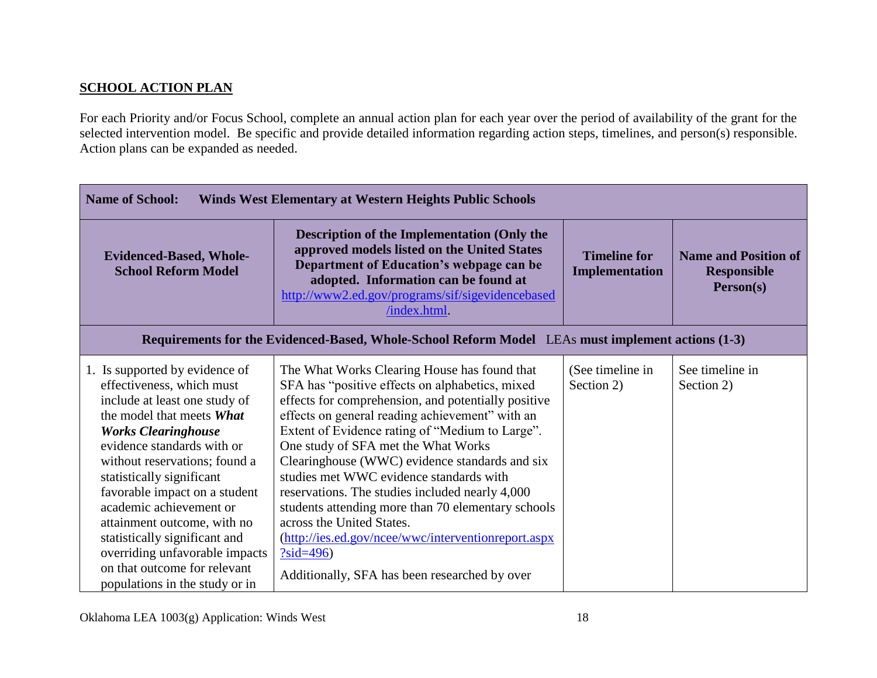### **SCHOOL ACTION PLAN**

For each Priority and/or Focus School, complete an annual action plan for each year over the period of availability of the grant for the selected intervention model. Be specific and provide detailed information regarding action steps, timelines, and person(s) responsible. Action plans can be expanded as needed.

| <b>Name of School:</b><br><b>Winds West Elementary at Western Heights Public Schools</b>                                                                                                                                                                                                                                                                                                                                                                                            |                                                                                                                                                                                                                                                                                                                                                                                                                                                                                                                                                                                                                                                               |                                       |                                                                |
|-------------------------------------------------------------------------------------------------------------------------------------------------------------------------------------------------------------------------------------------------------------------------------------------------------------------------------------------------------------------------------------------------------------------------------------------------------------------------------------|---------------------------------------------------------------------------------------------------------------------------------------------------------------------------------------------------------------------------------------------------------------------------------------------------------------------------------------------------------------------------------------------------------------------------------------------------------------------------------------------------------------------------------------------------------------------------------------------------------------------------------------------------------------|---------------------------------------|----------------------------------------------------------------|
| <b>Evidenced-Based, Whole-</b><br><b>School Reform Model</b>                                                                                                                                                                                                                                                                                                                                                                                                                        | <b>Description of the Implementation (Only the</b><br>approved models listed on the United States<br>Department of Education's webpage can be<br>adopted. Information can be found at<br>http://www2.ed.gov/programs/sif/sigevidencebased<br>/index.html.                                                                                                                                                                                                                                                                                                                                                                                                     | <b>Timeline for</b><br>Implementation | <b>Name and Position of</b><br><b>Responsible</b><br>Person(s) |
|                                                                                                                                                                                                                                                                                                                                                                                                                                                                                     | Requirements for the Evidenced-Based, Whole-School Reform Model LEAs must implement actions (1-3)                                                                                                                                                                                                                                                                                                                                                                                                                                                                                                                                                             |                                       |                                                                |
| 1. Is supported by evidence of<br>effectiveness, which must<br>include at least one study of<br>the model that meets What<br><b>Works Clearinghouse</b><br>evidence standards with or<br>without reservations; found a<br>statistically significant<br>favorable impact on a student<br>academic achievement or<br>attainment outcome, with no<br>statistically significant and<br>overriding unfavorable impacts<br>on that outcome for relevant<br>populations in the study or in | The What Works Clearing House has found that<br>SFA has "positive effects on alphabetics, mixed<br>effects for comprehension, and potentially positive<br>effects on general reading achievement" with an<br>Extent of Evidence rating of "Medium to Large".<br>One study of SFA met the What Works<br>Clearinghouse (WWC) evidence standards and six<br>studies met WWC evidence standards with<br>reservations. The studies included nearly 4,000<br>students attending more than 70 elementary schools<br>across the United States.<br>(http://ies.ed.gov/ncee/wwc/interventionreport.aspx<br>$?sid=496)$<br>Additionally, SFA has been researched by over | (See timeline in<br>Section 2)        | See timeline in<br>Section 2)                                  |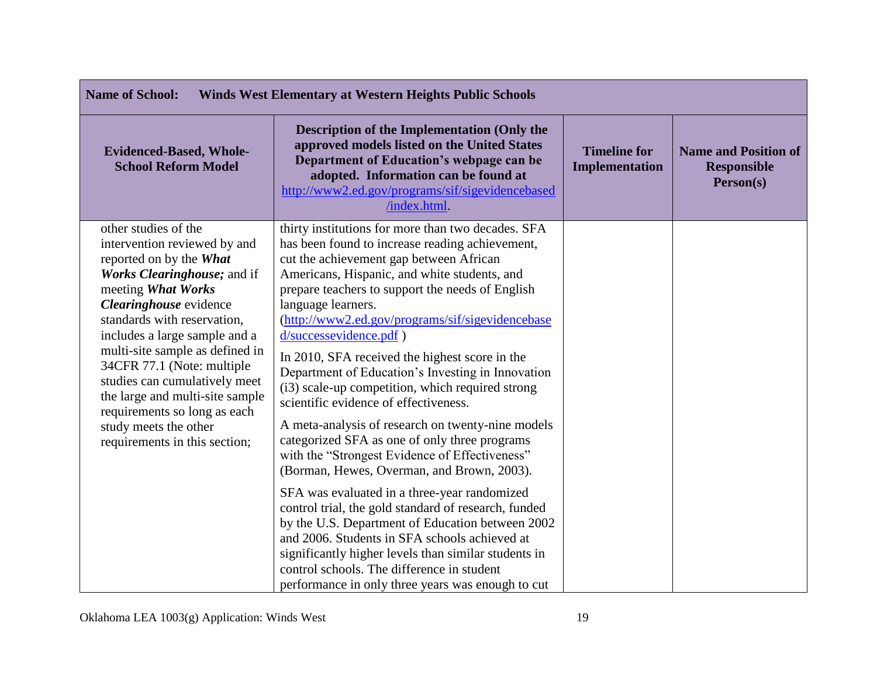| <b>Name of School:</b><br><b>Winds West Elementary at Western Heights Public Schools</b>                                                                                                                                                                                                                                                                                                                                                                      |                                                                                                                                                                                                                                                                                                                                                                                                                                                                                                                                                                                                                                                                                                                                                                                                                                                                                                                                                                                                                                                                                                                                            |                                              |                                                                |
|---------------------------------------------------------------------------------------------------------------------------------------------------------------------------------------------------------------------------------------------------------------------------------------------------------------------------------------------------------------------------------------------------------------------------------------------------------------|--------------------------------------------------------------------------------------------------------------------------------------------------------------------------------------------------------------------------------------------------------------------------------------------------------------------------------------------------------------------------------------------------------------------------------------------------------------------------------------------------------------------------------------------------------------------------------------------------------------------------------------------------------------------------------------------------------------------------------------------------------------------------------------------------------------------------------------------------------------------------------------------------------------------------------------------------------------------------------------------------------------------------------------------------------------------------------------------------------------------------------------------|----------------------------------------------|----------------------------------------------------------------|
| <b>Evidenced-Based, Whole-</b><br><b>School Reform Model</b>                                                                                                                                                                                                                                                                                                                                                                                                  | <b>Description of the Implementation (Only the</b><br>approved models listed on the United States<br>Department of Education's webpage can be<br>adopted. Information can be found at<br>http://www2.ed.gov/programs/sif/sigevidencebased<br>/index.html                                                                                                                                                                                                                                                                                                                                                                                                                                                                                                                                                                                                                                                                                                                                                                                                                                                                                   | <b>Timeline for</b><br><b>Implementation</b> | <b>Name and Position of</b><br><b>Responsible</b><br>Person(s) |
| other studies of the<br>intervention reviewed by and<br>reported on by the What<br>Works Clearinghouse; and if<br>meeting What Works<br>Clearinghouse evidence<br>standards with reservation,<br>includes a large sample and a<br>multi-site sample as defined in<br>34CFR 77.1 (Note: multiple<br>studies can cumulatively meet<br>the large and multi-site sample<br>requirements so long as each<br>study meets the other<br>requirements in this section; | thirty institutions for more than two decades. SFA<br>has been found to increase reading achievement,<br>cut the achievement gap between African<br>Americans, Hispanic, and white students, and<br>prepare teachers to support the needs of English<br>language learners.<br>(http://www2.ed.gov/programs/sif/sigevidencebase<br>d/successevidence.pdf)<br>In 2010, SFA received the highest score in the<br>Department of Education's Investing in Innovation<br>(i3) scale-up competition, which required strong<br>scientific evidence of effectiveness.<br>A meta-analysis of research on twenty-nine models<br>categorized SFA as one of only three programs<br>with the "Strongest Evidence of Effectiveness"<br>(Borman, Hewes, Overman, and Brown, 2003).<br>SFA was evaluated in a three-year randomized<br>control trial, the gold standard of research, funded<br>by the U.S. Department of Education between 2002<br>and 2006. Students in SFA schools achieved at<br>significantly higher levels than similar students in<br>control schools. The difference in student<br>performance in only three years was enough to cut |                                              |                                                                |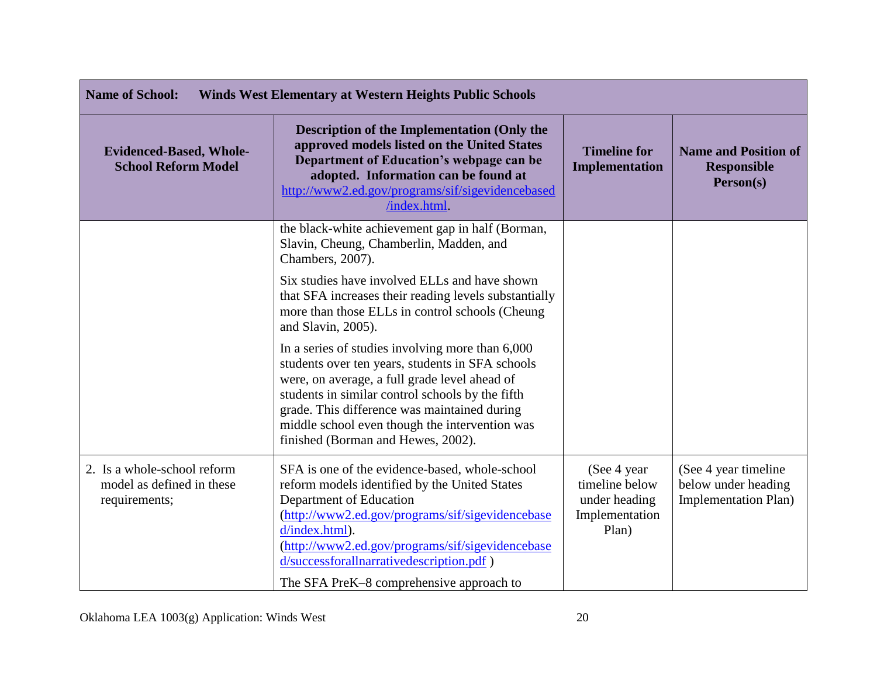| <b>Name of School:</b><br><b>Winds West Elementary at Western Heights Public Schools</b> |                                                                                                                                                                                                                                                                                                                                                   |                                                                            |                                                                            |
|------------------------------------------------------------------------------------------|---------------------------------------------------------------------------------------------------------------------------------------------------------------------------------------------------------------------------------------------------------------------------------------------------------------------------------------------------|----------------------------------------------------------------------------|----------------------------------------------------------------------------|
| <b>Evidenced-Based, Whole-</b><br><b>School Reform Model</b>                             | <b>Description of the Implementation (Only the</b><br>approved models listed on the United States<br>Department of Education's webpage can be<br>adopted. Information can be found at<br>http://www2.ed.gov/programs/sif/sigevidencebased<br>/index.html.                                                                                         | <b>Timeline for</b><br><b>Implementation</b>                               | <b>Name and Position of</b><br><b>Responsible</b><br>Person(s)             |
|                                                                                          | the black-white achievement gap in half (Borman,<br>Slavin, Cheung, Chamberlin, Madden, and<br>Chambers, 2007).                                                                                                                                                                                                                                   |                                                                            |                                                                            |
|                                                                                          | Six studies have involved ELLs and have shown<br>that SFA increases their reading levels substantially<br>more than those ELLs in control schools (Cheung<br>and Slavin, 2005).                                                                                                                                                                   |                                                                            |                                                                            |
|                                                                                          | In a series of studies involving more than 6,000<br>students over ten years, students in SFA schools<br>were, on average, a full grade level ahead of<br>students in similar control schools by the fifth<br>grade. This difference was maintained during<br>middle school even though the intervention was<br>finished (Borman and Hewes, 2002). |                                                                            |                                                                            |
| 2. Is a whole-school reform<br>model as defined in these<br>requirements;                | SFA is one of the evidence-based, whole-school<br>reform models identified by the United States<br>Department of Education<br>(http://www2.ed.gov/programs/sif/sigevidencebase<br>d/index.html).<br>(http://www2.ed.gov/programs/sif/sigevidencebase<br>d/successforallnarrativedescription.pdf)<br>The SFA PreK-8 comprehensive approach to      | (See 4 year)<br>timeline below<br>under heading<br>Implementation<br>Plan) | (See 4 year timeline<br>below under heading<br><b>Implementation Plan)</b> |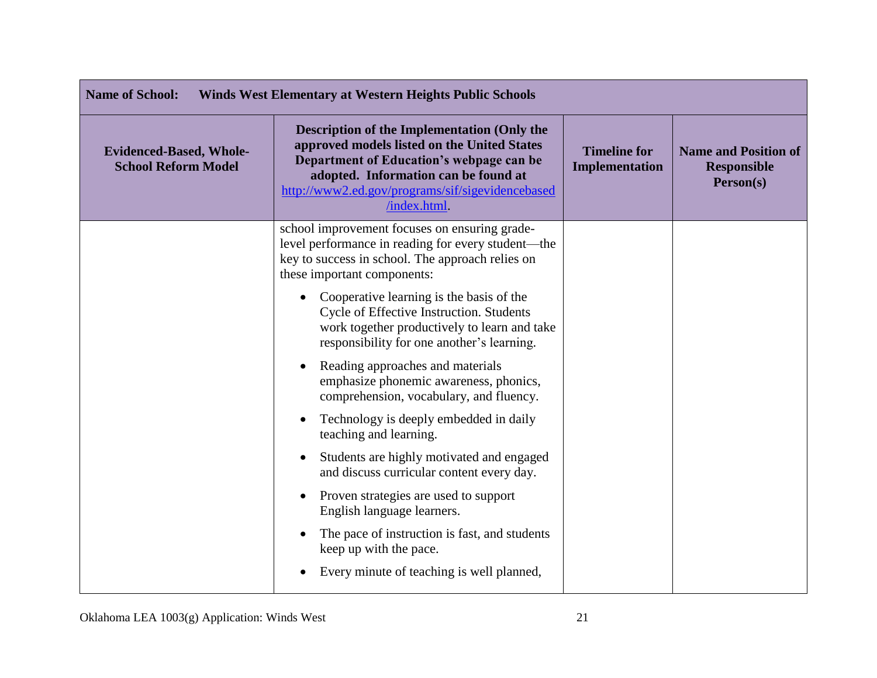| <b>Name of School:</b><br>Winds West Elementary at Western Heights Public Schools |                                                                                                                                                                                                                                                           |                                       |                                                                |
|-----------------------------------------------------------------------------------|-----------------------------------------------------------------------------------------------------------------------------------------------------------------------------------------------------------------------------------------------------------|---------------------------------------|----------------------------------------------------------------|
| <b>Evidenced-Based, Whole-</b><br><b>School Reform Model</b>                      | <b>Description of the Implementation (Only the</b><br>approved models listed on the United States<br>Department of Education's webpage can be<br>adopted. Information can be found at<br>http://www2.ed.gov/programs/sif/sigevidencebased<br>/index.html. | <b>Timeline for</b><br>Implementation | <b>Name and Position of</b><br><b>Responsible</b><br>Person(s) |
|                                                                                   | school improvement focuses on ensuring grade-<br>level performance in reading for every student—the<br>key to success in school. The approach relies on<br>these important components:                                                                    |                                       |                                                                |
|                                                                                   | Cooperative learning is the basis of the<br>Cycle of Effective Instruction. Students<br>work together productively to learn and take<br>responsibility for one another's learning.                                                                        |                                       |                                                                |
|                                                                                   | Reading approaches and materials<br>emphasize phonemic awareness, phonics,<br>comprehension, vocabulary, and fluency.                                                                                                                                     |                                       |                                                                |
|                                                                                   | Technology is deeply embedded in daily<br>$\bullet$<br>teaching and learning.                                                                                                                                                                             |                                       |                                                                |
|                                                                                   | Students are highly motivated and engaged<br>and discuss curricular content every day.                                                                                                                                                                    |                                       |                                                                |
|                                                                                   | Proven strategies are used to support<br>$\bullet$<br>English language learners.                                                                                                                                                                          |                                       |                                                                |
|                                                                                   | The pace of instruction is fast, and students<br>keep up with the pace.                                                                                                                                                                                   |                                       |                                                                |
|                                                                                   | Every minute of teaching is well planned,                                                                                                                                                                                                                 |                                       |                                                                |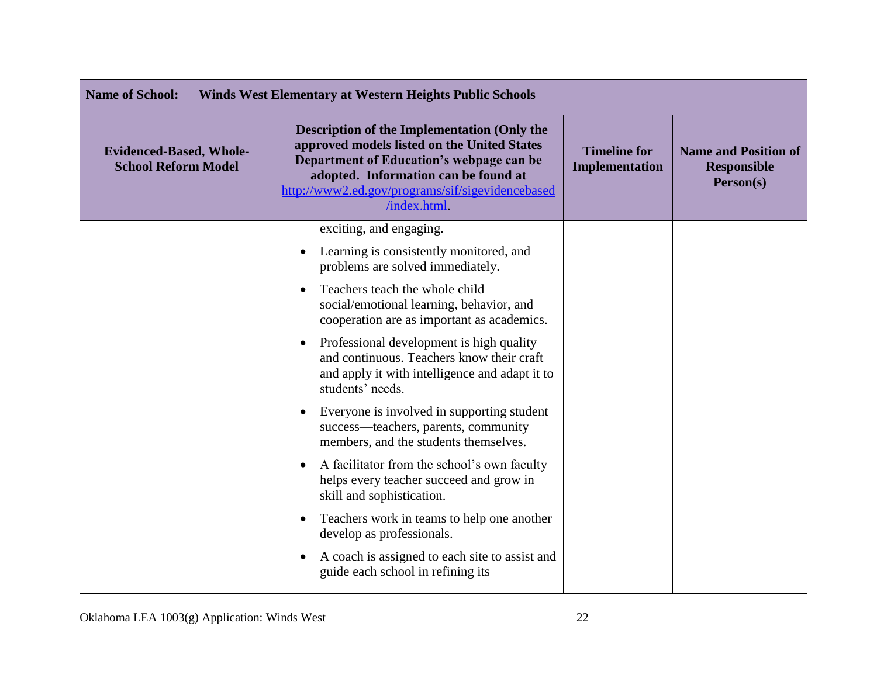| <b>Name of School:</b><br>Winds West Elementary at Western Heights Public Schools |                                                                                                                                                                                                                                                          |                                       |                                                                |
|-----------------------------------------------------------------------------------|----------------------------------------------------------------------------------------------------------------------------------------------------------------------------------------------------------------------------------------------------------|---------------------------------------|----------------------------------------------------------------|
| <b>Evidenced-Based, Whole-</b><br><b>School Reform Model</b>                      | <b>Description of the Implementation (Only the</b><br>approved models listed on the United States<br>Department of Education's webpage can be<br>adopted. Information can be found at<br>http://www2.ed.gov/programs/sif/sigevidencebased<br>/index.html | <b>Timeline for</b><br>Implementation | <b>Name and Position of</b><br><b>Responsible</b><br>Person(s) |
|                                                                                   | exciting, and engaging.                                                                                                                                                                                                                                  |                                       |                                                                |
|                                                                                   | Learning is consistently monitored, and<br>$\bullet$<br>problems are solved immediately.                                                                                                                                                                 |                                       |                                                                |
|                                                                                   | Teachers teach the whole child—<br>social/emotional learning, behavior, and<br>cooperation are as important as academics.                                                                                                                                |                                       |                                                                |
|                                                                                   | Professional development is high quality<br>$\bullet$<br>and continuous. Teachers know their craft<br>and apply it with intelligence and adapt it to<br>students' needs.                                                                                 |                                       |                                                                |
|                                                                                   | Everyone is involved in supporting student<br>success—teachers, parents, community<br>members, and the students themselves.                                                                                                                              |                                       |                                                                |
|                                                                                   | A facilitator from the school's own faculty<br>$\bullet$<br>helps every teacher succeed and grow in<br>skill and sophistication.                                                                                                                         |                                       |                                                                |
|                                                                                   | Teachers work in teams to help one another<br>develop as professionals.                                                                                                                                                                                  |                                       |                                                                |
|                                                                                   | A coach is assigned to each site to assist and<br>guide each school in refining its                                                                                                                                                                      |                                       |                                                                |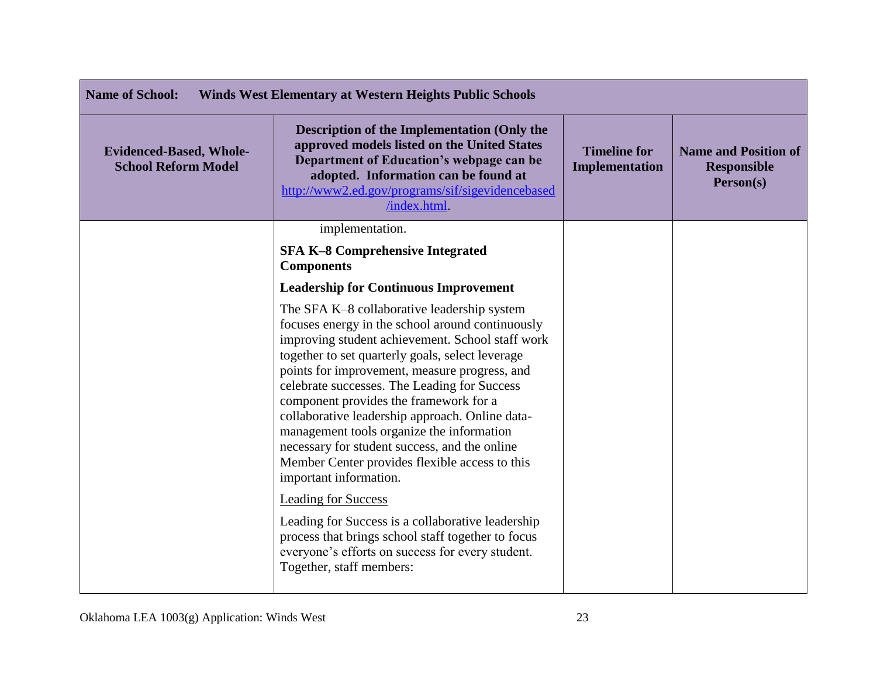| <b>Name of School:</b><br><b>Winds West Elementary at Western Heights Public Schools</b> |                                                                                                                                                                                                                                                                                                                                                                                                                                                                                                                                                                                                                                                                                                                                                                                                          |                                              |                                                                |
|------------------------------------------------------------------------------------------|----------------------------------------------------------------------------------------------------------------------------------------------------------------------------------------------------------------------------------------------------------------------------------------------------------------------------------------------------------------------------------------------------------------------------------------------------------------------------------------------------------------------------------------------------------------------------------------------------------------------------------------------------------------------------------------------------------------------------------------------------------------------------------------------------------|----------------------------------------------|----------------------------------------------------------------|
| <b>Evidenced-Based, Whole-</b><br><b>School Reform Model</b>                             | <b>Description of the Implementation (Only the</b><br>approved models listed on the United States<br>Department of Education's webpage can be<br>adopted. Information can be found at<br>http://www2.ed.gov/programs/sif/sigevidencebased<br>/index.html.                                                                                                                                                                                                                                                                                                                                                                                                                                                                                                                                                | <b>Timeline for</b><br><b>Implementation</b> | <b>Name and Position of</b><br><b>Responsible</b><br>Person(s) |
|                                                                                          | implementation.                                                                                                                                                                                                                                                                                                                                                                                                                                                                                                                                                                                                                                                                                                                                                                                          |                                              |                                                                |
|                                                                                          | <b>SFA K-8 Comprehensive Integrated</b><br><b>Components</b>                                                                                                                                                                                                                                                                                                                                                                                                                                                                                                                                                                                                                                                                                                                                             |                                              |                                                                |
|                                                                                          | <b>Leadership for Continuous Improvement</b>                                                                                                                                                                                                                                                                                                                                                                                                                                                                                                                                                                                                                                                                                                                                                             |                                              |                                                                |
|                                                                                          | The SFA K-8 collaborative leadership system<br>focuses energy in the school around continuously<br>improving student achievement. School staff work<br>together to set quarterly goals, select leverage<br>points for improvement, measure progress, and<br>celebrate successes. The Leading for Success<br>component provides the framework for a<br>collaborative leadership approach. Online data-<br>management tools organize the information<br>necessary for student success, and the online<br>Member Center provides flexible access to this<br>important information.<br><b>Leading for Success</b><br>Leading for Success is a collaborative leadership<br>process that brings school staff together to focus<br>everyone's efforts on success for every student.<br>Together, staff members: |                                              |                                                                |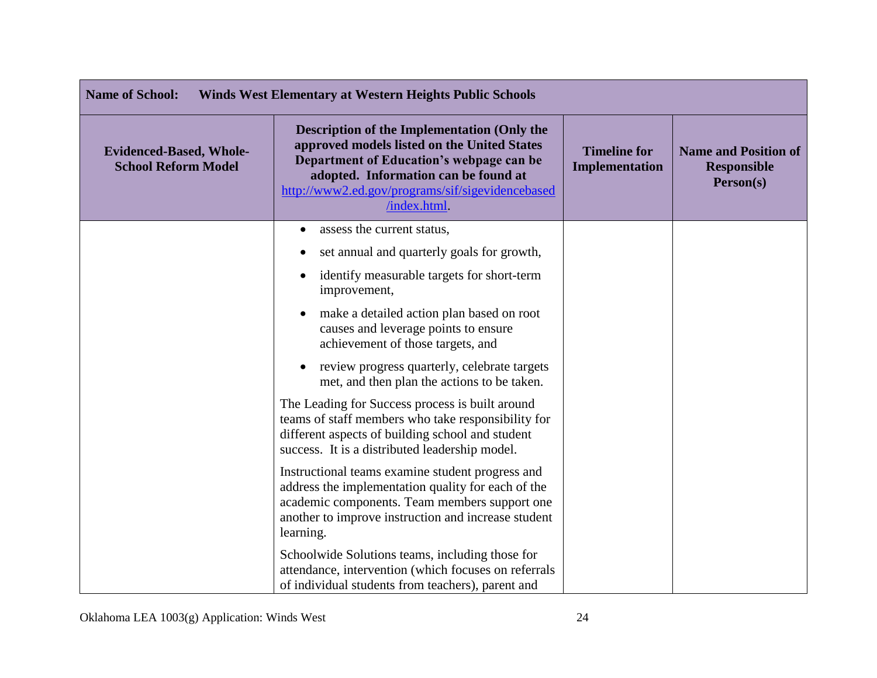| <b>Name of School:</b><br><b>Winds West Elementary at Western Heights Public Schools</b> |                                                                                                                                                                                                                                                    |                                              |                                                                |
|------------------------------------------------------------------------------------------|----------------------------------------------------------------------------------------------------------------------------------------------------------------------------------------------------------------------------------------------------|----------------------------------------------|----------------------------------------------------------------|
| <b>Evidenced-Based, Whole-</b><br><b>School Reform Model</b>                             | Description of the Implementation (Only the<br>approved models listed on the United States<br>Department of Education's webpage can be<br>adopted. Information can be found at<br>http://www2.ed.gov/programs/sif/sigevidencebased<br>/index.html. | <b>Timeline for</b><br><b>Implementation</b> | <b>Name and Position of</b><br><b>Responsible</b><br>Person(s) |
|                                                                                          | assess the current status,<br>$\bullet$                                                                                                                                                                                                            |                                              |                                                                |
|                                                                                          | set annual and quarterly goals for growth,                                                                                                                                                                                                         |                                              |                                                                |
|                                                                                          | identify measurable targets for short-term<br>$\bullet$<br>improvement,                                                                                                                                                                            |                                              |                                                                |
|                                                                                          | make a detailed action plan based on root<br>causes and leverage points to ensure<br>achievement of those targets, and                                                                                                                             |                                              |                                                                |
|                                                                                          | review progress quarterly, celebrate targets<br>met, and then plan the actions to be taken.                                                                                                                                                        |                                              |                                                                |
|                                                                                          | The Leading for Success process is built around<br>teams of staff members who take responsibility for<br>different aspects of building school and student<br>success. It is a distributed leadership model.                                        |                                              |                                                                |
|                                                                                          | Instructional teams examine student progress and<br>address the implementation quality for each of the<br>academic components. Team members support one<br>another to improve instruction and increase student<br>learning.                        |                                              |                                                                |
|                                                                                          | Schoolwide Solutions teams, including those for<br>attendance, intervention (which focuses on referrals<br>of individual students from teachers), parent and                                                                                       |                                              |                                                                |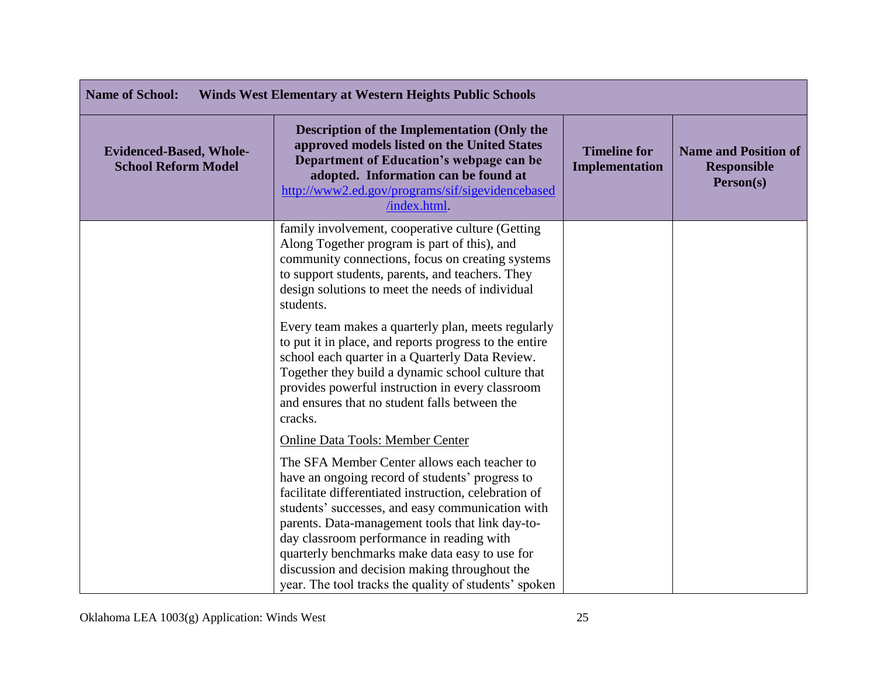| <b>Name of School:</b><br><b>Winds West Elementary at Western Heights Public Schools</b> |                                                                                                                                                                                                                                                                                                                                                                                                                                                                           |                                       |                                                                |
|------------------------------------------------------------------------------------------|---------------------------------------------------------------------------------------------------------------------------------------------------------------------------------------------------------------------------------------------------------------------------------------------------------------------------------------------------------------------------------------------------------------------------------------------------------------------------|---------------------------------------|----------------------------------------------------------------|
| <b>Evidenced-Based, Whole-</b><br><b>School Reform Model</b>                             | <b>Description of the Implementation (Only the</b><br>approved models listed on the United States<br>Department of Education's webpage can be<br>adopted. Information can be found at<br>http://www2.ed.gov/programs/sif/sigevidencebased<br>/index.html.                                                                                                                                                                                                                 | <b>Timeline for</b><br>Implementation | <b>Name and Position of</b><br><b>Responsible</b><br>Person(s) |
|                                                                                          | family involvement, cooperative culture (Getting<br>Along Together program is part of this), and<br>community connections, focus on creating systems<br>to support students, parents, and teachers. They<br>design solutions to meet the needs of individual<br>students.                                                                                                                                                                                                 |                                       |                                                                |
|                                                                                          | Every team makes a quarterly plan, meets regularly<br>to put it in place, and reports progress to the entire<br>school each quarter in a Quarterly Data Review.<br>Together they build a dynamic school culture that<br>provides powerful instruction in every classroom<br>and ensures that no student falls between the<br>cracks.                                                                                                                                      |                                       |                                                                |
|                                                                                          | <b>Online Data Tools: Member Center</b>                                                                                                                                                                                                                                                                                                                                                                                                                                   |                                       |                                                                |
|                                                                                          | The SFA Member Center allows each teacher to<br>have an ongoing record of students' progress to<br>facilitate differentiated instruction, celebration of<br>students' successes, and easy communication with<br>parents. Data-management tools that link day-to-<br>day classroom performance in reading with<br>quarterly benchmarks make data easy to use for<br>discussion and decision making throughout the<br>year. The tool tracks the quality of students' spoken |                                       |                                                                |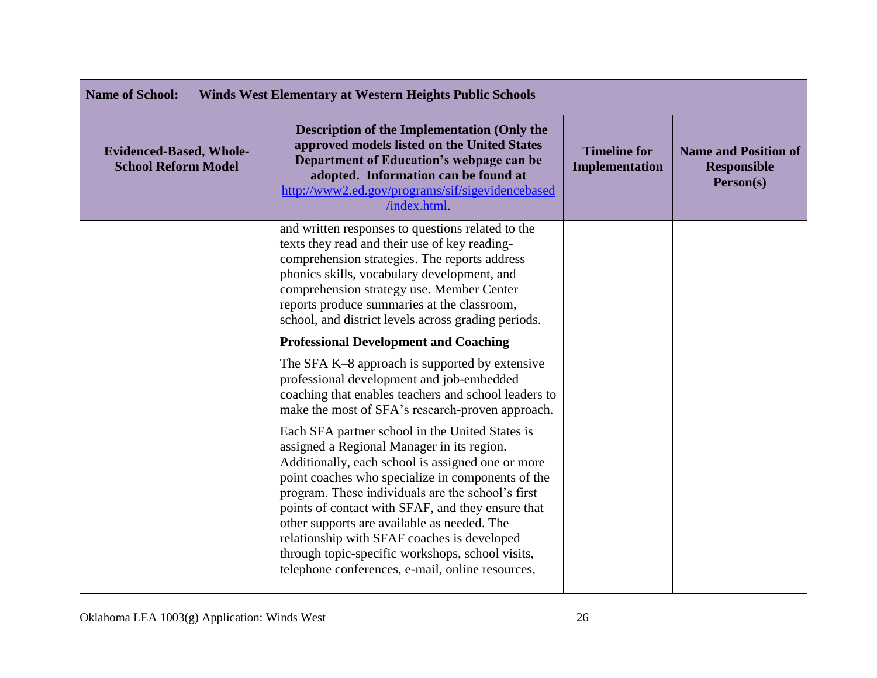| <b>Name of School:</b><br><b>Winds West Elementary at Western Heights Public Schools</b> |                                                                                                                                                                                                                                                                                                                                                                                                                                                                                                                         |                                       |                                                                |
|------------------------------------------------------------------------------------------|-------------------------------------------------------------------------------------------------------------------------------------------------------------------------------------------------------------------------------------------------------------------------------------------------------------------------------------------------------------------------------------------------------------------------------------------------------------------------------------------------------------------------|---------------------------------------|----------------------------------------------------------------|
| <b>Evidenced-Based, Whole-</b><br><b>School Reform Model</b>                             | <b>Description of the Implementation (Only the</b><br>approved models listed on the United States<br>Department of Education's webpage can be<br>adopted. Information can be found at<br>http://www2.ed.gov/programs/sif/sigevidencebased<br>/index.html                                                                                                                                                                                                                                                                | <b>Timeline for</b><br>Implementation | <b>Name and Position of</b><br><b>Responsible</b><br>Person(s) |
|                                                                                          | and written responses to questions related to the<br>texts they read and their use of key reading-<br>comprehension strategies. The reports address<br>phonics skills, vocabulary development, and<br>comprehension strategy use. Member Center<br>reports produce summaries at the classroom,<br>school, and district levels across grading periods.                                                                                                                                                                   |                                       |                                                                |
|                                                                                          | <b>Professional Development and Coaching</b>                                                                                                                                                                                                                                                                                                                                                                                                                                                                            |                                       |                                                                |
|                                                                                          | The SFA K-8 approach is supported by extensive<br>professional development and job-embedded<br>coaching that enables teachers and school leaders to<br>make the most of SFA's research-proven approach.                                                                                                                                                                                                                                                                                                                 |                                       |                                                                |
|                                                                                          | Each SFA partner school in the United States is<br>assigned a Regional Manager in its region.<br>Additionally, each school is assigned one or more<br>point coaches who specialize in components of the<br>program. These individuals are the school's first<br>points of contact with SFAF, and they ensure that<br>other supports are available as needed. The<br>relationship with SFAF coaches is developed<br>through topic-specific workshops, school visits,<br>telephone conferences, e-mail, online resources, |                                       |                                                                |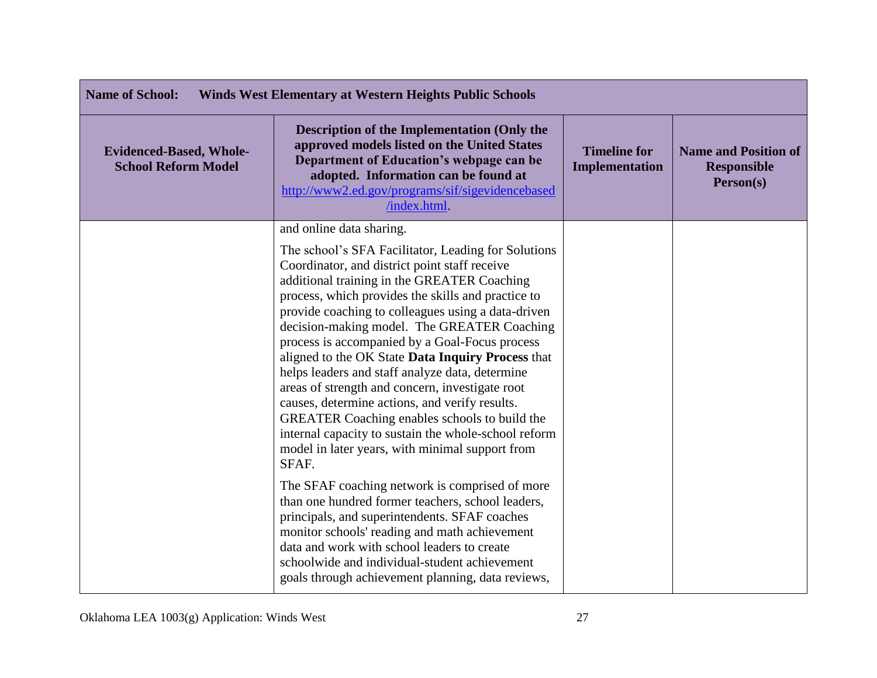| <b>Name of School:</b><br><b>Winds West Elementary at Western Heights Public Schools</b> |                                                                                                                                                                                                                                                                                                                                                                                                                                                                                                                                                                                                                                                                                                                                                                                                                                                                                                                                                                                                                                                                                                                                              |                                       |                                                                |
|------------------------------------------------------------------------------------------|----------------------------------------------------------------------------------------------------------------------------------------------------------------------------------------------------------------------------------------------------------------------------------------------------------------------------------------------------------------------------------------------------------------------------------------------------------------------------------------------------------------------------------------------------------------------------------------------------------------------------------------------------------------------------------------------------------------------------------------------------------------------------------------------------------------------------------------------------------------------------------------------------------------------------------------------------------------------------------------------------------------------------------------------------------------------------------------------------------------------------------------------|---------------------------------------|----------------------------------------------------------------|
| <b>Evidenced-Based, Whole-</b><br><b>School Reform Model</b>                             | <b>Description of the Implementation (Only the</b><br>approved models listed on the United States<br>Department of Education's webpage can be<br>adopted. Information can be found at<br>http://www2.ed.gov/programs/sif/sigevidencebased<br>/index.html.                                                                                                                                                                                                                                                                                                                                                                                                                                                                                                                                                                                                                                                                                                                                                                                                                                                                                    | <b>Timeline for</b><br>Implementation | <b>Name and Position of</b><br><b>Responsible</b><br>Person(s) |
|                                                                                          | and online data sharing.<br>The school's SFA Facilitator, Leading for Solutions<br>Coordinator, and district point staff receive<br>additional training in the GREATER Coaching<br>process, which provides the skills and practice to<br>provide coaching to colleagues using a data-driven<br>decision-making model. The GREATER Coaching<br>process is accompanied by a Goal-Focus process<br>aligned to the OK State Data Inquiry Process that<br>helps leaders and staff analyze data, determine<br>areas of strength and concern, investigate root<br>causes, determine actions, and verify results.<br>GREATER Coaching enables schools to build the<br>internal capacity to sustain the whole-school reform<br>model in later years, with minimal support from<br>SFAF.<br>The SFAF coaching network is comprised of more<br>than one hundred former teachers, school leaders,<br>principals, and superintendents. SFAF coaches<br>monitor schools' reading and math achievement<br>data and work with school leaders to create<br>schoolwide and individual-student achievement<br>goals through achievement planning, data reviews, |                                       |                                                                |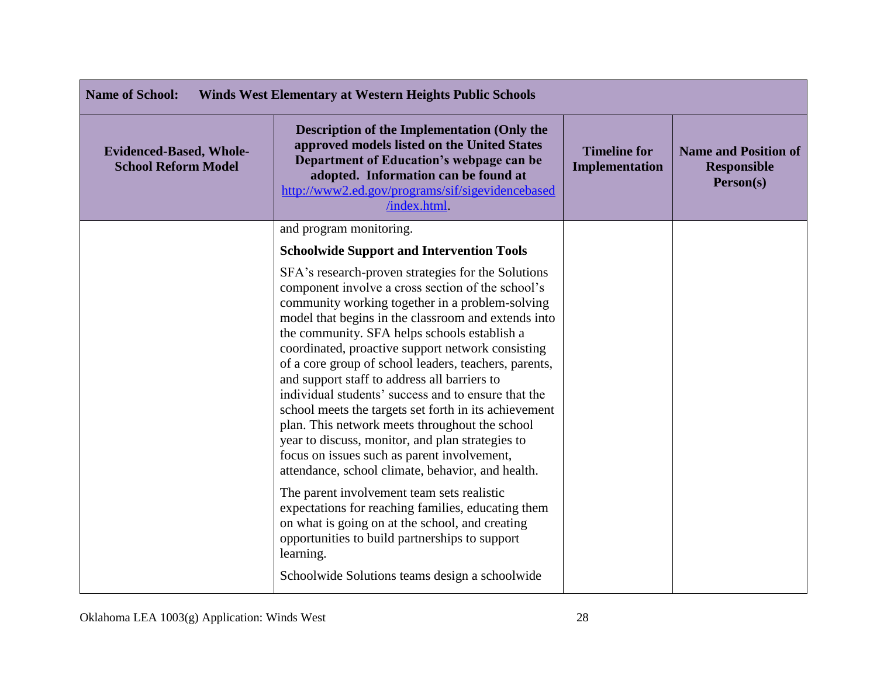| <b>Name of School:</b><br><b>Winds West Elementary at Western Heights Public Schools</b> |                                                                                                                                                                                                                                                                                                                                                                                                                                                                                                                                                                                                                                                                                                                                                           |                                       |                                                                |
|------------------------------------------------------------------------------------------|-----------------------------------------------------------------------------------------------------------------------------------------------------------------------------------------------------------------------------------------------------------------------------------------------------------------------------------------------------------------------------------------------------------------------------------------------------------------------------------------------------------------------------------------------------------------------------------------------------------------------------------------------------------------------------------------------------------------------------------------------------------|---------------------------------------|----------------------------------------------------------------|
| <b>Evidenced-Based, Whole-</b><br><b>School Reform Model</b>                             | <b>Description of the Implementation (Only the</b><br>approved models listed on the United States<br>Department of Education's webpage can be<br>adopted. Information can be found at<br>http://www2.ed.gov/programs/sif/sigevidencebased<br>/index.html.                                                                                                                                                                                                                                                                                                                                                                                                                                                                                                 | <b>Timeline for</b><br>Implementation | <b>Name and Position of</b><br><b>Responsible</b><br>Person(s) |
|                                                                                          | and program monitoring.                                                                                                                                                                                                                                                                                                                                                                                                                                                                                                                                                                                                                                                                                                                                   |                                       |                                                                |
|                                                                                          | <b>Schoolwide Support and Intervention Tools</b>                                                                                                                                                                                                                                                                                                                                                                                                                                                                                                                                                                                                                                                                                                          |                                       |                                                                |
|                                                                                          | SFA's research-proven strategies for the Solutions<br>component involve a cross section of the school's<br>community working together in a problem-solving<br>model that begins in the classroom and extends into<br>the community. SFA helps schools establish a<br>coordinated, proactive support network consisting<br>of a core group of school leaders, teachers, parents,<br>and support staff to address all barriers to<br>individual students' success and to ensure that the<br>school meets the targets set forth in its achievement<br>plan. This network meets throughout the school<br>year to discuss, monitor, and plan strategies to<br>focus on issues such as parent involvement,<br>attendance, school climate, behavior, and health. |                                       |                                                                |
|                                                                                          | The parent involvement team sets realistic<br>expectations for reaching families, educating them<br>on what is going on at the school, and creating<br>opportunities to build partnerships to support<br>learning.<br>Schoolwide Solutions teams design a schoolwide                                                                                                                                                                                                                                                                                                                                                                                                                                                                                      |                                       |                                                                |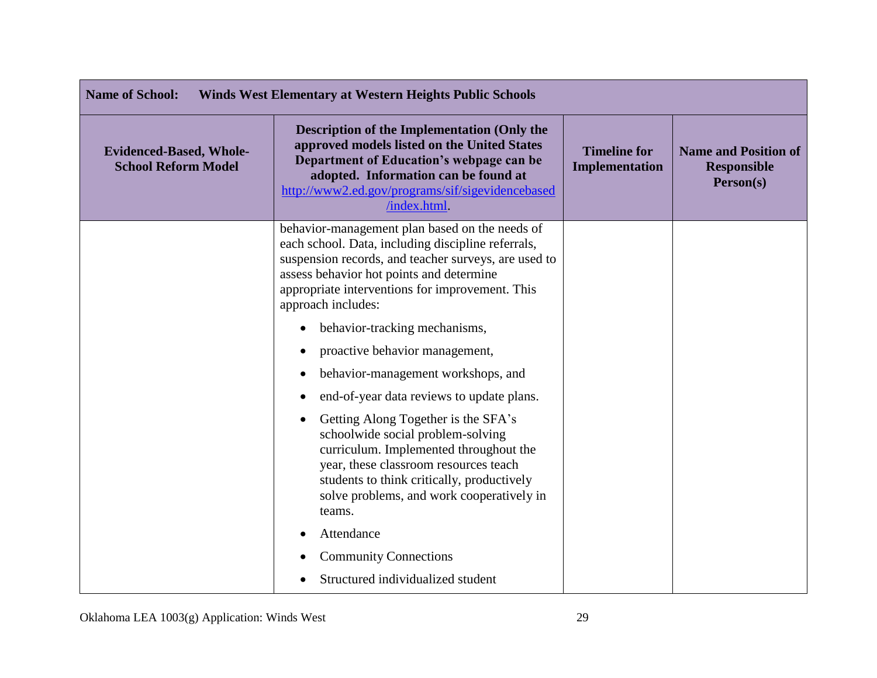| <b>Name of School:</b><br><b>Winds West Elementary at Western Heights Public Schools</b> |                                                                                                                                                                                                                                                                                   |                                       |                                                                |
|------------------------------------------------------------------------------------------|-----------------------------------------------------------------------------------------------------------------------------------------------------------------------------------------------------------------------------------------------------------------------------------|---------------------------------------|----------------------------------------------------------------|
| <b>Evidenced-Based, Whole-</b><br><b>School Reform Model</b>                             | <b>Description of the Implementation (Only the</b><br>approved models listed on the United States<br>Department of Education's webpage can be<br>adopted. Information can be found at<br>http://www2.ed.gov/programs/sif/sigevidencebased<br>/index.html                          | <b>Timeline for</b><br>Implementation | <b>Name and Position of</b><br><b>Responsible</b><br>Person(s) |
|                                                                                          | behavior-management plan based on the needs of<br>each school. Data, including discipline referrals,<br>suspension records, and teacher surveys, are used to<br>assess behavior hot points and determine<br>appropriate interventions for improvement. This<br>approach includes: |                                       |                                                                |
|                                                                                          | behavior-tracking mechanisms,<br>$\bullet$                                                                                                                                                                                                                                        |                                       |                                                                |
|                                                                                          | proactive behavior management,                                                                                                                                                                                                                                                    |                                       |                                                                |
|                                                                                          | behavior-management workshops, and                                                                                                                                                                                                                                                |                                       |                                                                |
|                                                                                          | end-of-year data reviews to update plans.                                                                                                                                                                                                                                         |                                       |                                                                |
|                                                                                          | Getting Along Together is the SFA's<br>schoolwide social problem-solving<br>curriculum. Implemented throughout the<br>year, these classroom resources teach<br>students to think critically, productively<br>solve problems, and work cooperatively in<br>teams.                  |                                       |                                                                |
|                                                                                          | Attendance                                                                                                                                                                                                                                                                        |                                       |                                                                |
|                                                                                          | <b>Community Connections</b>                                                                                                                                                                                                                                                      |                                       |                                                                |
|                                                                                          | Structured individualized student                                                                                                                                                                                                                                                 |                                       |                                                                |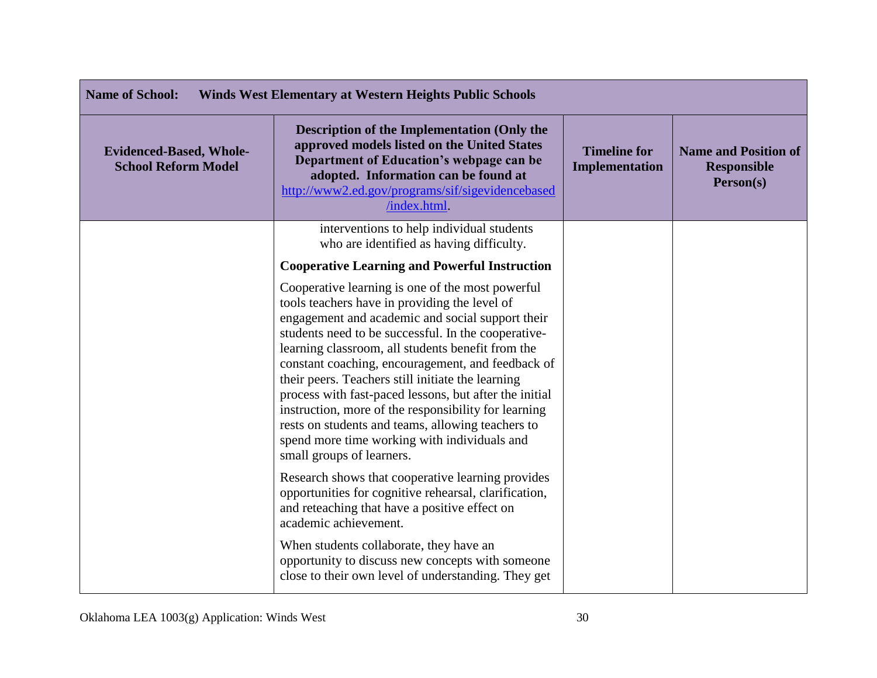| <b>Name of School:</b><br><b>Winds West Elementary at Western Heights Public Schools</b> |                                                                                                                                                                                                                                                                                                                                                                                                                                                                                                                                                                                                                                 |                                       |                                                                |
|------------------------------------------------------------------------------------------|---------------------------------------------------------------------------------------------------------------------------------------------------------------------------------------------------------------------------------------------------------------------------------------------------------------------------------------------------------------------------------------------------------------------------------------------------------------------------------------------------------------------------------------------------------------------------------------------------------------------------------|---------------------------------------|----------------------------------------------------------------|
| <b>Evidenced-Based, Whole-</b><br><b>School Reform Model</b>                             | <b>Description of the Implementation (Only the</b><br>approved models listed on the United States<br>Department of Education's webpage can be<br>adopted. Information can be found at<br>http://www2.ed.gov/programs/sif/sigevidencebased<br>/index.html.                                                                                                                                                                                                                                                                                                                                                                       | <b>Timeline for</b><br>Implementation | <b>Name and Position of</b><br><b>Responsible</b><br>Person(s) |
|                                                                                          | interventions to help individual students<br>who are identified as having difficulty.                                                                                                                                                                                                                                                                                                                                                                                                                                                                                                                                           |                                       |                                                                |
|                                                                                          | <b>Cooperative Learning and Powerful Instruction</b>                                                                                                                                                                                                                                                                                                                                                                                                                                                                                                                                                                            |                                       |                                                                |
|                                                                                          | Cooperative learning is one of the most powerful<br>tools teachers have in providing the level of<br>engagement and academic and social support their<br>students need to be successful. In the cooperative-<br>learning classroom, all students benefit from the<br>constant coaching, encouragement, and feedback of<br>their peers. Teachers still initiate the learning<br>process with fast-paced lessons, but after the initial<br>instruction, more of the responsibility for learning<br>rests on students and teams, allowing teachers to<br>spend more time working with individuals and<br>small groups of learners. |                                       |                                                                |
|                                                                                          | Research shows that cooperative learning provides<br>opportunities for cognitive rehearsal, clarification,<br>and reteaching that have a positive effect on<br>academic achievement.                                                                                                                                                                                                                                                                                                                                                                                                                                            |                                       |                                                                |
|                                                                                          | When students collaborate, they have an<br>opportunity to discuss new concepts with someone<br>close to their own level of understanding. They get                                                                                                                                                                                                                                                                                                                                                                                                                                                                              |                                       |                                                                |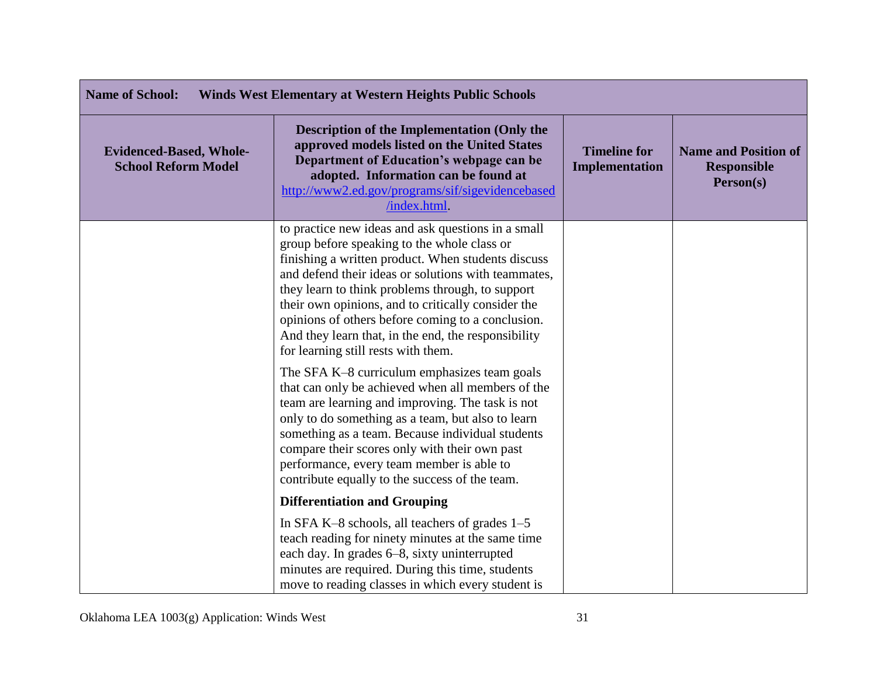| <b>Name of School:</b><br><b>Winds West Elementary at Western Heights Public Schools</b> |                                                                                                                                                                                                                                                                                                                                                                                                                                                                             |                                       |                                                                |
|------------------------------------------------------------------------------------------|-----------------------------------------------------------------------------------------------------------------------------------------------------------------------------------------------------------------------------------------------------------------------------------------------------------------------------------------------------------------------------------------------------------------------------------------------------------------------------|---------------------------------------|----------------------------------------------------------------|
| <b>Evidenced-Based, Whole-</b><br><b>School Reform Model</b>                             | <b>Description of the Implementation (Only the</b><br>approved models listed on the United States<br>Department of Education's webpage can be<br>adopted. Information can be found at<br>http://www2.ed.gov/programs/sif/sigevidencebased<br>/index.html.                                                                                                                                                                                                                   | <b>Timeline for</b><br>Implementation | <b>Name and Position of</b><br><b>Responsible</b><br>Person(s) |
|                                                                                          | to practice new ideas and ask questions in a small<br>group before speaking to the whole class or<br>finishing a written product. When students discuss<br>and defend their ideas or solutions with teammates,<br>they learn to think problems through, to support<br>their own opinions, and to critically consider the<br>opinions of others before coming to a conclusion.<br>And they learn that, in the end, the responsibility<br>for learning still rests with them. |                                       |                                                                |
|                                                                                          | The SFA K-8 curriculum emphasizes team goals<br>that can only be achieved when all members of the<br>team are learning and improving. The task is not<br>only to do something as a team, but also to learn<br>something as a team. Because individual students<br>compare their scores only with their own past<br>performance, every team member is able to<br>contribute equally to the success of the team.                                                              |                                       |                                                                |
|                                                                                          | <b>Differentiation and Grouping</b>                                                                                                                                                                                                                                                                                                                                                                                                                                         |                                       |                                                                |
|                                                                                          | In SFA K-8 schools, all teachers of grades 1-5<br>teach reading for ninety minutes at the same time<br>each day. In grades 6–8, sixty uninterrupted<br>minutes are required. During this time, students<br>move to reading classes in which every student is                                                                                                                                                                                                                |                                       |                                                                |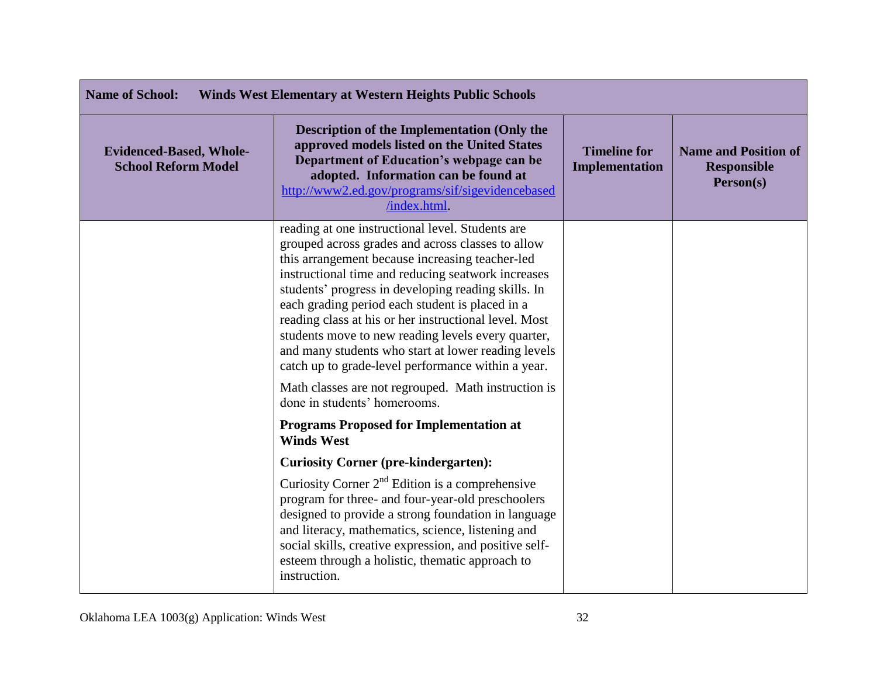| <b>Name of School:</b><br><b>Winds West Elementary at Western Heights Public Schools</b> |                                                                                                                                                                                                                                                                                                                                                                                                                                                                                                                                                      |                                              |                                                                |
|------------------------------------------------------------------------------------------|------------------------------------------------------------------------------------------------------------------------------------------------------------------------------------------------------------------------------------------------------------------------------------------------------------------------------------------------------------------------------------------------------------------------------------------------------------------------------------------------------------------------------------------------------|----------------------------------------------|----------------------------------------------------------------|
| <b>Evidenced-Based, Whole-</b><br><b>School Reform Model</b>                             | <b>Description of the Implementation (Only the</b><br>approved models listed on the United States<br>Department of Education's webpage can be<br>adopted. Information can be found at<br>http://www2.ed.gov/programs/sif/sigevidencebased<br>/index.html.                                                                                                                                                                                                                                                                                            | <b>Timeline for</b><br><b>Implementation</b> | <b>Name and Position of</b><br><b>Responsible</b><br>Person(s) |
|                                                                                          | reading at one instructional level. Students are<br>grouped across grades and across classes to allow<br>this arrangement because increasing teacher-led<br>instructional time and reducing seatwork increases<br>students' progress in developing reading skills. In<br>each grading period each student is placed in a<br>reading class at his or her instructional level. Most<br>students move to new reading levels every quarter,<br>and many students who start at lower reading levels<br>catch up to grade-level performance within a year. |                                              |                                                                |
|                                                                                          | Math classes are not regrouped. Math instruction is<br>done in students' homerooms.                                                                                                                                                                                                                                                                                                                                                                                                                                                                  |                                              |                                                                |
|                                                                                          | <b>Programs Proposed for Implementation at</b><br><b>Winds West</b>                                                                                                                                                                                                                                                                                                                                                                                                                                                                                  |                                              |                                                                |
|                                                                                          | <b>Curiosity Corner (pre-kindergarten):</b>                                                                                                                                                                                                                                                                                                                                                                                                                                                                                                          |                                              |                                                                |
|                                                                                          | Curiosity Corner $2nd$ Edition is a comprehensive<br>program for three- and four-year-old preschoolers<br>designed to provide a strong foundation in language<br>and literacy, mathematics, science, listening and<br>social skills, creative expression, and positive self-<br>esteem through a holistic, thematic approach to<br>instruction.                                                                                                                                                                                                      |                                              |                                                                |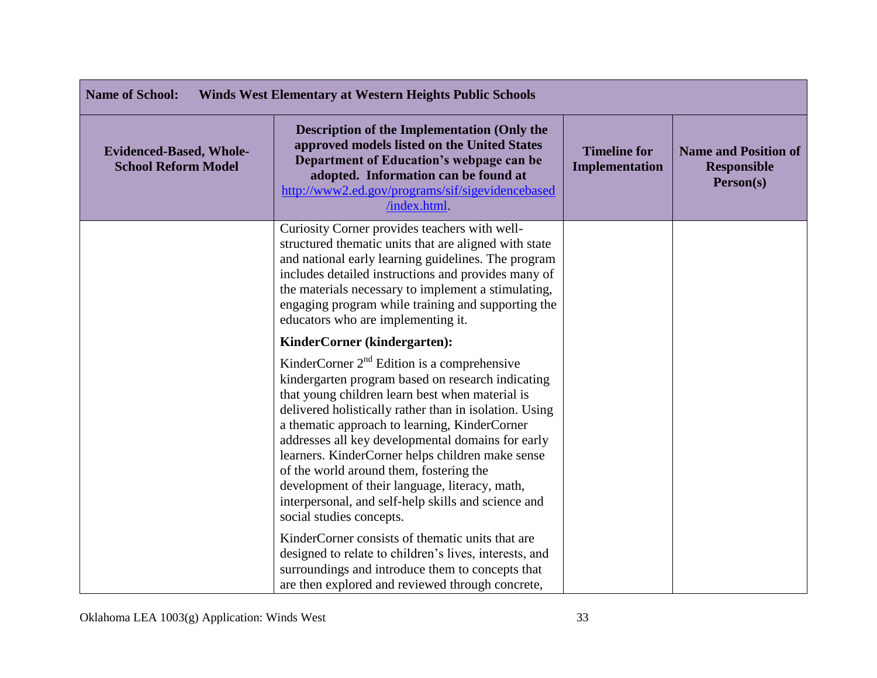| <b>Name of School:</b><br><b>Winds West Elementary at Western Heights Public Schools</b> |                                                                                                                                                                                                                                                                                                                                                                                                                                                                                                                                                           |                                              |                                                                |
|------------------------------------------------------------------------------------------|-----------------------------------------------------------------------------------------------------------------------------------------------------------------------------------------------------------------------------------------------------------------------------------------------------------------------------------------------------------------------------------------------------------------------------------------------------------------------------------------------------------------------------------------------------------|----------------------------------------------|----------------------------------------------------------------|
| <b>Evidenced-Based, Whole-</b><br><b>School Reform Model</b>                             | <b>Description of the Implementation (Only the</b><br>approved models listed on the United States<br>Department of Education's webpage can be<br>adopted. Information can be found at<br>http://www2.ed.gov/programs/sif/sigevidencebased<br>/index.html.                                                                                                                                                                                                                                                                                                 | <b>Timeline for</b><br><b>Implementation</b> | <b>Name and Position of</b><br><b>Responsible</b><br>Person(s) |
|                                                                                          | Curiosity Corner provides teachers with well-<br>structured thematic units that are aligned with state<br>and national early learning guidelines. The program<br>includes detailed instructions and provides many of<br>the materials necessary to implement a stimulating,<br>engaging program while training and supporting the<br>educators who are implementing it.                                                                                                                                                                                   |                                              |                                                                |
|                                                                                          | KinderCorner (kindergarten):                                                                                                                                                                                                                                                                                                                                                                                                                                                                                                                              |                                              |                                                                |
|                                                                                          | KinderCorner $2nd$ Edition is a comprehensive<br>kindergarten program based on research indicating<br>that young children learn best when material is<br>delivered holistically rather than in isolation. Using<br>a thematic approach to learning, KinderCorner<br>addresses all key developmental domains for early<br>learners. KinderCorner helps children make sense<br>of the world around them, fostering the<br>development of their language, literacy, math,<br>interpersonal, and self-help skills and science and<br>social studies concepts. |                                              |                                                                |
|                                                                                          | KinderCorner consists of thematic units that are<br>designed to relate to children's lives, interests, and<br>surroundings and introduce them to concepts that<br>are then explored and reviewed through concrete,                                                                                                                                                                                                                                                                                                                                        |                                              |                                                                |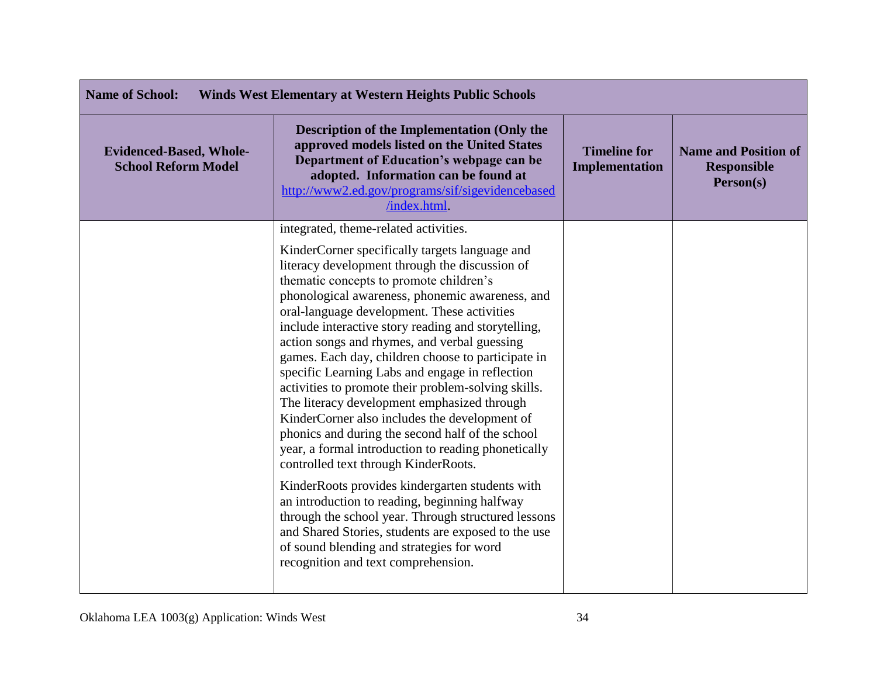| <b>Name of School:</b><br><b>Winds West Elementary at Western Heights Public Schools</b> |                                                                                                                                                                                                                                                                                                                                                                                                                                                                                                                                                                                                                                                                                                                                                                                                                                                                                                                                                                                                                                                                                                                        |                                       |                                                                |
|------------------------------------------------------------------------------------------|------------------------------------------------------------------------------------------------------------------------------------------------------------------------------------------------------------------------------------------------------------------------------------------------------------------------------------------------------------------------------------------------------------------------------------------------------------------------------------------------------------------------------------------------------------------------------------------------------------------------------------------------------------------------------------------------------------------------------------------------------------------------------------------------------------------------------------------------------------------------------------------------------------------------------------------------------------------------------------------------------------------------------------------------------------------------------------------------------------------------|---------------------------------------|----------------------------------------------------------------|
| <b>Evidenced-Based, Whole-</b><br><b>School Reform Model</b>                             | <b>Description of the Implementation (Only the</b><br>approved models listed on the United States<br>Department of Education's webpage can be<br>adopted. Information can be found at<br>http://www2.ed.gov/programs/sif/sigevidencebased<br>/index.html.                                                                                                                                                                                                                                                                                                                                                                                                                                                                                                                                                                                                                                                                                                                                                                                                                                                              | <b>Timeline for</b><br>Implementation | <b>Name and Position of</b><br><b>Responsible</b><br>Person(s) |
|                                                                                          | integrated, theme-related activities.<br>KinderCorner specifically targets language and<br>literacy development through the discussion of<br>thematic concepts to promote children's<br>phonological awareness, phonemic awareness, and<br>oral-language development. These activities<br>include interactive story reading and storytelling,<br>action songs and rhymes, and verbal guessing<br>games. Each day, children choose to participate in<br>specific Learning Labs and engage in reflection<br>activities to promote their problem-solving skills.<br>The literacy development emphasized through<br>KinderCorner also includes the development of<br>phonics and during the second half of the school<br>year, a formal introduction to reading phonetically<br>controlled text through KinderRoots.<br>KinderRoots provides kindergarten students with<br>an introduction to reading, beginning halfway<br>through the school year. Through structured lessons<br>and Shared Stories, students are exposed to the use<br>of sound blending and strategies for word<br>recognition and text comprehension. |                                       |                                                                |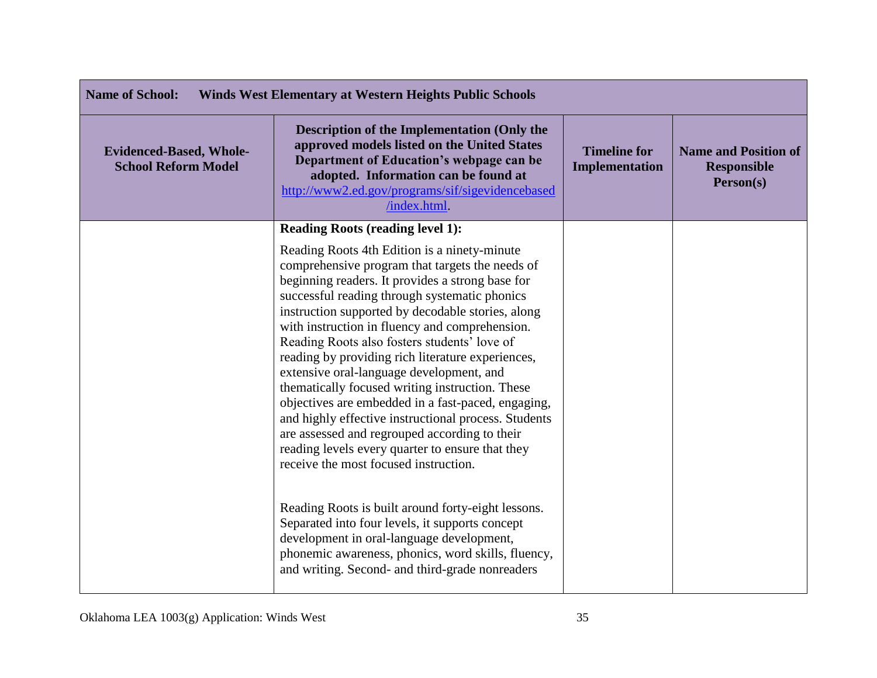| <b>Name of School:</b><br><b>Winds West Elementary at Western Heights Public Schools</b> |                                                                                                                                                                                                                                                                                                                                                                                                                                                                                                                                                                                                                                                                                                                                                                                                                                                                                                                                                                                                                                            |                                       |                                                                |
|------------------------------------------------------------------------------------------|--------------------------------------------------------------------------------------------------------------------------------------------------------------------------------------------------------------------------------------------------------------------------------------------------------------------------------------------------------------------------------------------------------------------------------------------------------------------------------------------------------------------------------------------------------------------------------------------------------------------------------------------------------------------------------------------------------------------------------------------------------------------------------------------------------------------------------------------------------------------------------------------------------------------------------------------------------------------------------------------------------------------------------------------|---------------------------------------|----------------------------------------------------------------|
| <b>Evidenced-Based, Whole-</b><br><b>School Reform Model</b>                             | Description of the Implementation (Only the<br>approved models listed on the United States<br>Department of Education's webpage can be<br>adopted. Information can be found at<br>http://www2.ed.gov/programs/sif/sigevidencebased<br>/index.html.                                                                                                                                                                                                                                                                                                                                                                                                                                                                                                                                                                                                                                                                                                                                                                                         | <b>Timeline for</b><br>Implementation | <b>Name and Position of</b><br><b>Responsible</b><br>Person(s) |
|                                                                                          | <b>Reading Roots (reading level 1):</b>                                                                                                                                                                                                                                                                                                                                                                                                                                                                                                                                                                                                                                                                                                                                                                                                                                                                                                                                                                                                    |                                       |                                                                |
|                                                                                          | Reading Roots 4th Edition is a ninety-minute<br>comprehensive program that targets the needs of<br>beginning readers. It provides a strong base for<br>successful reading through systematic phonics<br>instruction supported by decodable stories, along<br>with instruction in fluency and comprehension.<br>Reading Roots also fosters students' love of<br>reading by providing rich literature experiences,<br>extensive oral-language development, and<br>thematically focused writing instruction. These<br>objectives are embedded in a fast-paced, engaging,<br>and highly effective instructional process. Students<br>are assessed and regrouped according to their<br>reading levels every quarter to ensure that they<br>receive the most focused instruction.<br>Reading Roots is built around forty-eight lessons.<br>Separated into four levels, it supports concept<br>development in oral-language development,<br>phonemic awareness, phonics, word skills, fluency,<br>and writing. Second- and third-grade nonreaders |                                       |                                                                |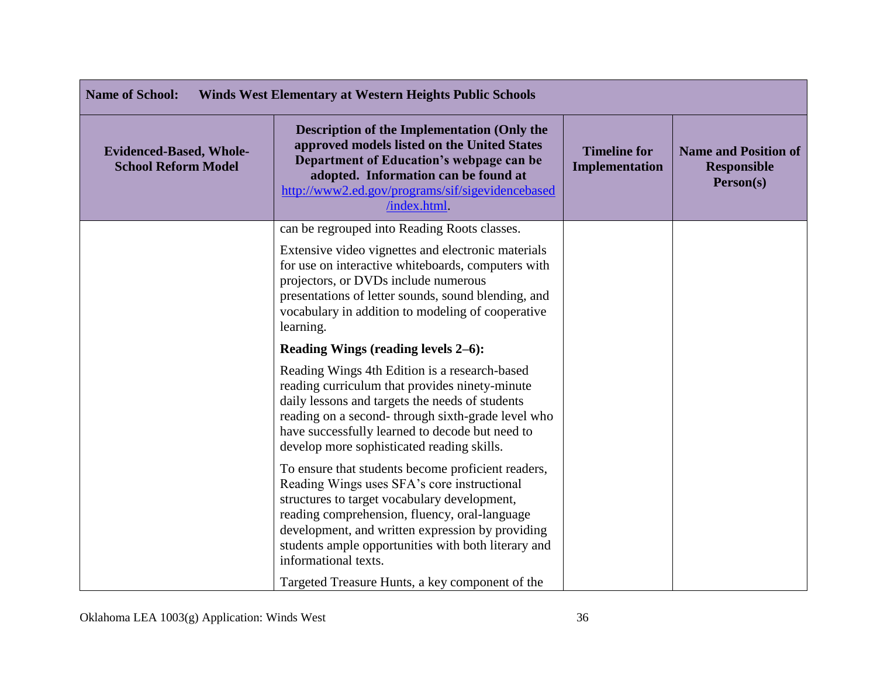| <b>Name of School:</b><br><b>Winds West Elementary at Western Heights Public Schools</b> |                                                                                                                                                                                                                                                                                                                                       |                                       |                                                                |
|------------------------------------------------------------------------------------------|---------------------------------------------------------------------------------------------------------------------------------------------------------------------------------------------------------------------------------------------------------------------------------------------------------------------------------------|---------------------------------------|----------------------------------------------------------------|
| <b>Evidenced-Based, Whole-</b><br><b>School Reform Model</b>                             | <b>Description of the Implementation (Only the</b><br>approved models listed on the United States<br>Department of Education's webpage can be<br>adopted. Information can be found at<br>http://www2.ed.gov/programs/sif/sigevidencebased<br>/index.html.                                                                             | <b>Timeline for</b><br>Implementation | <b>Name and Position of</b><br><b>Responsible</b><br>Person(s) |
|                                                                                          | can be regrouped into Reading Roots classes.                                                                                                                                                                                                                                                                                          |                                       |                                                                |
|                                                                                          | Extensive video vignettes and electronic materials<br>for use on interactive whiteboards, computers with<br>projectors, or DVDs include numerous<br>presentations of letter sounds, sound blending, and<br>vocabulary in addition to modeling of cooperative<br>learning.                                                             |                                       |                                                                |
|                                                                                          | Reading Wings (reading levels 2–6):                                                                                                                                                                                                                                                                                                   |                                       |                                                                |
|                                                                                          | Reading Wings 4th Edition is a research-based<br>reading curriculum that provides ninety-minute<br>daily lessons and targets the needs of students<br>reading on a second-through sixth-grade level who<br>have successfully learned to decode but need to<br>develop more sophisticated reading skills.                              |                                       |                                                                |
|                                                                                          | To ensure that students become proficient readers,<br>Reading Wings uses SFA's core instructional<br>structures to target vocabulary development,<br>reading comprehension, fluency, oral-language<br>development, and written expression by providing<br>students ample opportunities with both literary and<br>informational texts. |                                       |                                                                |
|                                                                                          | Targeted Treasure Hunts, a key component of the                                                                                                                                                                                                                                                                                       |                                       |                                                                |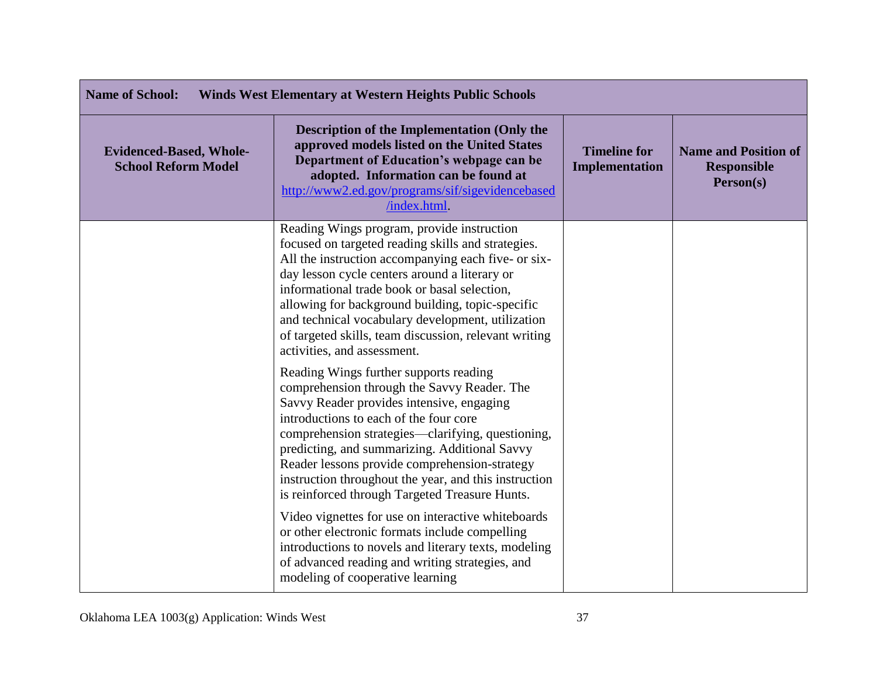| <b>Name of School:</b><br><b>Winds West Elementary at Western Heights Public Schools</b> |                                                                                                                                                                                                                                                                                                                                                                                                                                                           |                                              |                                                                |
|------------------------------------------------------------------------------------------|-----------------------------------------------------------------------------------------------------------------------------------------------------------------------------------------------------------------------------------------------------------------------------------------------------------------------------------------------------------------------------------------------------------------------------------------------------------|----------------------------------------------|----------------------------------------------------------------|
| <b>Evidenced-Based, Whole-</b><br><b>School Reform Model</b>                             | <b>Description of the Implementation (Only the</b><br>approved models listed on the United States<br>Department of Education's webpage can be<br>adopted. Information can be found at<br>http://www2.ed.gov/programs/sif/sigevidencebased<br>/index.html.                                                                                                                                                                                                 | <b>Timeline for</b><br><b>Implementation</b> | <b>Name and Position of</b><br><b>Responsible</b><br>Person(s) |
|                                                                                          | Reading Wings program, provide instruction<br>focused on targeted reading skills and strategies.<br>All the instruction accompanying each five- or six-<br>day lesson cycle centers around a literary or<br>informational trade book or basal selection,<br>allowing for background building, topic-specific<br>and technical vocabulary development, utilization<br>of targeted skills, team discussion, relevant writing<br>activities, and assessment. |                                              |                                                                |
|                                                                                          | Reading Wings further supports reading<br>comprehension through the Savvy Reader. The<br>Savvy Reader provides intensive, engaging<br>introductions to each of the four core<br>comprehension strategies—clarifying, questioning,<br>predicting, and summarizing. Additional Savvy<br>Reader lessons provide comprehension-strategy<br>instruction throughout the year, and this instruction<br>is reinforced through Targeted Treasure Hunts.            |                                              |                                                                |
|                                                                                          | Video vignettes for use on interactive whiteboards<br>or other electronic formats include compelling<br>introductions to novels and literary texts, modeling<br>of advanced reading and writing strategies, and<br>modeling of cooperative learning                                                                                                                                                                                                       |                                              |                                                                |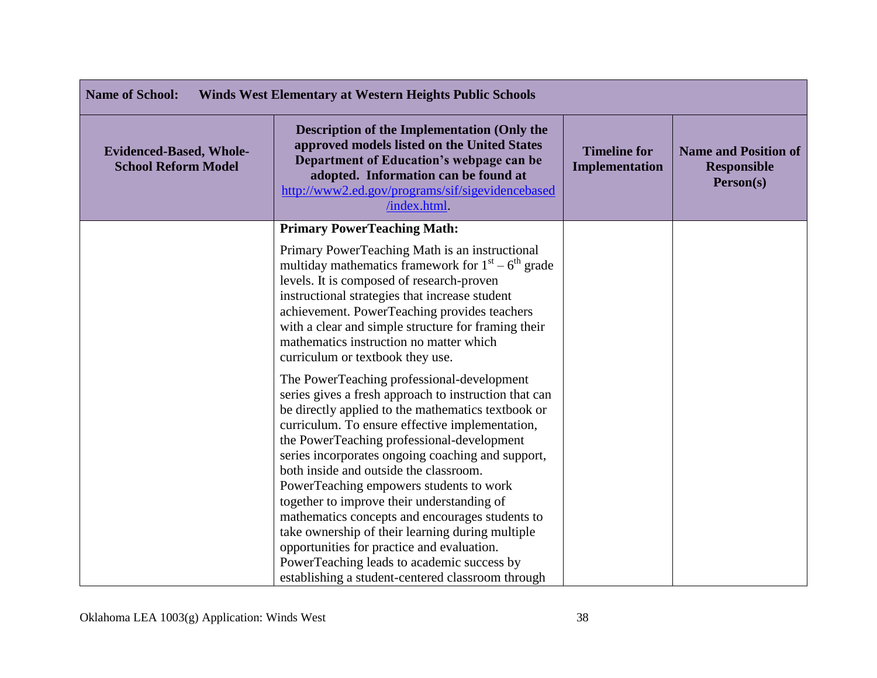| <b>Name of School:</b><br><b>Winds West Elementary at Western Heights Public Schools</b> |                                                                                                                                                                                                                                                                                                                                                                                                                                                                                                                                                                                                                                                                                                            |                                              |                                                                |
|------------------------------------------------------------------------------------------|------------------------------------------------------------------------------------------------------------------------------------------------------------------------------------------------------------------------------------------------------------------------------------------------------------------------------------------------------------------------------------------------------------------------------------------------------------------------------------------------------------------------------------------------------------------------------------------------------------------------------------------------------------------------------------------------------------|----------------------------------------------|----------------------------------------------------------------|
| <b>Evidenced-Based, Whole-</b><br><b>School Reform Model</b>                             | <b>Description of the Implementation (Only the</b><br>approved models listed on the United States<br>Department of Education's webpage can be<br>adopted. Information can be found at<br>http://www2.ed.gov/programs/sif/sigevidencebased<br>/index.html                                                                                                                                                                                                                                                                                                                                                                                                                                                   | <b>Timeline for</b><br><b>Implementation</b> | <b>Name and Position of</b><br><b>Responsible</b><br>Person(s) |
|                                                                                          | <b>Primary PowerTeaching Math:</b>                                                                                                                                                                                                                                                                                                                                                                                                                                                                                                                                                                                                                                                                         |                                              |                                                                |
|                                                                                          | Primary PowerTeaching Math is an instructional<br>multiday mathematics framework for $1st - 6th$ grade<br>levels. It is composed of research-proven<br>instructional strategies that increase student<br>achievement. PowerTeaching provides teachers<br>with a clear and simple structure for framing their<br>mathematics instruction no matter which<br>curriculum or textbook they use.                                                                                                                                                                                                                                                                                                                |                                              |                                                                |
|                                                                                          | The PowerTeaching professional-development<br>series gives a fresh approach to instruction that can<br>be directly applied to the mathematics textbook or<br>curriculum. To ensure effective implementation,<br>the PowerTeaching professional-development<br>series incorporates ongoing coaching and support,<br>both inside and outside the classroom.<br>PowerTeaching empowers students to work<br>together to improve their understanding of<br>mathematics concepts and encourages students to<br>take ownership of their learning during multiple<br>opportunities for practice and evaluation.<br>PowerTeaching leads to academic success by<br>establishing a student-centered classroom through |                                              |                                                                |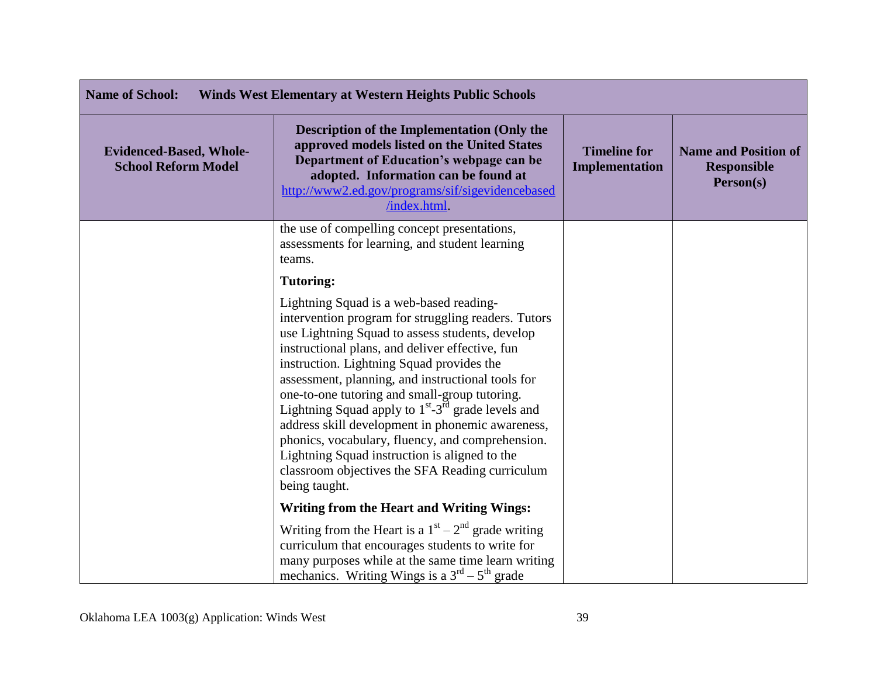| <b>Name of School:</b><br><b>Winds West Elementary at Western Heights Public Schools</b> |                                                                                                                                                                                                                                                                                                                                                                                                                                                                                                                                                                                                                                                                    |                                       |                                                                |
|------------------------------------------------------------------------------------------|--------------------------------------------------------------------------------------------------------------------------------------------------------------------------------------------------------------------------------------------------------------------------------------------------------------------------------------------------------------------------------------------------------------------------------------------------------------------------------------------------------------------------------------------------------------------------------------------------------------------------------------------------------------------|---------------------------------------|----------------------------------------------------------------|
| <b>Evidenced-Based, Whole-</b><br><b>School Reform Model</b>                             | <b>Description of the Implementation (Only the</b><br>approved models listed on the United States<br>Department of Education's webpage can be<br>adopted. Information can be found at<br>http://www2.ed.gov/programs/sif/sigevidencebased<br>/index.html                                                                                                                                                                                                                                                                                                                                                                                                           | <b>Timeline for</b><br>Implementation | <b>Name and Position of</b><br><b>Responsible</b><br>Person(s) |
|                                                                                          | the use of compelling concept presentations,<br>assessments for learning, and student learning<br>teams.                                                                                                                                                                                                                                                                                                                                                                                                                                                                                                                                                           |                                       |                                                                |
|                                                                                          | <b>Tutoring:</b>                                                                                                                                                                                                                                                                                                                                                                                                                                                                                                                                                                                                                                                   |                                       |                                                                |
|                                                                                          | Lightning Squad is a web-based reading-<br>intervention program for struggling readers. Tutors<br>use Lightning Squad to assess students, develop<br>instructional plans, and deliver effective, fun<br>instruction. Lightning Squad provides the<br>assessment, planning, and instructional tools for<br>one-to-one tutoring and small-group tutoring.<br>Lightning Squad apply to 1 <sup>st</sup> -3 <sup>rd</sup> grade levels and<br>address skill development in phonemic awareness,<br>phonics, vocabulary, fluency, and comprehension.<br>Lightning Squad instruction is aligned to the<br>classroom objectives the SFA Reading curriculum<br>being taught. |                                       |                                                                |
|                                                                                          | <b>Writing from the Heart and Writing Wings:</b>                                                                                                                                                                                                                                                                                                                                                                                                                                                                                                                                                                                                                   |                                       |                                                                |
|                                                                                          | Writing from the Heart is a $1st - 2nd$ grade writing<br>curriculum that encourages students to write for<br>many purposes while at the same time learn writing<br>mechanics. Writing Wings is a $3^{rd} - 5^{th}$ grade                                                                                                                                                                                                                                                                                                                                                                                                                                           |                                       |                                                                |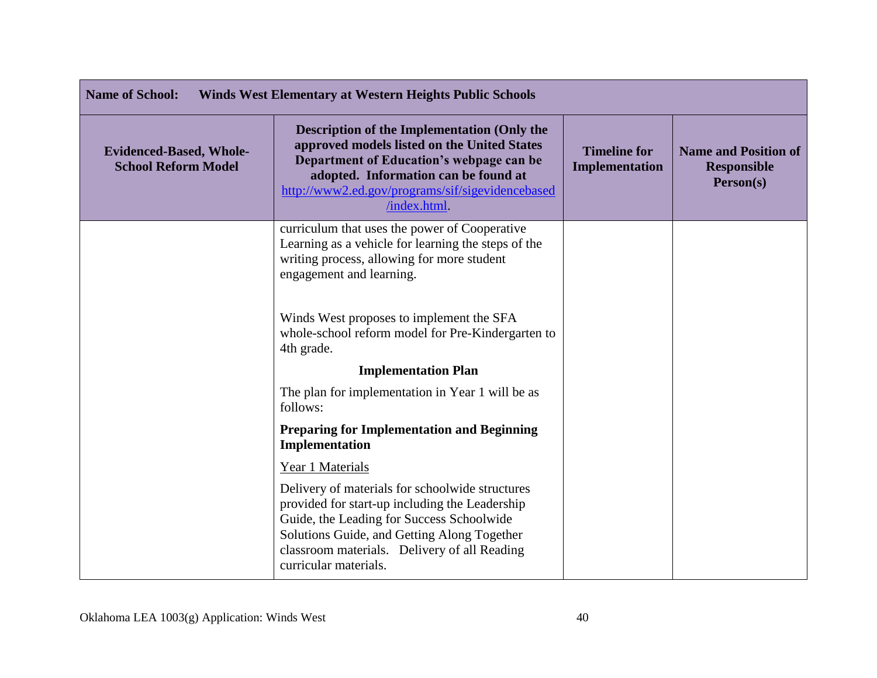| <b>Name of School:</b><br><b>Winds West Elementary at Western Heights Public Schools</b> |                                                                                                                                                                                                                                                                        |                                              |                                                                |
|------------------------------------------------------------------------------------------|------------------------------------------------------------------------------------------------------------------------------------------------------------------------------------------------------------------------------------------------------------------------|----------------------------------------------|----------------------------------------------------------------|
| <b>Evidenced-Based, Whole-</b><br><b>School Reform Model</b>                             | <b>Description of the Implementation (Only the</b><br>approved models listed on the United States<br>Department of Education's webpage can be<br>adopted. Information can be found at<br>http://www2.ed.gov/programs/sif/sigevidencebased<br>/index.html               | <b>Timeline for</b><br><b>Implementation</b> | <b>Name and Position of</b><br><b>Responsible</b><br>Person(s) |
|                                                                                          | curriculum that uses the power of Cooperative<br>Learning as a vehicle for learning the steps of the<br>writing process, allowing for more student<br>engagement and learning.                                                                                         |                                              |                                                                |
|                                                                                          | Winds West proposes to implement the SFA<br>whole-school reform model for Pre-Kindergarten to<br>4th grade.                                                                                                                                                            |                                              |                                                                |
|                                                                                          | <b>Implementation Plan</b>                                                                                                                                                                                                                                             |                                              |                                                                |
|                                                                                          | The plan for implementation in Year 1 will be as<br>follows:                                                                                                                                                                                                           |                                              |                                                                |
|                                                                                          | <b>Preparing for Implementation and Beginning</b><br>Implementation                                                                                                                                                                                                    |                                              |                                                                |
|                                                                                          | Year 1 Materials                                                                                                                                                                                                                                                       |                                              |                                                                |
|                                                                                          | Delivery of materials for schoolwide structures<br>provided for start-up including the Leadership<br>Guide, the Leading for Success Schoolwide<br>Solutions Guide, and Getting Along Together<br>classroom materials. Delivery of all Reading<br>curricular materials. |                                              |                                                                |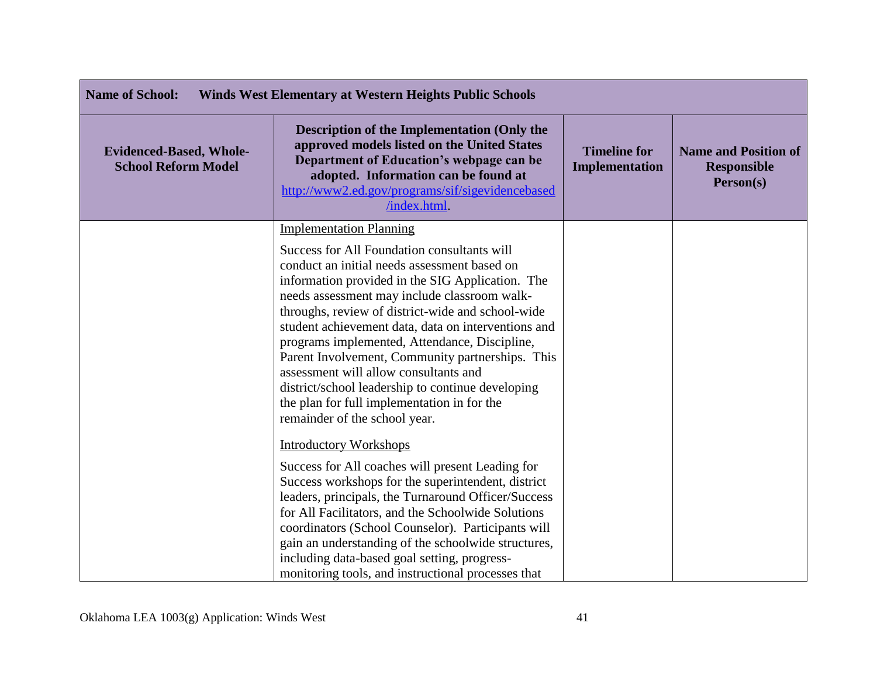| <b>Name of School:</b><br><b>Winds West Elementary at Western Heights Public Schools</b> |                                                                                                                                                                                                                                                                                                                                                                                                                                                                                                                                                                                                                                                                                                                                                                                                                                                                                                                                                                                                       |                                              |                                                                |
|------------------------------------------------------------------------------------------|-------------------------------------------------------------------------------------------------------------------------------------------------------------------------------------------------------------------------------------------------------------------------------------------------------------------------------------------------------------------------------------------------------------------------------------------------------------------------------------------------------------------------------------------------------------------------------------------------------------------------------------------------------------------------------------------------------------------------------------------------------------------------------------------------------------------------------------------------------------------------------------------------------------------------------------------------------------------------------------------------------|----------------------------------------------|----------------------------------------------------------------|
| <b>Evidenced-Based, Whole-</b><br><b>School Reform Model</b>                             | <b>Description of the Implementation (Only the</b><br>approved models listed on the United States<br>Department of Education's webpage can be<br>adopted. Information can be found at<br>http://www2.ed.gov/programs/sif/sigevidencebased<br>/index.html                                                                                                                                                                                                                                                                                                                                                                                                                                                                                                                                                                                                                                                                                                                                              | <b>Timeline for</b><br><b>Implementation</b> | <b>Name and Position of</b><br><b>Responsible</b><br>Person(s) |
|                                                                                          | <b>Implementation Planning</b><br>Success for All Foundation consultants will<br>conduct an initial needs assessment based on<br>information provided in the SIG Application. The<br>needs assessment may include classroom walk-<br>throughs, review of district-wide and school-wide<br>student achievement data, data on interventions and<br>programs implemented, Attendance, Discipline,<br>Parent Involvement, Community partnerships. This<br>assessment will allow consultants and<br>district/school leadership to continue developing<br>the plan for full implementation in for the<br>remainder of the school year.<br><b>Introductory Workshops</b><br>Success for All coaches will present Leading for<br>Success workshops for the superintendent, district<br>leaders, principals, the Turnaround Officer/Success<br>for All Facilitators, and the Schoolwide Solutions<br>coordinators (School Counselor). Participants will<br>gain an understanding of the schoolwide structures, |                                              |                                                                |
|                                                                                          | including data-based goal setting, progress-<br>monitoring tools, and instructional processes that                                                                                                                                                                                                                                                                                                                                                                                                                                                                                                                                                                                                                                                                                                                                                                                                                                                                                                    |                                              |                                                                |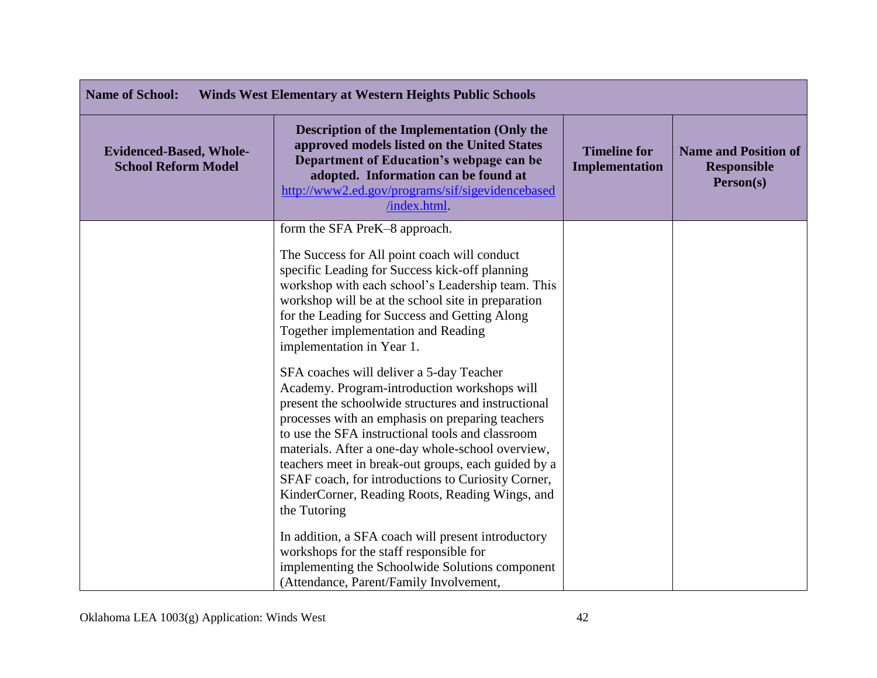| <b>Name of School:</b><br><b>Winds West Elementary at Western Heights Public Schools</b> |                                                                                                                                                                                                                                                                                                                                                                                                                                                                                              |                                              |                                                                |
|------------------------------------------------------------------------------------------|----------------------------------------------------------------------------------------------------------------------------------------------------------------------------------------------------------------------------------------------------------------------------------------------------------------------------------------------------------------------------------------------------------------------------------------------------------------------------------------------|----------------------------------------------|----------------------------------------------------------------|
| <b>Evidenced-Based, Whole-</b><br><b>School Reform Model</b>                             | <b>Description of the Implementation (Only the</b><br>approved models listed on the United States<br>Department of Education's webpage can be<br>adopted. Information can be found at<br>http://www2.ed.gov/programs/sif/sigevidencebased<br>/index.html.                                                                                                                                                                                                                                    | <b>Timeline for</b><br><b>Implementation</b> | <b>Name and Position of</b><br><b>Responsible</b><br>Person(s) |
|                                                                                          | form the SFA PreK-8 approach.<br>The Success for All point coach will conduct<br>specific Leading for Success kick-off planning<br>workshop with each school's Leadership team. This<br>workshop will be at the school site in preparation<br>for the Leading for Success and Getting Along<br>Together implementation and Reading<br>implementation in Year 1.                                                                                                                              |                                              |                                                                |
|                                                                                          | SFA coaches will deliver a 5-day Teacher<br>Academy. Program-introduction workshops will<br>present the schoolwide structures and instructional<br>processes with an emphasis on preparing teachers<br>to use the SFA instructional tools and classroom<br>materials. After a one-day whole-school overview,<br>teachers meet in break-out groups, each guided by a<br>SFAF coach, for introductions to Curiosity Corner,<br>KinderCorner, Reading Roots, Reading Wings, and<br>the Tutoring |                                              |                                                                |
|                                                                                          | In addition, a SFA coach will present introductory<br>workshops for the staff responsible for<br>implementing the Schoolwide Solutions component<br>(Attendance, Parent/Family Involvement,                                                                                                                                                                                                                                                                                                  |                                              |                                                                |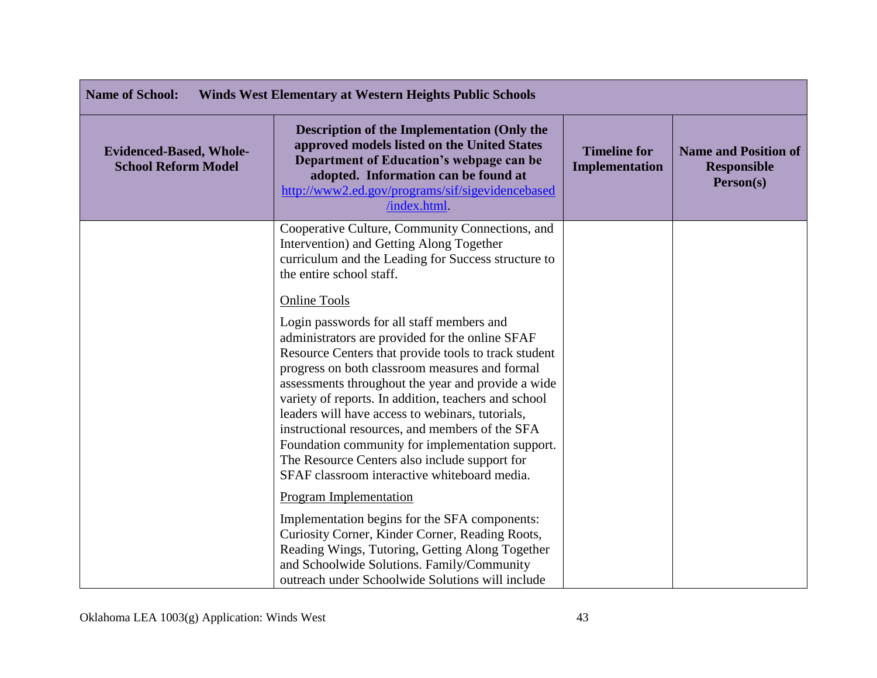| <b>Name of School:</b><br><b>Winds West Elementary at Western Heights Public Schools</b> |                                                                                                                                                                                                                                                                                                                                                                                                                                                                                                                                                                                                         |                                              |                                                                |
|------------------------------------------------------------------------------------------|---------------------------------------------------------------------------------------------------------------------------------------------------------------------------------------------------------------------------------------------------------------------------------------------------------------------------------------------------------------------------------------------------------------------------------------------------------------------------------------------------------------------------------------------------------------------------------------------------------|----------------------------------------------|----------------------------------------------------------------|
| <b>Evidenced-Based, Whole-</b><br><b>School Reform Model</b>                             | Description of the Implementation (Only the<br>approved models listed on the United States<br>Department of Education's webpage can be<br>adopted. Information can be found at<br>http://www2.ed.gov/programs/sif/sigevidencebased<br>/index.html.                                                                                                                                                                                                                                                                                                                                                      | <b>Timeline for</b><br><b>Implementation</b> | <b>Name and Position of</b><br><b>Responsible</b><br>Person(s) |
|                                                                                          | Cooperative Culture, Community Connections, and<br>Intervention) and Getting Along Together<br>curriculum and the Leading for Success structure to<br>the entire school staff.                                                                                                                                                                                                                                                                                                                                                                                                                          |                                              |                                                                |
|                                                                                          | <b>Online Tools</b><br>Login passwords for all staff members and<br>administrators are provided for the online SFAF<br>Resource Centers that provide tools to track student<br>progress on both classroom measures and formal<br>assessments throughout the year and provide a wide<br>variety of reports. In addition, teachers and school<br>leaders will have access to webinars, tutorials,<br>instructional resources, and members of the SFA<br>Foundation community for implementation support.<br>The Resource Centers also include support for<br>SFAF classroom interactive whiteboard media. |                                              |                                                                |
|                                                                                          | <b>Program Implementation</b><br>Implementation begins for the SFA components:<br>Curiosity Corner, Kinder Corner, Reading Roots,<br>Reading Wings, Tutoring, Getting Along Together<br>and Schoolwide Solutions. Family/Community<br>outreach under Schoolwide Solutions will include                                                                                                                                                                                                                                                                                                                  |                                              |                                                                |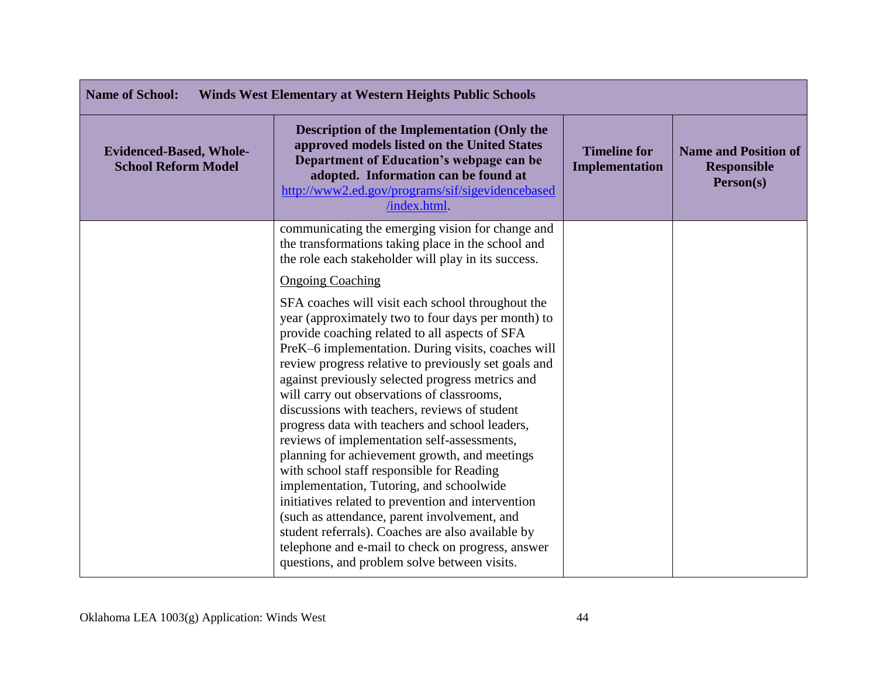| <b>Name of School:</b><br><b>Winds West Elementary at Western Heights Public Schools</b> |                                                                                                                                                                                                                                                                                                                                                                                                                                                                                                                                                                                                                                                                                                                                                                                                                                                                                                                                        |                                              |                                                                |
|------------------------------------------------------------------------------------------|----------------------------------------------------------------------------------------------------------------------------------------------------------------------------------------------------------------------------------------------------------------------------------------------------------------------------------------------------------------------------------------------------------------------------------------------------------------------------------------------------------------------------------------------------------------------------------------------------------------------------------------------------------------------------------------------------------------------------------------------------------------------------------------------------------------------------------------------------------------------------------------------------------------------------------------|----------------------------------------------|----------------------------------------------------------------|
| <b>Evidenced-Based, Whole-</b><br><b>School Reform Model</b>                             | <b>Description of the Implementation (Only the</b><br>approved models listed on the United States<br>Department of Education's webpage can be<br>adopted. Information can be found at<br>http://www2.ed.gov/programs/sif/sigevidencebased<br>/index.html.                                                                                                                                                                                                                                                                                                                                                                                                                                                                                                                                                                                                                                                                              | <b>Timeline for</b><br><b>Implementation</b> | <b>Name and Position of</b><br><b>Responsible</b><br>Person(s) |
|                                                                                          | communicating the emerging vision for change and<br>the transformations taking place in the school and<br>the role each stakeholder will play in its success.                                                                                                                                                                                                                                                                                                                                                                                                                                                                                                                                                                                                                                                                                                                                                                          |                                              |                                                                |
|                                                                                          | <b>Ongoing Coaching</b>                                                                                                                                                                                                                                                                                                                                                                                                                                                                                                                                                                                                                                                                                                                                                                                                                                                                                                                |                                              |                                                                |
|                                                                                          | SFA coaches will visit each school throughout the<br>year (approximately two to four days per month) to<br>provide coaching related to all aspects of SFA<br>PreK-6 implementation. During visits, coaches will<br>review progress relative to previously set goals and<br>against previously selected progress metrics and<br>will carry out observations of classrooms,<br>discussions with teachers, reviews of student<br>progress data with teachers and school leaders,<br>reviews of implementation self-assessments,<br>planning for achievement growth, and meetings<br>with school staff responsible for Reading<br>implementation, Tutoring, and schoolwide<br>initiatives related to prevention and intervention<br>(such as attendance, parent involvement, and<br>student referrals). Coaches are also available by<br>telephone and e-mail to check on progress, answer<br>questions, and problem solve between visits. |                                              |                                                                |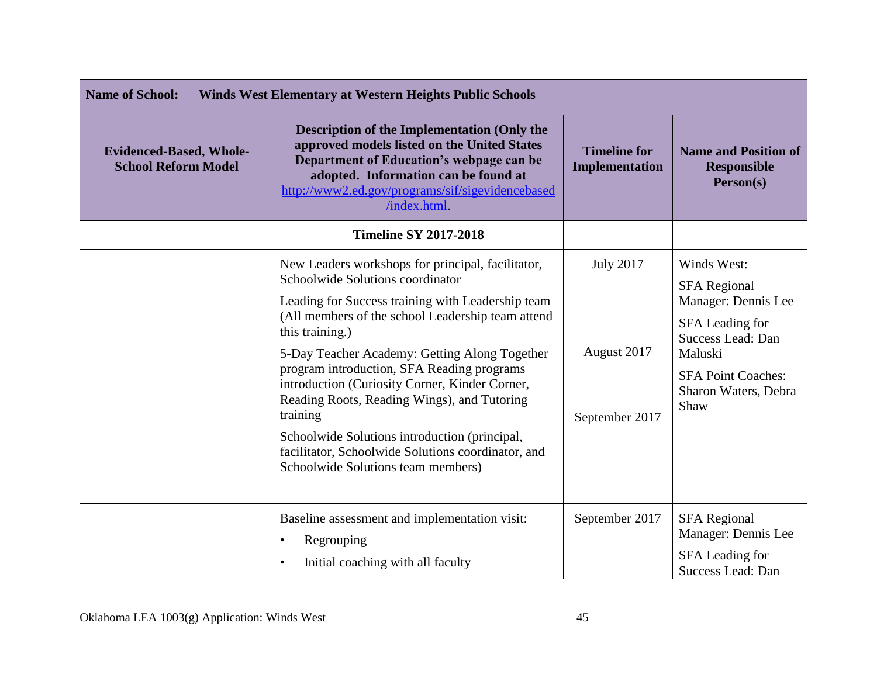| <b>Name of School:</b><br><b>Winds West Elementary at Western Heights Public Schools</b> |                                                                                                                                                                                                                                                                                                                                                                                                                                                                                                                                                                             |                                                   |                                                                                                                                                                           |
|------------------------------------------------------------------------------------------|-----------------------------------------------------------------------------------------------------------------------------------------------------------------------------------------------------------------------------------------------------------------------------------------------------------------------------------------------------------------------------------------------------------------------------------------------------------------------------------------------------------------------------------------------------------------------------|---------------------------------------------------|---------------------------------------------------------------------------------------------------------------------------------------------------------------------------|
| <b>Evidenced-Based, Whole-</b><br><b>School Reform Model</b>                             | <b>Description of the Implementation (Only the</b><br>approved models listed on the United States<br>Department of Education's webpage can be<br>adopted. Information can be found at<br>http://www2.ed.gov/programs/sif/sigevidencebased<br>/index.html.                                                                                                                                                                                                                                                                                                                   | <b>Timeline for</b><br><b>Implementation</b>      | <b>Name and Position of</b><br><b>Responsible</b><br>Person(s)                                                                                                            |
|                                                                                          | <b>Timeline SY 2017-2018</b>                                                                                                                                                                                                                                                                                                                                                                                                                                                                                                                                                |                                                   |                                                                                                                                                                           |
|                                                                                          | New Leaders workshops for principal, facilitator,<br>Schoolwide Solutions coordinator<br>Leading for Success training with Leadership team<br>(All members of the school Leadership team attend<br>this training.)<br>5-Day Teacher Academy: Getting Along Together<br>program introduction, SFA Reading programs<br>introduction (Curiosity Corner, Kinder Corner,<br>Reading Roots, Reading Wings), and Tutoring<br>training<br>Schoolwide Solutions introduction (principal,<br>facilitator, Schoolwide Solutions coordinator, and<br>Schoolwide Solutions team members) | <b>July 2017</b><br>August 2017<br>September 2017 | Winds West:<br><b>SFA Regional</b><br>Manager: Dennis Lee<br>SFA Leading for<br>Success Lead: Dan<br>Maluski<br><b>SFA Point Coaches:</b><br>Sharon Waters, Debra<br>Shaw |
|                                                                                          | Baseline assessment and implementation visit:<br>Regrouping<br>$\bullet$<br>Initial coaching with all faculty<br>$\bullet$                                                                                                                                                                                                                                                                                                                                                                                                                                                  | September 2017                                    | <b>SFA Regional</b><br>Manager: Dennis Lee<br>SFA Leading for<br>Success Lead: Dan                                                                                        |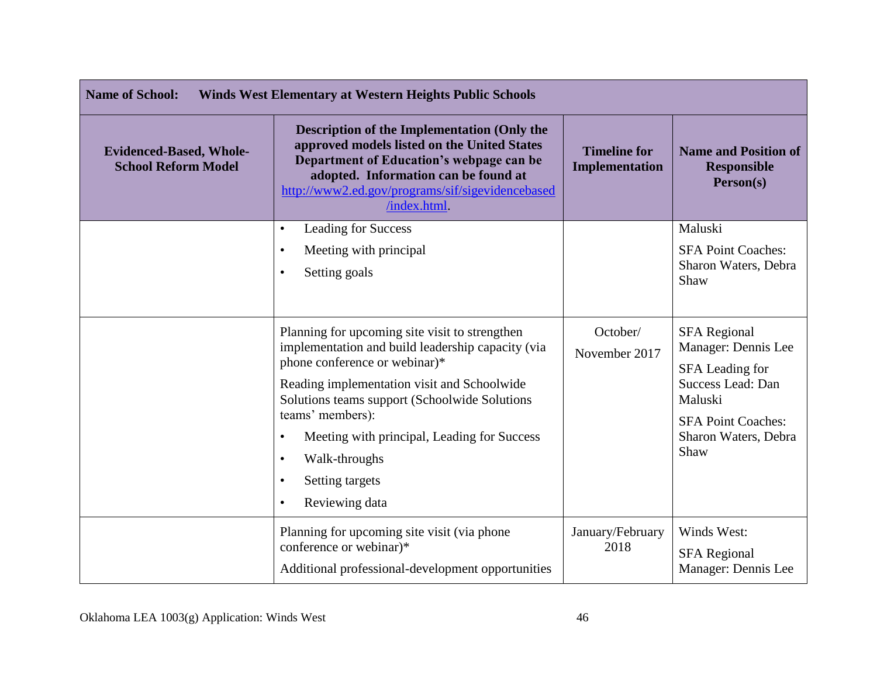| <b>Name of School:</b><br><b>Winds West Elementary at Western Heights Public Schools</b> |                                                                                                                                                                                                                                                          |                                              |                                                                |
|------------------------------------------------------------------------------------------|----------------------------------------------------------------------------------------------------------------------------------------------------------------------------------------------------------------------------------------------------------|----------------------------------------------|----------------------------------------------------------------|
| <b>Evidenced-Based, Whole-</b><br><b>School Reform Model</b>                             | <b>Description of the Implementation (Only the</b><br>approved models listed on the United States<br>Department of Education's webpage can be<br>adopted. Information can be found at<br>http://www2.ed.gov/programs/sif/sigevidencebased<br>/index.html | <b>Timeline for</b><br><b>Implementation</b> | <b>Name and Position of</b><br><b>Responsible</b><br>Person(s) |
|                                                                                          | Leading for Success<br>$\bullet$                                                                                                                                                                                                                         |                                              | Maluski                                                        |
|                                                                                          | Meeting with principal<br>$\bullet$                                                                                                                                                                                                                      |                                              | <b>SFA Point Coaches:</b>                                      |
|                                                                                          | Setting goals<br>$\bullet$                                                                                                                                                                                                                               |                                              | Sharon Waters, Debra<br>Shaw                                   |
|                                                                                          | Planning for upcoming site visit to strengthen                                                                                                                                                                                                           | October/                                     | <b>SFA Regional</b>                                            |
|                                                                                          | implementation and build leadership capacity (via<br>phone conference or webinar)*                                                                                                                                                                       | November 2017                                | Manager: Dennis Lee<br>SFA Leading for                         |
|                                                                                          | Reading implementation visit and Schoolwide<br>Solutions teams support (Schoolwide Solutions                                                                                                                                                             |                                              | Success Lead: Dan<br>Maluski                                   |
|                                                                                          | teams' members):                                                                                                                                                                                                                                         |                                              | <b>SFA Point Coaches:</b>                                      |
|                                                                                          | Meeting with principal, Leading for Success<br>$\bullet$                                                                                                                                                                                                 |                                              | Sharon Waters, Debra<br>Shaw                                   |
|                                                                                          | Walk-throughs<br>$\bullet$                                                                                                                                                                                                                               |                                              |                                                                |
|                                                                                          | Setting targets<br>$\bullet$                                                                                                                                                                                                                             |                                              |                                                                |
|                                                                                          | Reviewing data<br>$\bullet$                                                                                                                                                                                                                              |                                              |                                                                |
|                                                                                          | Planning for upcoming site visit (via phone                                                                                                                                                                                                              | January/February                             | Winds West:                                                    |
|                                                                                          | conference or webinar)*                                                                                                                                                                                                                                  | 2018                                         | <b>SFA Regional</b>                                            |
|                                                                                          | Additional professional-development opportunities                                                                                                                                                                                                        |                                              | Manager: Dennis Lee                                            |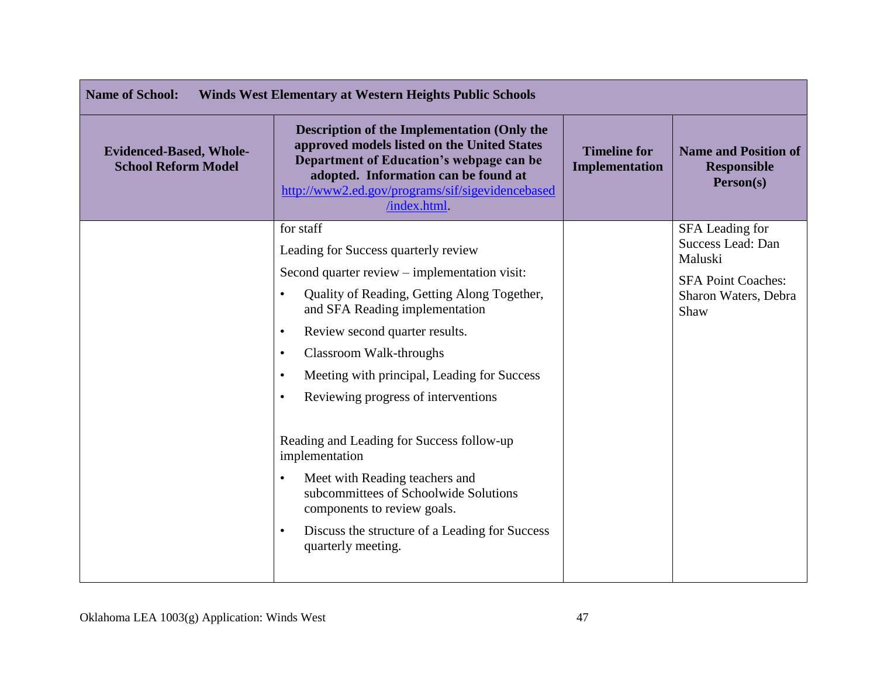| <b>Name of School:</b><br><b>Winds West Elementary at Western Heights Public Schools</b> |                                                                                                                                                                                                                                                          |                                              |                                                                |
|------------------------------------------------------------------------------------------|----------------------------------------------------------------------------------------------------------------------------------------------------------------------------------------------------------------------------------------------------------|----------------------------------------------|----------------------------------------------------------------|
| <b>Evidenced-Based, Whole-</b><br><b>School Reform Model</b>                             | <b>Description of the Implementation (Only the</b><br>approved models listed on the United States<br>Department of Education's webpage can be<br>adopted. Information can be found at<br>http://www2.ed.gov/programs/sif/sigevidencebased<br>/index.html | <b>Timeline for</b><br><b>Implementation</b> | <b>Name and Position of</b><br><b>Responsible</b><br>Person(s) |
|                                                                                          | for staff                                                                                                                                                                                                                                                |                                              | SFA Leading for<br>Success Lead: Dan                           |
|                                                                                          | Leading for Success quarterly review                                                                                                                                                                                                                     |                                              | Maluski                                                        |
|                                                                                          | Second quarter review – implementation visit:                                                                                                                                                                                                            |                                              | <b>SFA Point Coaches:</b>                                      |
|                                                                                          | Quality of Reading, Getting Along Together,<br>and SFA Reading implementation                                                                                                                                                                            |                                              | Sharon Waters, Debra<br>Shaw                                   |
|                                                                                          | Review second quarter results.<br>$\bullet$                                                                                                                                                                                                              |                                              |                                                                |
|                                                                                          | Classroom Walk-throughs<br>$\bullet$                                                                                                                                                                                                                     |                                              |                                                                |
|                                                                                          | Meeting with principal, Leading for Success<br>$\bullet$                                                                                                                                                                                                 |                                              |                                                                |
|                                                                                          | Reviewing progress of interventions<br>$\bullet$                                                                                                                                                                                                         |                                              |                                                                |
|                                                                                          | Reading and Leading for Success follow-up<br>implementation                                                                                                                                                                                              |                                              |                                                                |
|                                                                                          | Meet with Reading teachers and<br>$\bullet$<br>subcommittees of Schoolwide Solutions<br>components to review goals.                                                                                                                                      |                                              |                                                                |
|                                                                                          | Discuss the structure of a Leading for Success<br>$\bullet$<br>quarterly meeting.                                                                                                                                                                        |                                              |                                                                |
|                                                                                          |                                                                                                                                                                                                                                                          |                                              |                                                                |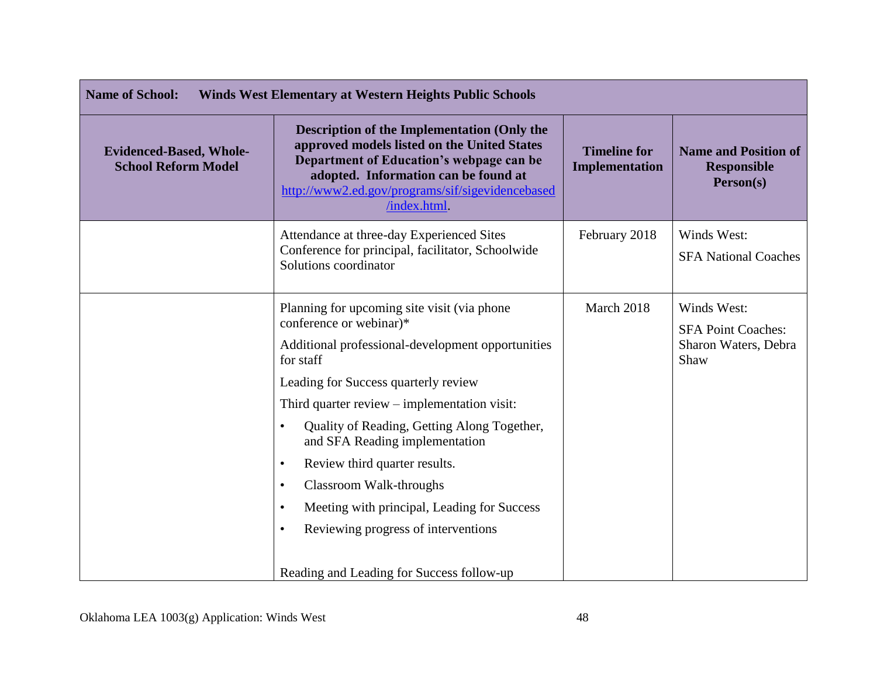| <b>Name of School:</b><br><b>Winds West Elementary at Western Heights Public Schools</b> |                                                                                                                                                                                                                                                                                                                                                                                                                                                                                                                                                                        |                                              |                                                                          |
|------------------------------------------------------------------------------------------|------------------------------------------------------------------------------------------------------------------------------------------------------------------------------------------------------------------------------------------------------------------------------------------------------------------------------------------------------------------------------------------------------------------------------------------------------------------------------------------------------------------------------------------------------------------------|----------------------------------------------|--------------------------------------------------------------------------|
| <b>Evidenced-Based, Whole-</b><br><b>School Reform Model</b>                             | <b>Description of the Implementation (Only the</b><br>approved models listed on the United States<br>Department of Education's webpage can be<br>adopted. Information can be found at<br>http://www2.ed.gov/programs/sif/sigevidencebased<br>/index.html                                                                                                                                                                                                                                                                                                               | <b>Timeline for</b><br><b>Implementation</b> | <b>Name and Position of</b><br><b>Responsible</b><br>Person(s)           |
|                                                                                          | Attendance at three-day Experienced Sites<br>Conference for principal, facilitator, Schoolwide<br>Solutions coordinator                                                                                                                                                                                                                                                                                                                                                                                                                                                | February 2018                                | Winds West:<br><b>SFA National Coaches</b>                               |
|                                                                                          | Planning for upcoming site visit (via phone<br>conference or webinar)*<br>Additional professional-development opportunities<br>for staff<br>Leading for Success quarterly review<br>Third quarter review $-$ implementation visit:<br>Quality of Reading, Getting Along Together,<br>and SFA Reading implementation<br>Review third quarter results.<br>$\bullet$<br>Classroom Walk-throughs<br>$\bullet$<br>Meeting with principal, Leading for Success<br>$\bullet$<br>Reviewing progress of interventions<br>$\bullet$<br>Reading and Leading for Success follow-up | March 2018                                   | Winds West:<br><b>SFA Point Coaches:</b><br>Sharon Waters, Debra<br>Shaw |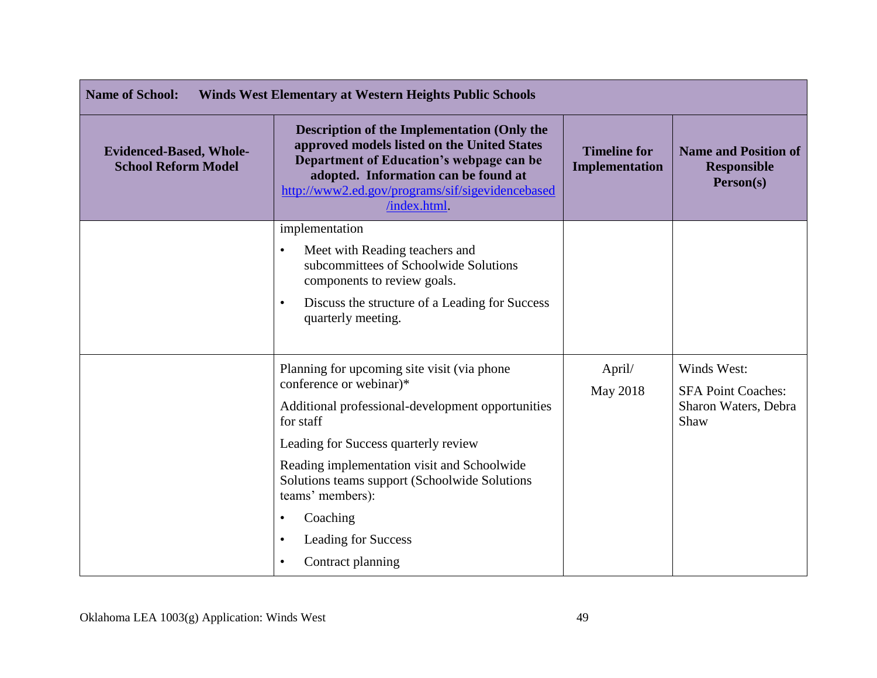| <b>Name of School:</b><br><b>Winds West Elementary at Western Heights Public Schools</b> |                                                                                                                                                                                                                                                                                                                                                                                                |                                       |                                                                          |
|------------------------------------------------------------------------------------------|------------------------------------------------------------------------------------------------------------------------------------------------------------------------------------------------------------------------------------------------------------------------------------------------------------------------------------------------------------------------------------------------|---------------------------------------|--------------------------------------------------------------------------|
| <b>Evidenced-Based, Whole-</b><br><b>School Reform Model</b>                             | <b>Description of the Implementation (Only the</b><br>approved models listed on the United States<br>Department of Education's webpage can be<br>adopted. Information can be found at<br>http://www2.ed.gov/programs/sif/sigevidencebased<br>/index.html.                                                                                                                                      | <b>Timeline for</b><br>Implementation | <b>Name and Position of</b><br><b>Responsible</b><br>Person(s)           |
|                                                                                          | implementation<br>Meet with Reading teachers and<br>$\bullet$<br>subcommittees of Schoolwide Solutions<br>components to review goals.<br>Discuss the structure of a Leading for Success<br>$\bullet$<br>quarterly meeting.                                                                                                                                                                     |                                       |                                                                          |
|                                                                                          | Planning for upcoming site visit (via phone)<br>conference or webinar)*<br>Additional professional-development opportunities<br>for staff<br>Leading for Success quarterly review<br>Reading implementation visit and Schoolwide<br>Solutions teams support (Schoolwide Solutions<br>teams' members):<br>Coaching<br><b>Leading for Success</b><br>$\bullet$<br>Contract planning<br>$\bullet$ | April/<br>May 2018                    | Winds West:<br><b>SFA Point Coaches:</b><br>Sharon Waters, Debra<br>Shaw |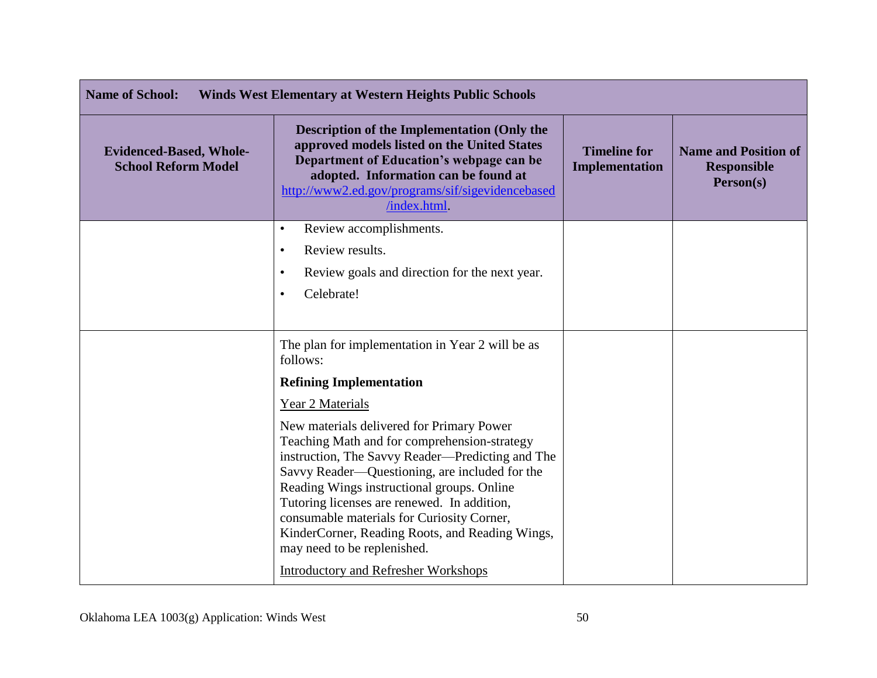| <b>Name of School:</b><br><b>Winds West Elementary at Western Heights Public Schools</b> |                                                                                                                                                                                                                                                                                                                                                                                                                              |                                       |                                                                |
|------------------------------------------------------------------------------------------|------------------------------------------------------------------------------------------------------------------------------------------------------------------------------------------------------------------------------------------------------------------------------------------------------------------------------------------------------------------------------------------------------------------------------|---------------------------------------|----------------------------------------------------------------|
| <b>Evidenced-Based, Whole-</b><br><b>School Reform Model</b>                             | <b>Description of the Implementation (Only the</b><br>approved models listed on the United States<br>Department of Education's webpage can be<br>adopted. Information can be found at<br>http://www2.ed.gov/programs/sif/sigevidencebased<br>/index.html.                                                                                                                                                                    | <b>Timeline for</b><br>Implementation | <b>Name and Position of</b><br><b>Responsible</b><br>Person(s) |
|                                                                                          | Review accomplishments.<br>$\bullet$                                                                                                                                                                                                                                                                                                                                                                                         |                                       |                                                                |
|                                                                                          | Review results.<br>$\bullet$<br>Review goals and direction for the next year.<br>٠                                                                                                                                                                                                                                                                                                                                           |                                       |                                                                |
|                                                                                          | Celebrate!<br>$\bullet$                                                                                                                                                                                                                                                                                                                                                                                                      |                                       |                                                                |
|                                                                                          |                                                                                                                                                                                                                                                                                                                                                                                                                              |                                       |                                                                |
|                                                                                          | The plan for implementation in Year 2 will be as<br>follows:                                                                                                                                                                                                                                                                                                                                                                 |                                       |                                                                |
|                                                                                          | <b>Refining Implementation</b>                                                                                                                                                                                                                                                                                                                                                                                               |                                       |                                                                |
|                                                                                          | Year 2 Materials                                                                                                                                                                                                                                                                                                                                                                                                             |                                       |                                                                |
|                                                                                          | New materials delivered for Primary Power<br>Teaching Math and for comprehension-strategy<br>instruction, The Savvy Reader—Predicting and The<br>Savvy Reader—Questioning, are included for the<br>Reading Wings instructional groups. Online<br>Tutoring licenses are renewed. In addition,<br>consumable materials for Curiosity Corner,<br>KinderCorner, Reading Roots, and Reading Wings,<br>may need to be replenished. |                                       |                                                                |
|                                                                                          | <b>Introductory and Refresher Workshops</b>                                                                                                                                                                                                                                                                                                                                                                                  |                                       |                                                                |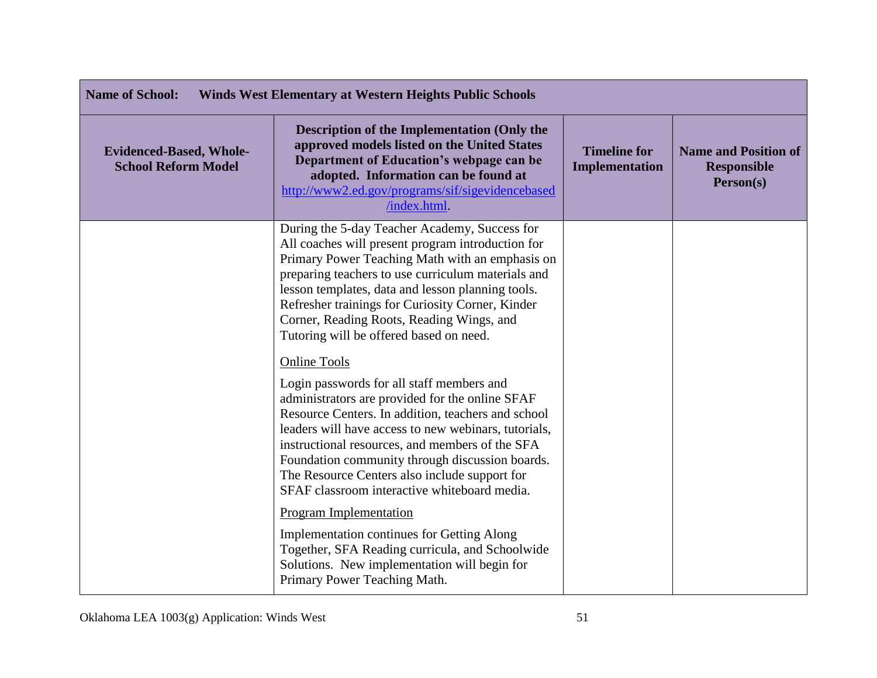| <b>Name of School:</b><br><b>Winds West Elementary at Western Heights Public Schools</b> |                                                                                                                                                                                                                                                                                                                                                                                                                                          |                                       |                                                                |
|------------------------------------------------------------------------------------------|------------------------------------------------------------------------------------------------------------------------------------------------------------------------------------------------------------------------------------------------------------------------------------------------------------------------------------------------------------------------------------------------------------------------------------------|---------------------------------------|----------------------------------------------------------------|
| <b>Evidenced-Based, Whole-</b><br><b>School Reform Model</b>                             | <b>Description of the Implementation (Only the</b><br>approved models listed on the United States<br>Department of Education's webpage can be<br>adopted. Information can be found at<br>http://www2.ed.gov/programs/sif/sigevidencebased<br>/index.html.                                                                                                                                                                                | <b>Timeline for</b><br>Implementation | <b>Name and Position of</b><br><b>Responsible</b><br>Person(s) |
|                                                                                          | During the 5-day Teacher Academy, Success for<br>All coaches will present program introduction for<br>Primary Power Teaching Math with an emphasis on<br>preparing teachers to use curriculum materials and<br>lesson templates, data and lesson planning tools.<br>Refresher trainings for Curiosity Corner, Kinder<br>Corner, Reading Roots, Reading Wings, and<br>Tutoring will be offered based on need.                             |                                       |                                                                |
|                                                                                          | <b>Online Tools</b><br>Login passwords for all staff members and<br>administrators are provided for the online SFAF<br>Resource Centers. In addition, teachers and school<br>leaders will have access to new webinars, tutorials,<br>instructional resources, and members of the SFA<br>Foundation community through discussion boards.<br>The Resource Centers also include support for<br>SFAF classroom interactive whiteboard media. |                                       |                                                                |
|                                                                                          | <b>Program Implementation</b><br><b>Implementation continues for Getting Along</b><br>Together, SFA Reading curricula, and Schoolwide<br>Solutions. New implementation will begin for<br>Primary Power Teaching Math.                                                                                                                                                                                                                    |                                       |                                                                |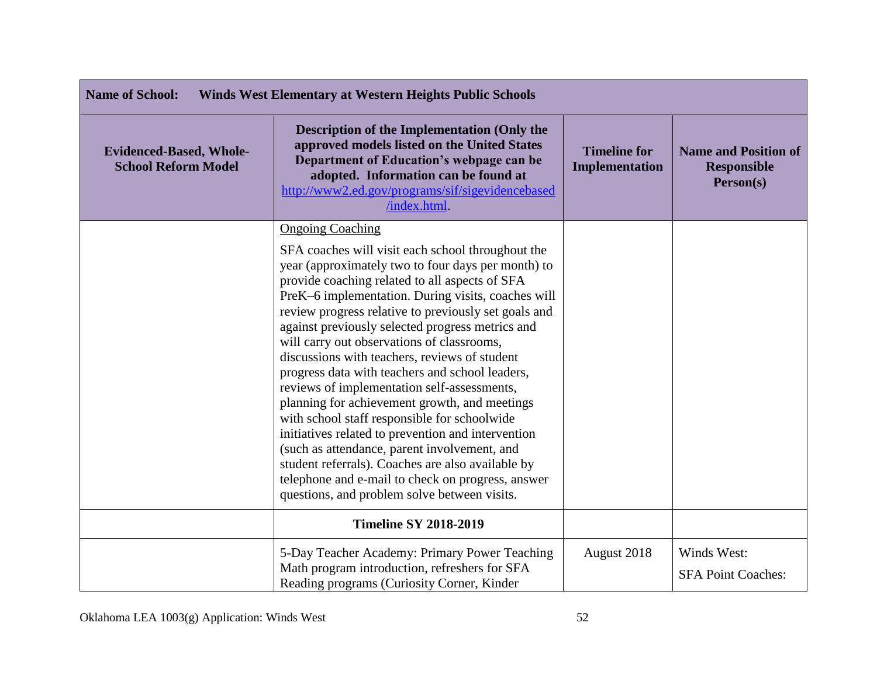| <b>Name of School:</b><br><b>Winds West Elementary at Western Heights Public Schools</b> |                                                                                                                                                                                                                                                                                                                                                                                                                                                                                                                                                                                                                                                                                                                                                                                                                                                                                                                          |                                       |                                                                |
|------------------------------------------------------------------------------------------|--------------------------------------------------------------------------------------------------------------------------------------------------------------------------------------------------------------------------------------------------------------------------------------------------------------------------------------------------------------------------------------------------------------------------------------------------------------------------------------------------------------------------------------------------------------------------------------------------------------------------------------------------------------------------------------------------------------------------------------------------------------------------------------------------------------------------------------------------------------------------------------------------------------------------|---------------------------------------|----------------------------------------------------------------|
| <b>Evidenced-Based, Whole-</b><br><b>School Reform Model</b>                             | <b>Description of the Implementation (Only the</b><br>approved models listed on the United States<br>Department of Education's webpage can be<br>adopted. Information can be found at<br>http://www2.ed.gov/programs/sif/sigevidencebased<br>/index.html                                                                                                                                                                                                                                                                                                                                                                                                                                                                                                                                                                                                                                                                 | <b>Timeline for</b><br>Implementation | <b>Name and Position of</b><br><b>Responsible</b><br>Person(s) |
|                                                                                          | <b>Ongoing Coaching</b><br>SFA coaches will visit each school throughout the<br>year (approximately two to four days per month) to<br>provide coaching related to all aspects of SFA<br>PreK-6 implementation. During visits, coaches will<br>review progress relative to previously set goals and<br>against previously selected progress metrics and<br>will carry out observations of classrooms,<br>discussions with teachers, reviews of student<br>progress data with teachers and school leaders,<br>reviews of implementation self-assessments,<br>planning for achievement growth, and meetings<br>with school staff responsible for schoolwide<br>initiatives related to prevention and intervention<br>(such as attendance, parent involvement, and<br>student referrals). Coaches are also available by<br>telephone and e-mail to check on progress, answer<br>questions, and problem solve between visits. |                                       |                                                                |
|                                                                                          | <b>Timeline SY 2018-2019</b>                                                                                                                                                                                                                                                                                                                                                                                                                                                                                                                                                                                                                                                                                                                                                                                                                                                                                             |                                       |                                                                |
|                                                                                          | 5-Day Teacher Academy: Primary Power Teaching<br>Math program introduction, refreshers for SFA<br>Reading programs (Curiosity Corner, Kinder                                                                                                                                                                                                                                                                                                                                                                                                                                                                                                                                                                                                                                                                                                                                                                             | August 2018                           | Winds West:<br><b>SFA Point Coaches:</b>                       |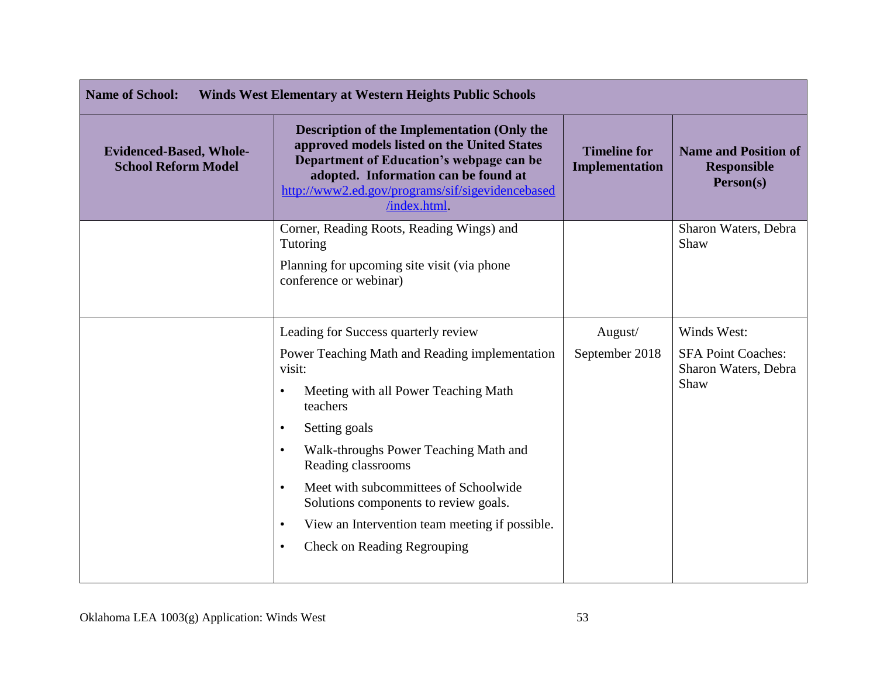| <b>Name of School:</b><br><b>Winds West Elementary at Western Heights Public Schools</b> |                                                                                                                                                                                                                                                          |                                              |                                                                |
|------------------------------------------------------------------------------------------|----------------------------------------------------------------------------------------------------------------------------------------------------------------------------------------------------------------------------------------------------------|----------------------------------------------|----------------------------------------------------------------|
| <b>Evidenced-Based, Whole-</b><br><b>School Reform Model</b>                             | <b>Description of the Implementation (Only the</b><br>approved models listed on the United States<br>Department of Education's webpage can be<br>adopted. Information can be found at<br>http://www2.ed.gov/programs/sif/sigevidencebased<br>/index.html | <b>Timeline for</b><br><b>Implementation</b> | <b>Name and Position of</b><br><b>Responsible</b><br>Person(s) |
|                                                                                          | Corner, Reading Roots, Reading Wings) and<br>Tutoring                                                                                                                                                                                                    |                                              | Sharon Waters, Debra<br>Shaw                                   |
|                                                                                          | Planning for upcoming site visit (via phone<br>conference or webinar)                                                                                                                                                                                    |                                              |                                                                |
|                                                                                          | Leading for Success quarterly review                                                                                                                                                                                                                     | August/                                      | Winds West:                                                    |
|                                                                                          | Power Teaching Math and Reading implementation<br>visit:<br>Meeting with all Power Teaching Math<br>teachers                                                                                                                                             | September 2018                               | <b>SFA Point Coaches:</b><br>Sharon Waters, Debra<br>Shaw      |
|                                                                                          | Setting goals<br>$\bullet$                                                                                                                                                                                                                               |                                              |                                                                |
|                                                                                          | Walk-throughs Power Teaching Math and<br>$\bullet$<br>Reading classrooms                                                                                                                                                                                 |                                              |                                                                |
|                                                                                          | Meet with subcommittees of Schoolwide<br>$\bullet$<br>Solutions components to review goals.                                                                                                                                                              |                                              |                                                                |
|                                                                                          | View an Intervention team meeting if possible.<br>٠                                                                                                                                                                                                      |                                              |                                                                |
|                                                                                          | <b>Check on Reading Regrouping</b><br>$\bullet$                                                                                                                                                                                                          |                                              |                                                                |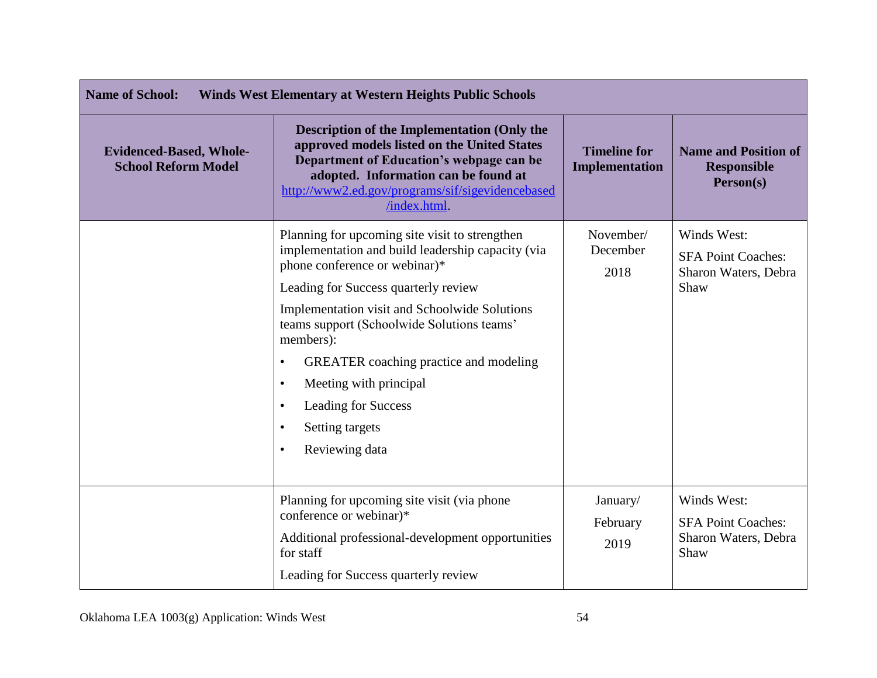| <b>Name of School:</b><br><b>Winds West Elementary at Western Heights Public Schools</b> |                                                                                                                                                                                                                                                                                                                                                                                                                                                                                                   |                                       |                                                                          |
|------------------------------------------------------------------------------------------|---------------------------------------------------------------------------------------------------------------------------------------------------------------------------------------------------------------------------------------------------------------------------------------------------------------------------------------------------------------------------------------------------------------------------------------------------------------------------------------------------|---------------------------------------|--------------------------------------------------------------------------|
| <b>Evidenced-Based, Whole-</b><br><b>School Reform Model</b>                             | <b>Description of the Implementation (Only the</b><br>approved models listed on the United States<br>Department of Education's webpage can be<br>adopted. Information can be found at<br>http://www2.ed.gov/programs/sif/sigevidencebased<br>/index.html.                                                                                                                                                                                                                                         | <b>Timeline for</b><br>Implementation | <b>Name and Position of</b><br><b>Responsible</b><br>Person(s)           |
|                                                                                          | Planning for upcoming site visit to strengthen<br>implementation and build leadership capacity (via<br>phone conference or webinar)*<br>Leading for Success quarterly review<br><b>Implementation visit and Schoolwide Solutions</b><br>teams support (Schoolwide Solutions teams'<br>members):<br><b>GREATER</b> coaching practice and modeling<br>$\bullet$<br>Meeting with principal<br>$\bullet$<br><b>Leading for Success</b><br>$\bullet$<br>Setting targets<br>Reviewing data<br>$\bullet$ | November/<br>December<br>2018         | Winds West:<br><b>SFA Point Coaches:</b><br>Sharon Waters, Debra<br>Shaw |
|                                                                                          | Planning for upcoming site visit (via phone)<br>conference or webinar)*<br>Additional professional-development opportunities<br>for staff<br>Leading for Success quarterly review                                                                                                                                                                                                                                                                                                                 | January/<br>February<br>2019          | Winds West:<br><b>SFA Point Coaches:</b><br>Sharon Waters, Debra<br>Shaw |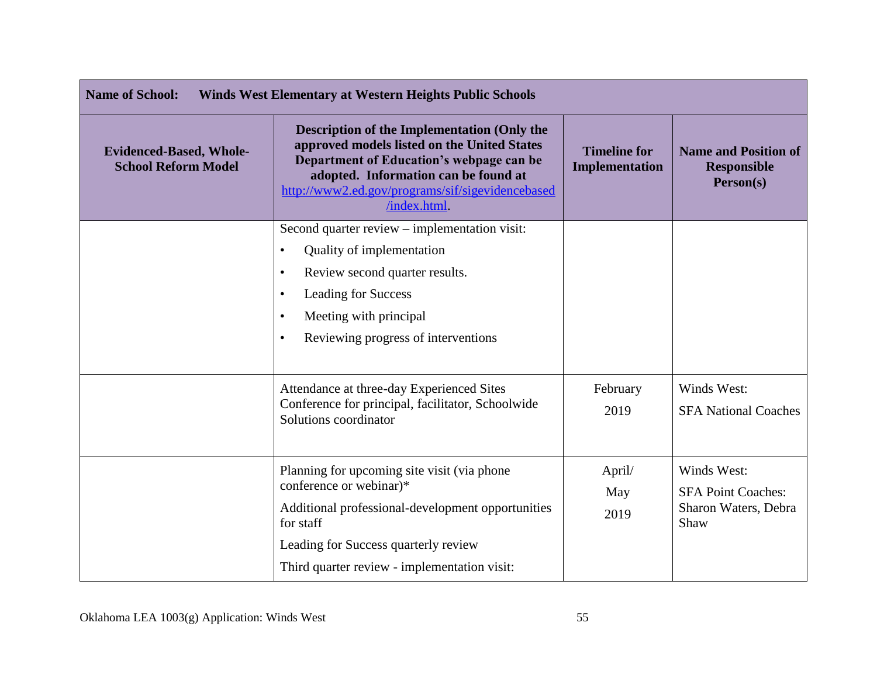| <b>Name of School:</b><br><b>Winds West Elementary at Western Heights Public Schools</b> |                                                                                                                                                                                                                                                           |                                              |                                                                          |
|------------------------------------------------------------------------------------------|-----------------------------------------------------------------------------------------------------------------------------------------------------------------------------------------------------------------------------------------------------------|----------------------------------------------|--------------------------------------------------------------------------|
| <b>Evidenced-Based, Whole-</b><br><b>School Reform Model</b>                             | <b>Description of the Implementation (Only the</b><br>approved models listed on the United States<br>Department of Education's webpage can be<br>adopted. Information can be found at<br>http://www2.ed.gov/programs/sif/sigevidencebased<br>/index.html. | <b>Timeline for</b><br><b>Implementation</b> | <b>Name and Position of</b><br><b>Responsible</b><br>Person(s)           |
|                                                                                          | Second quarter review - implementation visit:<br>Quality of implementation<br>$\bullet$<br>Review second quarter results.<br>$\bullet$<br><b>Leading for Success</b><br>Meeting with principal<br>Reviewing progress of interventions<br>$\bullet$        |                                              |                                                                          |
|                                                                                          | Attendance at three-day Experienced Sites<br>Conference for principal, facilitator, Schoolwide<br>Solutions coordinator                                                                                                                                   | February<br>2019                             | Winds West:<br><b>SFA National Coaches</b>                               |
|                                                                                          | Planning for upcoming site visit (via phone)<br>conference or webinar)*<br>Additional professional-development opportunities<br>for staff<br>Leading for Success quarterly review<br>Third quarter review - implementation visit:                         | April/<br>May<br>2019                        | Winds West:<br><b>SFA Point Coaches:</b><br>Sharon Waters, Debra<br>Shaw |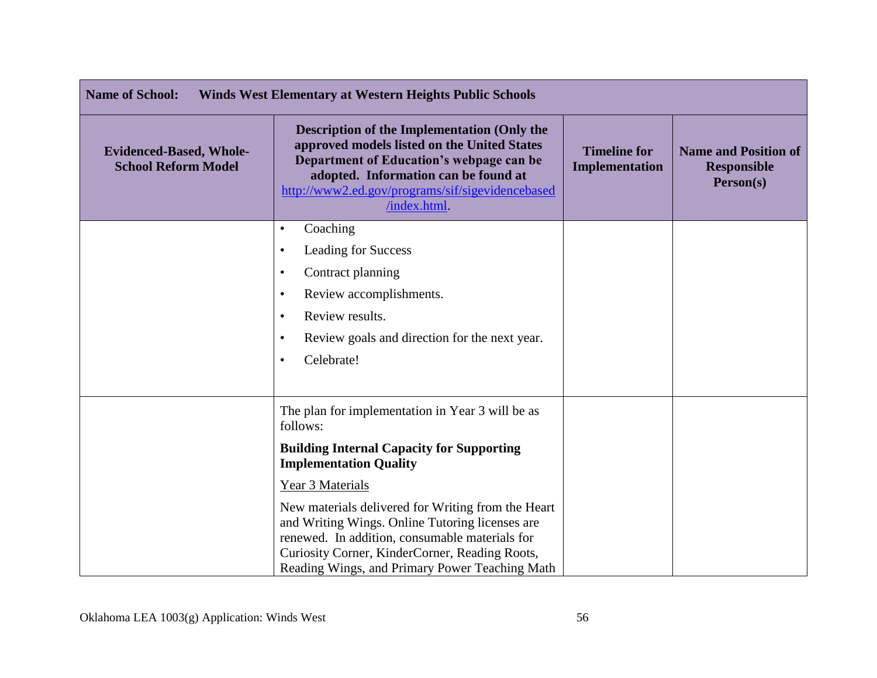| <b>Name of School:</b><br><b>Winds West Elementary at Western Heights Public Schools</b> |                                                                                                                                                                                                                                                             |                                              |                                                                |
|------------------------------------------------------------------------------------------|-------------------------------------------------------------------------------------------------------------------------------------------------------------------------------------------------------------------------------------------------------------|----------------------------------------------|----------------------------------------------------------------|
| <b>Evidenced-Based, Whole-</b><br><b>School Reform Model</b>                             | <b>Description of the Implementation (Only the</b><br>approved models listed on the United States<br>Department of Education's webpage can be<br>adopted. Information can be found at<br>http://www2.ed.gov/programs/sif/sigevidencebased<br>/index.html    | <b>Timeline for</b><br><b>Implementation</b> | <b>Name and Position of</b><br><b>Responsible</b><br>Person(s) |
|                                                                                          | Coaching<br>$\bullet$                                                                                                                                                                                                                                       |                                              |                                                                |
|                                                                                          | <b>Leading for Success</b><br>٠                                                                                                                                                                                                                             |                                              |                                                                |
|                                                                                          | Contract planning<br>$\bullet$                                                                                                                                                                                                                              |                                              |                                                                |
|                                                                                          | Review accomplishments.<br>$\bullet$                                                                                                                                                                                                                        |                                              |                                                                |
|                                                                                          | Review results.<br>٠                                                                                                                                                                                                                                        |                                              |                                                                |
|                                                                                          | Review goals and direction for the next year.<br>٠                                                                                                                                                                                                          |                                              |                                                                |
|                                                                                          | Celebrate!<br>٠                                                                                                                                                                                                                                             |                                              |                                                                |
|                                                                                          | The plan for implementation in Year 3 will be as<br>follows:                                                                                                                                                                                                |                                              |                                                                |
|                                                                                          | <b>Building Internal Capacity for Supporting</b><br><b>Implementation Quality</b>                                                                                                                                                                           |                                              |                                                                |
|                                                                                          | Year 3 Materials                                                                                                                                                                                                                                            |                                              |                                                                |
|                                                                                          | New materials delivered for Writing from the Heart<br>and Writing Wings. Online Tutoring licenses are<br>renewed. In addition, consumable materials for<br>Curiosity Corner, KinderCorner, Reading Roots,<br>Reading Wings, and Primary Power Teaching Math |                                              |                                                                |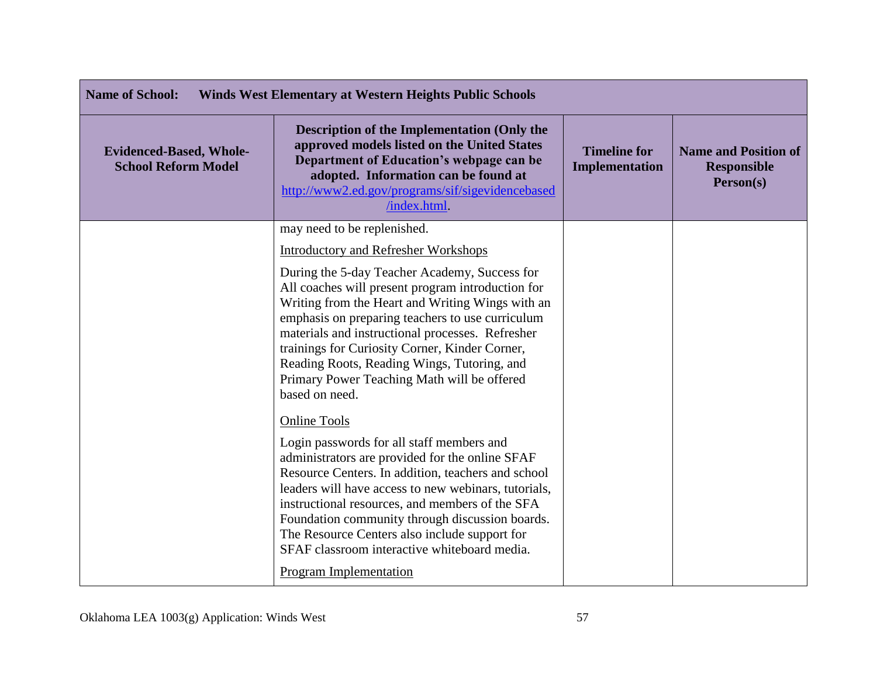| <b>Name of School:</b><br><b>Winds West Elementary at Western Heights Public Schools</b> |                                                                                                                                                                                                                                                                                                                                                                                                                                                                           |                                              |                                                                |
|------------------------------------------------------------------------------------------|---------------------------------------------------------------------------------------------------------------------------------------------------------------------------------------------------------------------------------------------------------------------------------------------------------------------------------------------------------------------------------------------------------------------------------------------------------------------------|----------------------------------------------|----------------------------------------------------------------|
| <b>Evidenced-Based, Whole-</b><br><b>School Reform Model</b>                             | <b>Description of the Implementation (Only the</b><br>approved models listed on the United States<br>Department of Education's webpage can be<br>adopted. Information can be found at<br>http://www2.ed.gov/programs/sif/sigevidencebased<br>/index.html.                                                                                                                                                                                                                 | <b>Timeline for</b><br><b>Implementation</b> | <b>Name and Position of</b><br><b>Responsible</b><br>Person(s) |
|                                                                                          | may need to be replenished.                                                                                                                                                                                                                                                                                                                                                                                                                                               |                                              |                                                                |
|                                                                                          | <b>Introductory and Refresher Workshops</b>                                                                                                                                                                                                                                                                                                                                                                                                                               |                                              |                                                                |
|                                                                                          | During the 5-day Teacher Academy, Success for<br>All coaches will present program introduction for<br>Writing from the Heart and Writing Wings with an<br>emphasis on preparing teachers to use curriculum<br>materials and instructional processes. Refresher<br>trainings for Curiosity Corner, Kinder Corner,<br>Reading Roots, Reading Wings, Tutoring, and<br>Primary Power Teaching Math will be offered<br>based on need.                                          |                                              |                                                                |
|                                                                                          | <b>Online Tools</b><br>Login passwords for all staff members and<br>administrators are provided for the online SFAF<br>Resource Centers. In addition, teachers and school<br>leaders will have access to new webinars, tutorials,<br>instructional resources, and members of the SFA<br>Foundation community through discussion boards.<br>The Resource Centers also include support for<br>SFAF classroom interactive whiteboard media.<br><b>Program Implementation</b> |                                              |                                                                |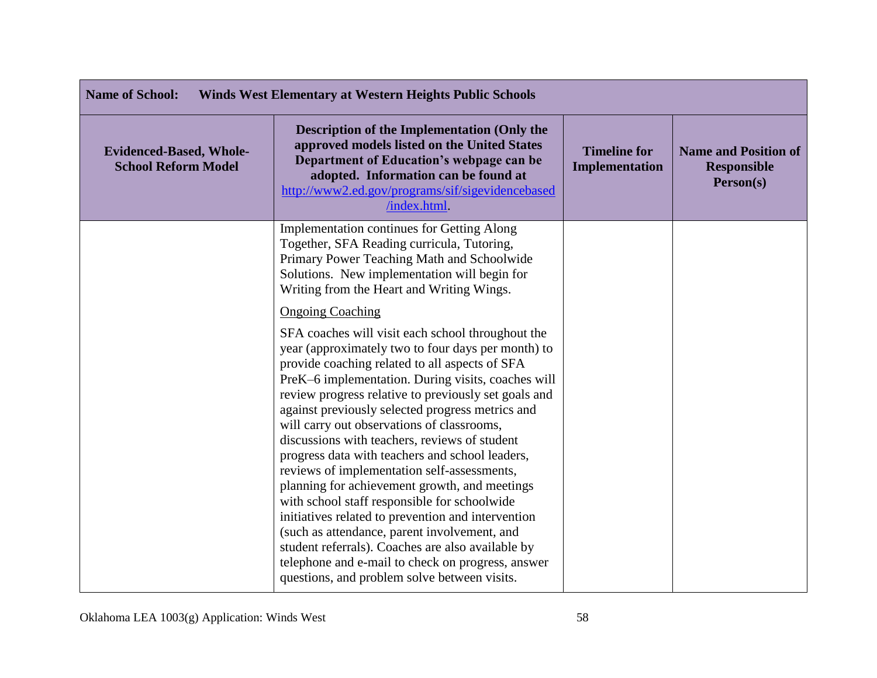| <b>Name of School:</b><br><b>Winds West Elementary at Western Heights Public Schools</b> |                                                                                                                                                                                                                                                                                                                                                                                                                                                                                                                                                                                                                                                                                                                                                                                                                                                                                                                          |                                       |                                                                |
|------------------------------------------------------------------------------------------|--------------------------------------------------------------------------------------------------------------------------------------------------------------------------------------------------------------------------------------------------------------------------------------------------------------------------------------------------------------------------------------------------------------------------------------------------------------------------------------------------------------------------------------------------------------------------------------------------------------------------------------------------------------------------------------------------------------------------------------------------------------------------------------------------------------------------------------------------------------------------------------------------------------------------|---------------------------------------|----------------------------------------------------------------|
| <b>Evidenced-Based, Whole-</b><br><b>School Reform Model</b>                             | Description of the Implementation (Only the<br>approved models listed on the United States<br>Department of Education's webpage can be<br>adopted. Information can be found at<br>http://www2.ed.gov/programs/sif/sigevidencebased<br>/index.html.                                                                                                                                                                                                                                                                                                                                                                                                                                                                                                                                                                                                                                                                       | <b>Timeline for</b><br>Implementation | <b>Name and Position of</b><br><b>Responsible</b><br>Person(s) |
|                                                                                          | Implementation continues for Getting Along<br>Together, SFA Reading curricula, Tutoring,<br>Primary Power Teaching Math and Schoolwide<br>Solutions. New implementation will begin for<br>Writing from the Heart and Writing Wings.                                                                                                                                                                                                                                                                                                                                                                                                                                                                                                                                                                                                                                                                                      |                                       |                                                                |
|                                                                                          | <b>Ongoing Coaching</b><br>SFA coaches will visit each school throughout the<br>year (approximately two to four days per month) to<br>provide coaching related to all aspects of SFA<br>PreK-6 implementation. During visits, coaches will<br>review progress relative to previously set goals and<br>against previously selected progress metrics and<br>will carry out observations of classrooms,<br>discussions with teachers, reviews of student<br>progress data with teachers and school leaders,<br>reviews of implementation self-assessments,<br>planning for achievement growth, and meetings<br>with school staff responsible for schoolwide<br>initiatives related to prevention and intervention<br>(such as attendance, parent involvement, and<br>student referrals). Coaches are also available by<br>telephone and e-mail to check on progress, answer<br>questions, and problem solve between visits. |                                       |                                                                |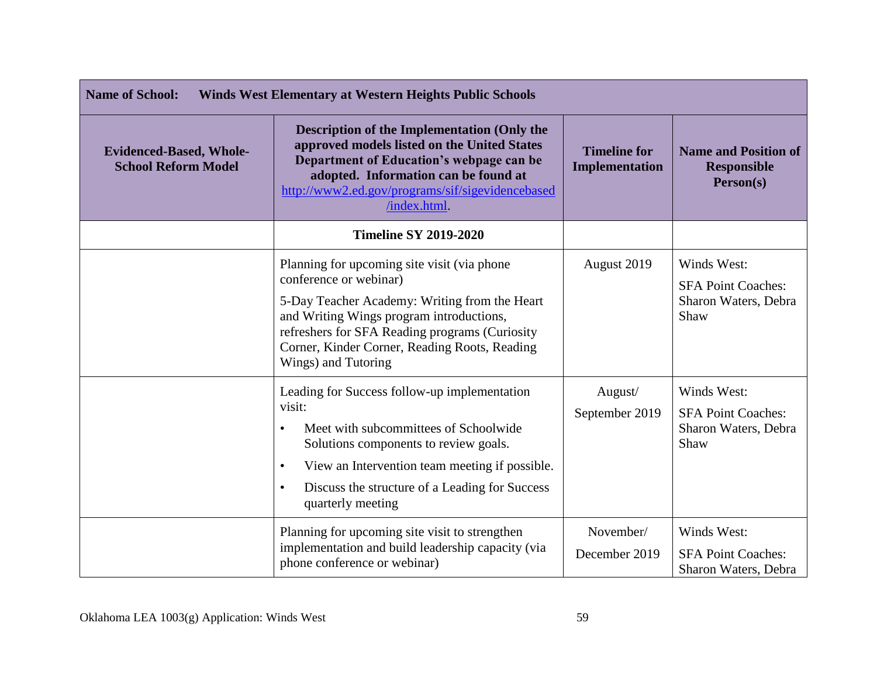| <b>Name of School:</b><br><b>Winds West Elementary at Western Heights Public Schools</b> |                                                                                                                                                                                                                                                                                                          |                                              |                                                                          |
|------------------------------------------------------------------------------------------|----------------------------------------------------------------------------------------------------------------------------------------------------------------------------------------------------------------------------------------------------------------------------------------------------------|----------------------------------------------|--------------------------------------------------------------------------|
| <b>Evidenced-Based, Whole-</b><br><b>School Reform Model</b>                             | <b>Description of the Implementation (Only the</b><br>approved models listed on the United States<br>Department of Education's webpage can be<br>adopted. Information can be found at<br>http://www2.ed.gov/programs/sif/sigevidencebased<br>/index.html.                                                | <b>Timeline for</b><br><b>Implementation</b> | <b>Name and Position of</b><br><b>Responsible</b><br>Person(s)           |
|                                                                                          | <b>Timeline SY 2019-2020</b>                                                                                                                                                                                                                                                                             |                                              |                                                                          |
|                                                                                          | Planning for upcoming site visit (via phone<br>conference or webinar)<br>5-Day Teacher Academy: Writing from the Heart<br>and Writing Wings program introductions,<br>refreshers for SFA Reading programs (Curiosity<br>Corner, Kinder Corner, Reading Roots, Reading<br>Wings) and Tutoring             | August 2019                                  | Winds West:<br><b>SFA Point Coaches:</b><br>Sharon Waters, Debra<br>Shaw |
|                                                                                          | Leading for Success follow-up implementation<br>visit:<br>Meet with subcommittees of Schoolwide<br>$\bullet$<br>Solutions components to review goals.<br>View an Intervention team meeting if possible.<br>$\bullet$<br>Discuss the structure of a Leading for Success<br>$\bullet$<br>quarterly meeting | August/<br>September 2019                    | Winds West:<br><b>SFA Point Coaches:</b><br>Sharon Waters, Debra<br>Shaw |
|                                                                                          | Planning for upcoming site visit to strengthen<br>implementation and build leadership capacity (via<br>phone conference or webinar)                                                                                                                                                                      | November/<br>December 2019                   | Winds West:<br><b>SFA Point Coaches:</b><br>Sharon Waters, Debra         |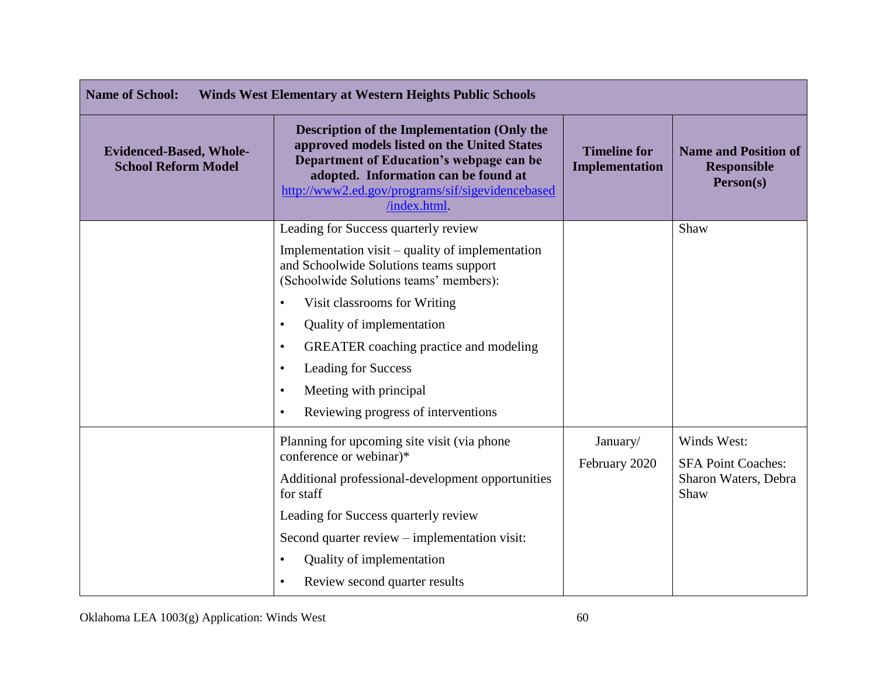| <b>Name of School:</b><br><b>Winds West Elementary at Western Heights Public Schools</b> |                                                                                                                                                                                                                                                                                                                                                                                                                                                     |                                       |                                                                          |
|------------------------------------------------------------------------------------------|-----------------------------------------------------------------------------------------------------------------------------------------------------------------------------------------------------------------------------------------------------------------------------------------------------------------------------------------------------------------------------------------------------------------------------------------------------|---------------------------------------|--------------------------------------------------------------------------|
| <b>Evidenced-Based, Whole-</b><br><b>School Reform Model</b>                             | <b>Description of the Implementation (Only the</b><br>approved models listed on the United States<br>Department of Education's webpage can be<br>adopted. Information can be found at<br>http://www2.ed.gov/programs/sif/sigevidencebased<br>/index.html.                                                                                                                                                                                           | <b>Timeline for</b><br>Implementation | <b>Name and Position of</b><br><b>Responsible</b><br>Person(s)           |
|                                                                                          | Leading for Success quarterly review<br>Implementation visit – quality of implementation<br>and Schoolwide Solutions teams support<br>(Schoolwide Solutions teams' members):<br>Visit classrooms for Writing<br>Quality of implementation<br>$\bullet$<br><b>GREATER</b> coaching practice and modeling<br>$\bullet$<br>Leading for Success<br>$\bullet$<br>Meeting with principal<br>$\bullet$<br>Reviewing progress of interventions<br>$\bullet$ |                                       | Shaw                                                                     |
|                                                                                          | Planning for upcoming site visit (via phone<br>conference or webinar)*<br>Additional professional-development opportunities<br>for staff<br>Leading for Success quarterly review<br>Second quarter review – implementation visit:<br>Quality of implementation<br>$\bullet$<br>Review second quarter results<br>$\bullet$                                                                                                                           | January/<br>February 2020             | Winds West:<br><b>SFA Point Coaches:</b><br>Sharon Waters, Debra<br>Shaw |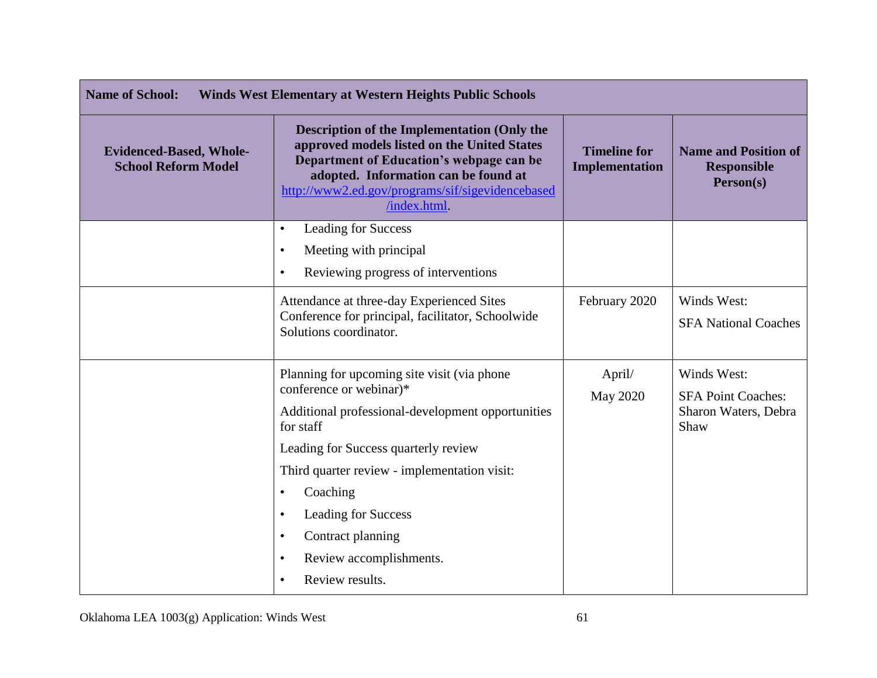| <b>Name of School:</b><br><b>Winds West Elementary at Western Heights Public Schools</b> |                                                                                                                                                                                                                                                                                                                                                                             |                                       |                                                                          |
|------------------------------------------------------------------------------------------|-----------------------------------------------------------------------------------------------------------------------------------------------------------------------------------------------------------------------------------------------------------------------------------------------------------------------------------------------------------------------------|---------------------------------------|--------------------------------------------------------------------------|
| <b>Evidenced-Based, Whole-</b><br><b>School Reform Model</b>                             | <b>Description of the Implementation (Only the</b><br>approved models listed on the United States<br>Department of Education's webpage can be<br>adopted. Information can be found at<br>http://www2.ed.gov/programs/sif/sigevidencebased<br>/index.html.                                                                                                                   | <b>Timeline for</b><br>Implementation | <b>Name and Position of</b><br><b>Responsible</b><br>Person(s)           |
|                                                                                          | Leading for Success<br>$\bullet$<br>Meeting with principal<br>$\bullet$<br>Reviewing progress of interventions<br>$\bullet$                                                                                                                                                                                                                                                 |                                       |                                                                          |
|                                                                                          | Attendance at three-day Experienced Sites<br>Conference for principal, facilitator, Schoolwide<br>Solutions coordinator.                                                                                                                                                                                                                                                    | February 2020                         | Winds West:<br><b>SFA National Coaches</b>                               |
|                                                                                          | Planning for upcoming site visit (via phone)<br>conference or webinar)*<br>Additional professional-development opportunities<br>for staff<br>Leading for Success quarterly review<br>Third quarter review - implementation visit:<br>Coaching<br>Leading for Success<br>٠<br>Contract planning<br>$\bullet$<br>Review accomplishments.<br>٠<br>Review results.<br>$\bullet$ | April/<br>May 2020                    | Winds West:<br><b>SFA Point Coaches:</b><br>Sharon Waters, Debra<br>Shaw |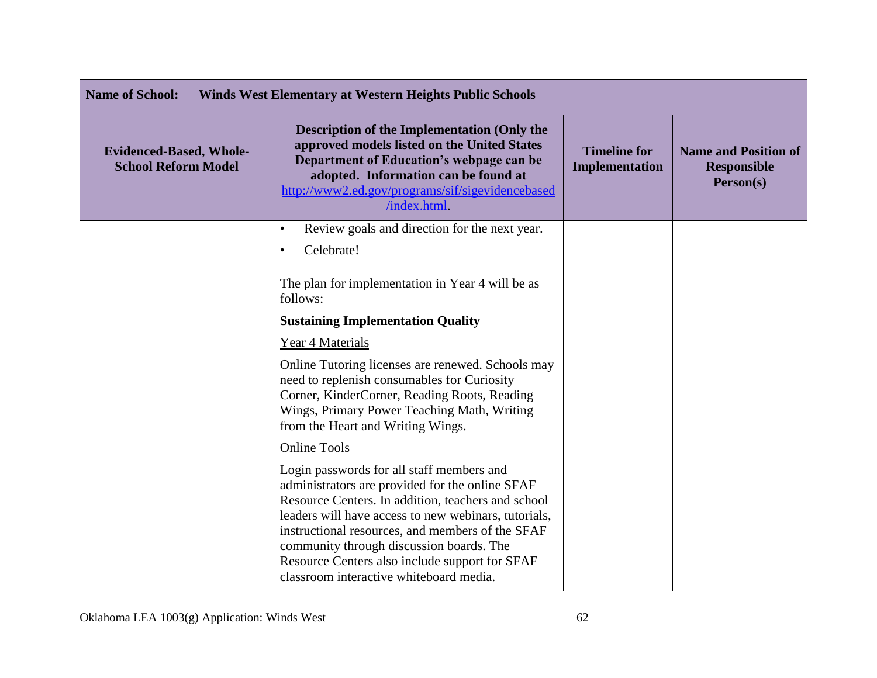| <b>Name of School:</b><br><b>Winds West Elementary at Western Heights Public Schools</b> |                                                                                                                                                                                                                                                                                                                                                                                                         |                                       |                                                                |
|------------------------------------------------------------------------------------------|---------------------------------------------------------------------------------------------------------------------------------------------------------------------------------------------------------------------------------------------------------------------------------------------------------------------------------------------------------------------------------------------------------|---------------------------------------|----------------------------------------------------------------|
| <b>Evidenced-Based, Whole-</b><br><b>School Reform Model</b>                             | <b>Description of the Implementation (Only the</b><br>approved models listed on the United States<br>Department of Education's webpage can be<br>adopted. Information can be found at<br>http://www2.ed.gov/programs/sif/sigevidencebased<br>/index.html                                                                                                                                                | <b>Timeline for</b><br>Implementation | <b>Name and Position of</b><br><b>Responsible</b><br>Person(s) |
|                                                                                          | Review goals and direction for the next year.<br>$\bullet$<br>Celebrate!<br>$\bullet$                                                                                                                                                                                                                                                                                                                   |                                       |                                                                |
|                                                                                          | The plan for implementation in Year 4 will be as<br>follows:<br><b>Sustaining Implementation Quality</b><br>Year 4 Materials                                                                                                                                                                                                                                                                            |                                       |                                                                |
|                                                                                          | Online Tutoring licenses are renewed. Schools may<br>need to replenish consumables for Curiosity<br>Corner, KinderCorner, Reading Roots, Reading<br>Wings, Primary Power Teaching Math, Writing<br>from the Heart and Writing Wings.                                                                                                                                                                    |                                       |                                                                |
|                                                                                          | <b>Online Tools</b>                                                                                                                                                                                                                                                                                                                                                                                     |                                       |                                                                |
|                                                                                          | Login passwords for all staff members and<br>administrators are provided for the online SFAF<br>Resource Centers. In addition, teachers and school<br>leaders will have access to new webinars, tutorials,<br>instructional resources, and members of the SFAF<br>community through discussion boards. The<br>Resource Centers also include support for SFAF<br>classroom interactive whiteboard media. |                                       |                                                                |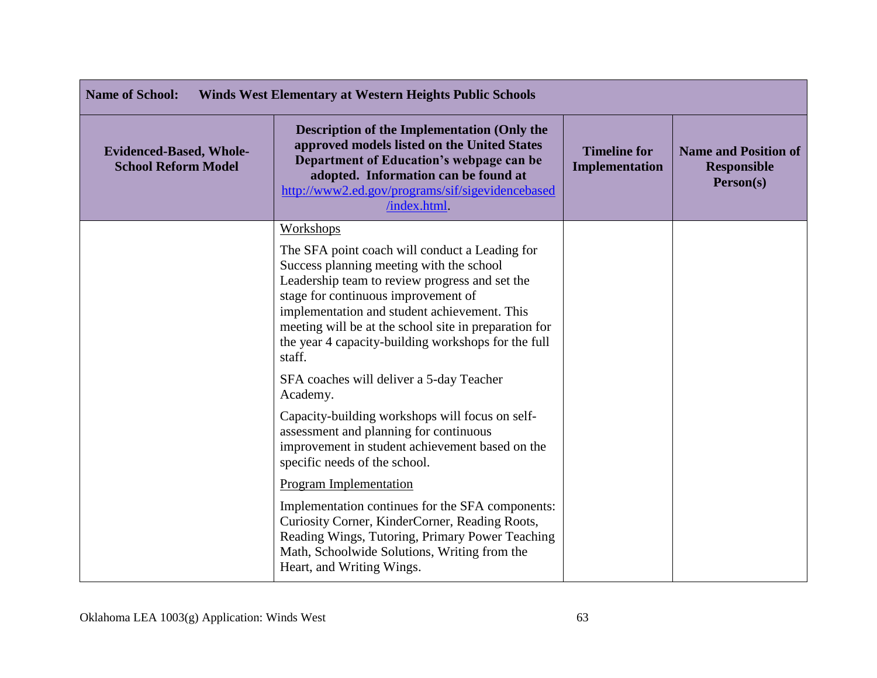| <b>Name of School:</b><br><b>Winds West Elementary at Western Heights Public Schools</b> |                                                                                                                                                                                                                                                                                                                                                               |                                       |                                                                |
|------------------------------------------------------------------------------------------|---------------------------------------------------------------------------------------------------------------------------------------------------------------------------------------------------------------------------------------------------------------------------------------------------------------------------------------------------------------|---------------------------------------|----------------------------------------------------------------|
| <b>Evidenced-Based, Whole-</b><br><b>School Reform Model</b>                             | <b>Description of the Implementation (Only the</b><br>approved models listed on the United States<br>Department of Education's webpage can be<br>adopted. Information can be found at<br>http://www2.ed.gov/programs/sif/sigevidencebased<br>/index.html.                                                                                                     | <b>Timeline for</b><br>Implementation | <b>Name and Position of</b><br><b>Responsible</b><br>Person(s) |
|                                                                                          | Workshops                                                                                                                                                                                                                                                                                                                                                     |                                       |                                                                |
|                                                                                          | The SFA point coach will conduct a Leading for<br>Success planning meeting with the school<br>Leadership team to review progress and set the<br>stage for continuous improvement of<br>implementation and student achievement. This<br>meeting will be at the school site in preparation for<br>the year 4 capacity-building workshops for the full<br>staff. |                                       |                                                                |
|                                                                                          | SFA coaches will deliver a 5-day Teacher<br>Academy.                                                                                                                                                                                                                                                                                                          |                                       |                                                                |
|                                                                                          | Capacity-building workshops will focus on self-<br>assessment and planning for continuous<br>improvement in student achievement based on the<br>specific needs of the school.                                                                                                                                                                                 |                                       |                                                                |
|                                                                                          | Program Implementation                                                                                                                                                                                                                                                                                                                                        |                                       |                                                                |
|                                                                                          | Implementation continues for the SFA components:<br>Curiosity Corner, KinderCorner, Reading Roots,<br>Reading Wings, Tutoring, Primary Power Teaching<br>Math, Schoolwide Solutions, Writing from the<br>Heart, and Writing Wings.                                                                                                                            |                                       |                                                                |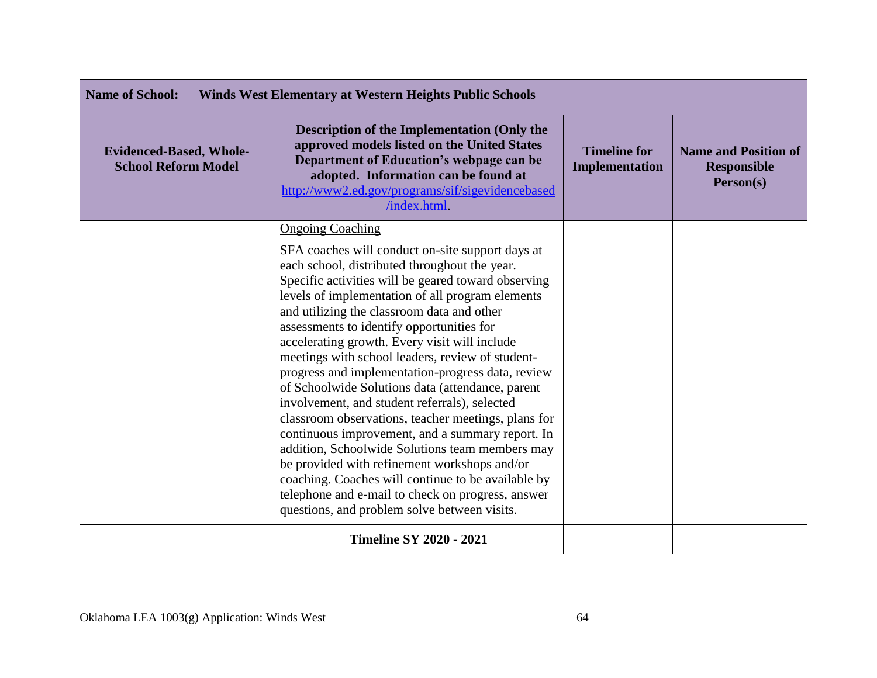| <b>Name of School:</b><br><b>Winds West Elementary at Western Heights Public Schools</b> |                                                                                                                                                                                                                                                                                                                                                                                                                                                                                                                                                                                                                                                                                                                                                                                                                                                                                                                                                                            |                                       |                                                                |
|------------------------------------------------------------------------------------------|----------------------------------------------------------------------------------------------------------------------------------------------------------------------------------------------------------------------------------------------------------------------------------------------------------------------------------------------------------------------------------------------------------------------------------------------------------------------------------------------------------------------------------------------------------------------------------------------------------------------------------------------------------------------------------------------------------------------------------------------------------------------------------------------------------------------------------------------------------------------------------------------------------------------------------------------------------------------------|---------------------------------------|----------------------------------------------------------------|
| <b>Evidenced-Based, Whole-</b><br><b>School Reform Model</b>                             | <b>Description of the Implementation (Only the</b><br>approved models listed on the United States<br>Department of Education's webpage can be<br>adopted. Information can be found at<br>http://www2.ed.gov/programs/sif/sigevidencebased<br>/index.html.                                                                                                                                                                                                                                                                                                                                                                                                                                                                                                                                                                                                                                                                                                                  | <b>Timeline for</b><br>Implementation | <b>Name and Position of</b><br><b>Responsible</b><br>Person(s) |
|                                                                                          | <b>Ongoing Coaching</b><br>SFA coaches will conduct on-site support days at<br>each school, distributed throughout the year.<br>Specific activities will be geared toward observing<br>levels of implementation of all program elements<br>and utilizing the classroom data and other<br>assessments to identify opportunities for<br>accelerating growth. Every visit will include<br>meetings with school leaders, review of student-<br>progress and implementation-progress data, review<br>of Schoolwide Solutions data (attendance, parent<br>involvement, and student referrals), selected<br>classroom observations, teacher meetings, plans for<br>continuous improvement, and a summary report. In<br>addition, Schoolwide Solutions team members may<br>be provided with refinement workshops and/or<br>coaching. Coaches will continue to be available by<br>telephone and e-mail to check on progress, answer<br>questions, and problem solve between visits. |                                       |                                                                |
|                                                                                          | <b>Timeline SY 2020 - 2021</b>                                                                                                                                                                                                                                                                                                                                                                                                                                                                                                                                                                                                                                                                                                                                                                                                                                                                                                                                             |                                       |                                                                |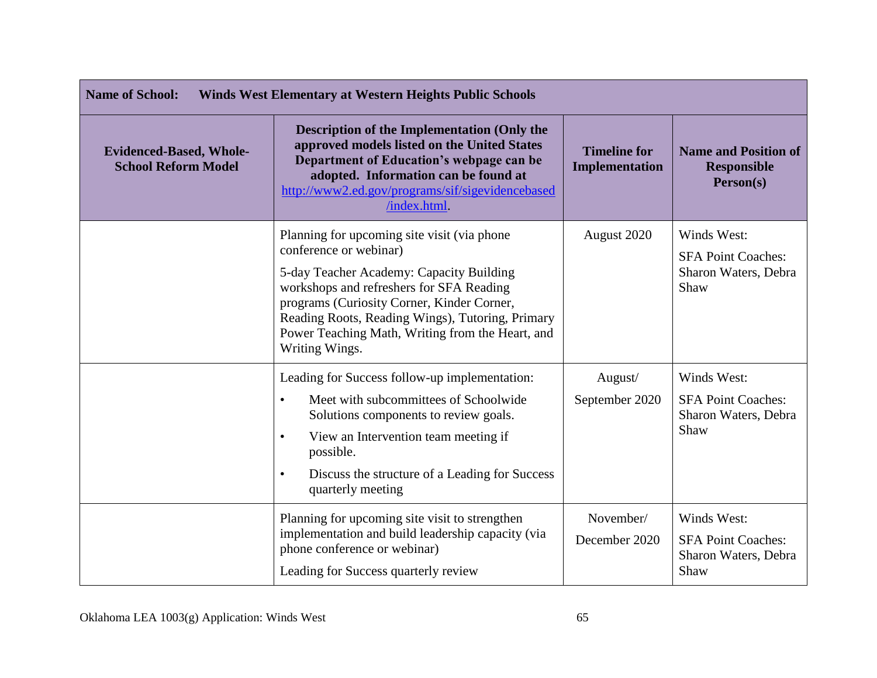| <b>Name of School:</b><br><b>Winds West Elementary at Western Heights Public Schools</b> |                                                                                                                                                                                                                                                                                                                                        |                                       |                                                                          |
|------------------------------------------------------------------------------------------|----------------------------------------------------------------------------------------------------------------------------------------------------------------------------------------------------------------------------------------------------------------------------------------------------------------------------------------|---------------------------------------|--------------------------------------------------------------------------|
| <b>Evidenced-Based, Whole-</b><br><b>School Reform Model</b>                             | <b>Description of the Implementation (Only the</b><br>approved models listed on the United States<br>Department of Education's webpage can be<br>adopted. Information can be found at<br>http://www2.ed.gov/programs/sif/sigevidencebased<br>/index.html                                                                               | <b>Timeline for</b><br>Implementation | <b>Name and Position of</b><br><b>Responsible</b><br>Person(s)           |
|                                                                                          | Planning for upcoming site visit (via phone)<br>conference or webinar)<br>5-day Teacher Academy: Capacity Building<br>workshops and refreshers for SFA Reading<br>programs (Curiosity Corner, Kinder Corner,<br>Reading Roots, Reading Wings), Tutoring, Primary<br>Power Teaching Math, Writing from the Heart, and<br>Writing Wings. | August 2020                           | Winds West:<br><b>SFA Point Coaches:</b><br>Sharon Waters, Debra<br>Shaw |
|                                                                                          | Leading for Success follow-up implementation:<br>Meet with subcommittees of Schoolwide<br>$\bullet$<br>Solutions components to review goals.<br>View an Intervention team meeting if<br>$\bullet$<br>possible.<br>Discuss the structure of a Leading for Success<br>$\bullet$<br>quarterly meeting                                     | August/<br>September 2020             | Winds West:<br><b>SFA Point Coaches:</b><br>Sharon Waters, Debra<br>Shaw |
|                                                                                          | Planning for upcoming site visit to strengthen<br>implementation and build leadership capacity (via<br>phone conference or webinar)<br>Leading for Success quarterly review                                                                                                                                                            | November/<br>December 2020            | Winds West:<br><b>SFA Point Coaches:</b><br>Sharon Waters, Debra<br>Shaw |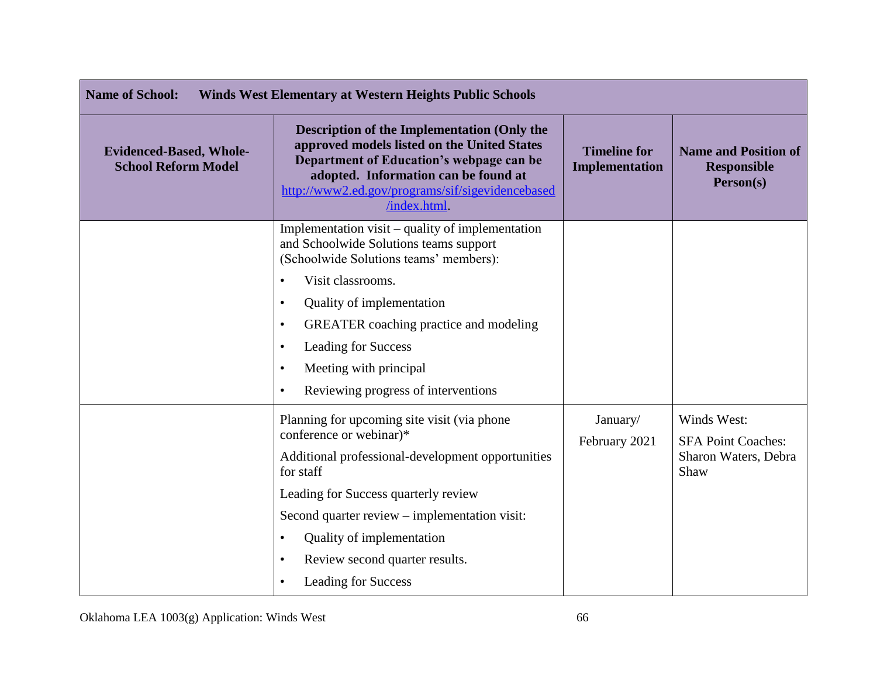| <b>Name of School:</b><br><b>Winds West Elementary at Western Heights Public Schools</b> |                                                                                                                                                                                                                                                                                                                                                                                                                      |                                       |                                                                          |
|------------------------------------------------------------------------------------------|----------------------------------------------------------------------------------------------------------------------------------------------------------------------------------------------------------------------------------------------------------------------------------------------------------------------------------------------------------------------------------------------------------------------|---------------------------------------|--------------------------------------------------------------------------|
| <b>Evidenced-Based, Whole-</b><br><b>School Reform Model</b>                             | <b>Description of the Implementation (Only the</b><br>approved models listed on the United States<br>Department of Education's webpage can be<br>adopted. Information can be found at<br>http://www2.ed.gov/programs/sif/sigevidencebased<br>/index.html.                                                                                                                                                            | <b>Timeline for</b><br>Implementation | <b>Name and Position of</b><br><b>Responsible</b><br>Person(s)           |
|                                                                                          | Implementation visit – quality of implementation<br>and Schoolwide Solutions teams support<br>(Schoolwide Solutions teams' members):<br>Visit classrooms.<br>$\bullet$<br>Quality of implementation<br>$\bullet$<br><b>GREATER</b> coaching practice and modeling<br>$\bullet$<br><b>Leading for Success</b><br>$\bullet$<br>Meeting with principal<br>$\bullet$<br>Reviewing progress of interventions<br>$\bullet$ |                                       |                                                                          |
|                                                                                          | Planning for upcoming site visit (via phone)<br>conference or webinar)*<br>Additional professional-development opportunities<br>for staff<br>Leading for Success quarterly review<br>Second quarter review – implementation visit:<br>Quality of implementation<br>$\bullet$<br>Review second quarter results.<br>$\bullet$<br><b>Leading for Success</b><br>$\bullet$                                               | January/<br>February 2021             | Winds West:<br><b>SFA Point Coaches:</b><br>Sharon Waters, Debra<br>Shaw |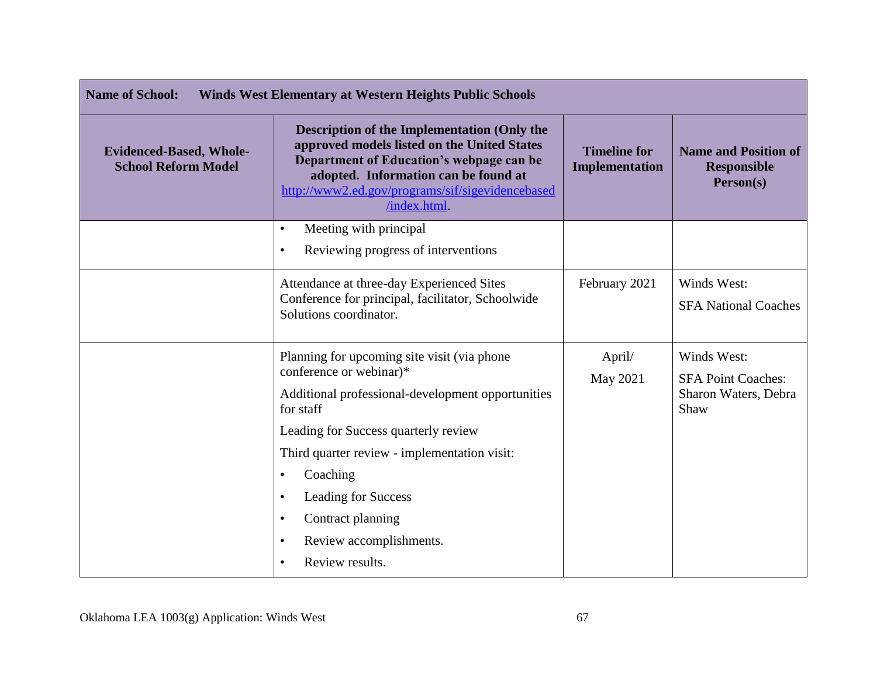| <b>Name of School:</b><br><b>Winds West Elementary at Western Heights Public Schools</b> |                                                                                                                                                                                                                                                          |                                       |                                                                  |
|------------------------------------------------------------------------------------------|----------------------------------------------------------------------------------------------------------------------------------------------------------------------------------------------------------------------------------------------------------|---------------------------------------|------------------------------------------------------------------|
| <b>Evidenced-Based, Whole-</b><br><b>School Reform Model</b>                             | <b>Description of the Implementation (Only the</b><br>approved models listed on the United States<br>Department of Education's webpage can be<br>adopted. Information can be found at<br>http://www2.ed.gov/programs/sif/sigevidencebased<br>/index.html | <b>Timeline for</b><br>Implementation | <b>Name and Position of</b><br><b>Responsible</b><br>Person(s)   |
|                                                                                          | Meeting with principal<br>$\bullet$                                                                                                                                                                                                                      |                                       |                                                                  |
|                                                                                          | Reviewing progress of interventions<br>$\bullet$                                                                                                                                                                                                         |                                       |                                                                  |
|                                                                                          | Attendance at three-day Experienced Sites<br>Conference for principal, facilitator, Schoolwide<br>Solutions coordinator.                                                                                                                                 | February 2021                         | Winds West:<br><b>SFA National Coaches</b>                       |
|                                                                                          | Planning for upcoming site visit (via phone)<br>conference or webinar)*<br>Additional professional-development opportunities<br>for staff                                                                                                                | April/<br>May 2021                    | Winds West:<br><b>SFA Point Coaches:</b><br>Sharon Waters, Debra |
|                                                                                          | Leading for Success quarterly review                                                                                                                                                                                                                     |                                       | Shaw                                                             |
|                                                                                          | Third quarter review - implementation visit:                                                                                                                                                                                                             |                                       |                                                                  |
|                                                                                          | Coaching<br>$\bullet$                                                                                                                                                                                                                                    |                                       |                                                                  |
|                                                                                          | <b>Leading for Success</b><br>$\bullet$                                                                                                                                                                                                                  |                                       |                                                                  |
|                                                                                          | Contract planning<br>٠                                                                                                                                                                                                                                   |                                       |                                                                  |
|                                                                                          | Review accomplishments.<br>$\bullet$                                                                                                                                                                                                                     |                                       |                                                                  |
|                                                                                          | Review results.<br>$\bullet$                                                                                                                                                                                                                             |                                       |                                                                  |